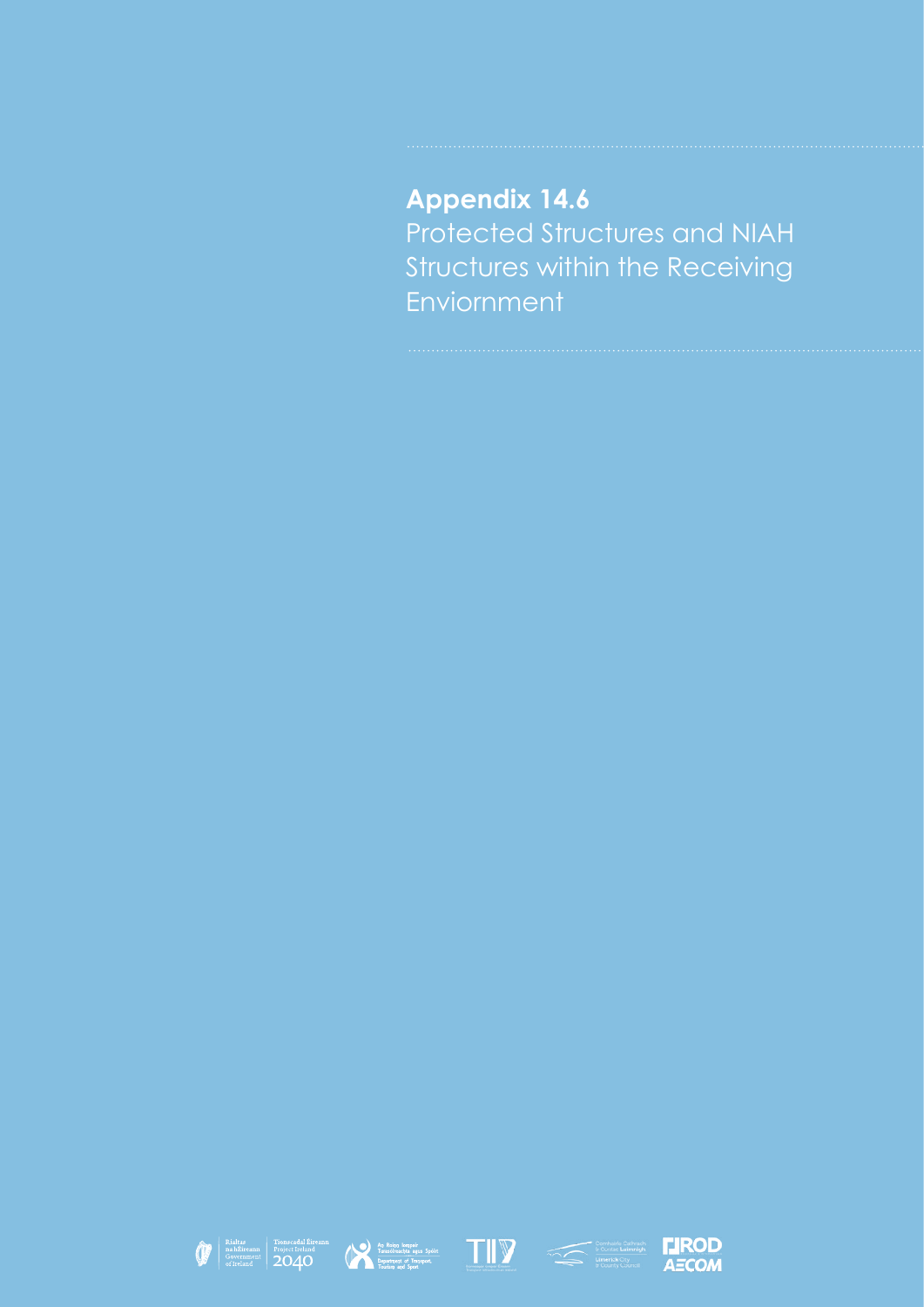## **Appendix 14.6** Protected Structures and NIAH Structures within the Receiving Enviornment









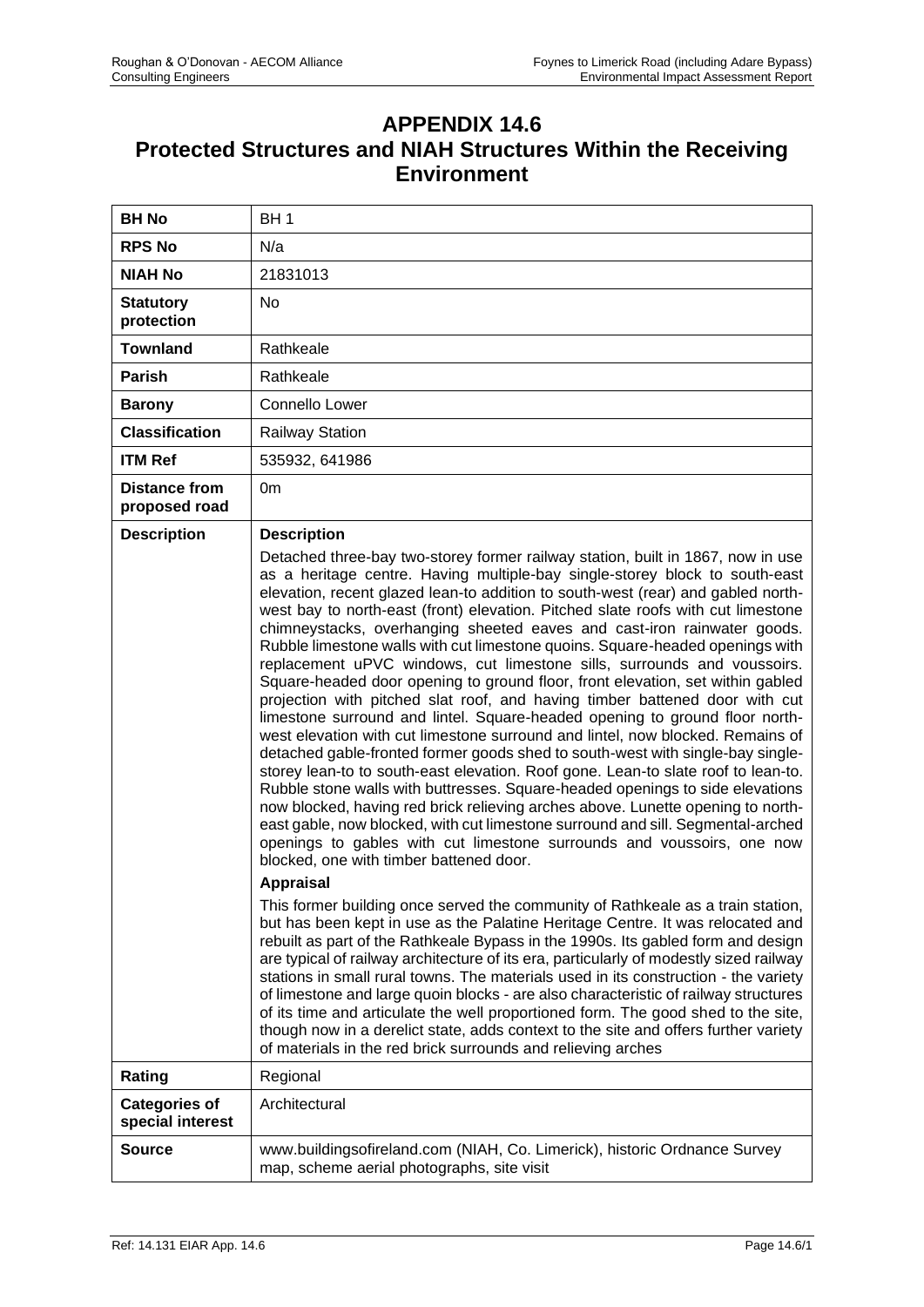## **APPENDIX 14.6 Protected Structures and NIAH Structures Within the Receiving Environment**

| <b>BH No</b>                             | BH <sub>1</sub>                                                                                                                                                                                                                                                                                                                                                                                                                                                                                                                                                                                                                                                                                                                                                                                                                                                                                                                                                                                                                                                                                                                                                                                                                                                                                                                                                                                                                                                                                                                                                                                                                                                                                                                                                                                                                                                                                                                                                                                                                                                                                                                                                                                                                                                                           |
|------------------------------------------|-------------------------------------------------------------------------------------------------------------------------------------------------------------------------------------------------------------------------------------------------------------------------------------------------------------------------------------------------------------------------------------------------------------------------------------------------------------------------------------------------------------------------------------------------------------------------------------------------------------------------------------------------------------------------------------------------------------------------------------------------------------------------------------------------------------------------------------------------------------------------------------------------------------------------------------------------------------------------------------------------------------------------------------------------------------------------------------------------------------------------------------------------------------------------------------------------------------------------------------------------------------------------------------------------------------------------------------------------------------------------------------------------------------------------------------------------------------------------------------------------------------------------------------------------------------------------------------------------------------------------------------------------------------------------------------------------------------------------------------------------------------------------------------------------------------------------------------------------------------------------------------------------------------------------------------------------------------------------------------------------------------------------------------------------------------------------------------------------------------------------------------------------------------------------------------------------------------------------------------------------------------------------------------------|
| <b>RPS No</b>                            | N/a                                                                                                                                                                                                                                                                                                                                                                                                                                                                                                                                                                                                                                                                                                                                                                                                                                                                                                                                                                                                                                                                                                                                                                                                                                                                                                                                                                                                                                                                                                                                                                                                                                                                                                                                                                                                                                                                                                                                                                                                                                                                                                                                                                                                                                                                                       |
| <b>NIAH No</b>                           | 21831013                                                                                                                                                                                                                                                                                                                                                                                                                                                                                                                                                                                                                                                                                                                                                                                                                                                                                                                                                                                                                                                                                                                                                                                                                                                                                                                                                                                                                                                                                                                                                                                                                                                                                                                                                                                                                                                                                                                                                                                                                                                                                                                                                                                                                                                                                  |
| <b>Statutory</b><br>protection           | <b>No</b>                                                                                                                                                                                                                                                                                                                                                                                                                                                                                                                                                                                                                                                                                                                                                                                                                                                                                                                                                                                                                                                                                                                                                                                                                                                                                                                                                                                                                                                                                                                                                                                                                                                                                                                                                                                                                                                                                                                                                                                                                                                                                                                                                                                                                                                                                 |
| <b>Townland</b>                          | Rathkeale                                                                                                                                                                                                                                                                                                                                                                                                                                                                                                                                                                                                                                                                                                                                                                                                                                                                                                                                                                                                                                                                                                                                                                                                                                                                                                                                                                                                                                                                                                                                                                                                                                                                                                                                                                                                                                                                                                                                                                                                                                                                                                                                                                                                                                                                                 |
| Parish                                   | Rathkeale                                                                                                                                                                                                                                                                                                                                                                                                                                                                                                                                                                                                                                                                                                                                                                                                                                                                                                                                                                                                                                                                                                                                                                                                                                                                                                                                                                                                                                                                                                                                                                                                                                                                                                                                                                                                                                                                                                                                                                                                                                                                                                                                                                                                                                                                                 |
| <b>Barony</b>                            | Connello Lower                                                                                                                                                                                                                                                                                                                                                                                                                                                                                                                                                                                                                                                                                                                                                                                                                                                                                                                                                                                                                                                                                                                                                                                                                                                                                                                                                                                                                                                                                                                                                                                                                                                                                                                                                                                                                                                                                                                                                                                                                                                                                                                                                                                                                                                                            |
| <b>Classification</b>                    | <b>Railway Station</b>                                                                                                                                                                                                                                                                                                                                                                                                                                                                                                                                                                                                                                                                                                                                                                                                                                                                                                                                                                                                                                                                                                                                                                                                                                                                                                                                                                                                                                                                                                                                                                                                                                                                                                                                                                                                                                                                                                                                                                                                                                                                                                                                                                                                                                                                    |
| <b>ITM Ref</b>                           | 535932, 641986                                                                                                                                                                                                                                                                                                                                                                                                                                                                                                                                                                                                                                                                                                                                                                                                                                                                                                                                                                                                                                                                                                                                                                                                                                                                                                                                                                                                                                                                                                                                                                                                                                                                                                                                                                                                                                                                                                                                                                                                                                                                                                                                                                                                                                                                            |
| <b>Distance from</b><br>proposed road    | 0 <sub>m</sub>                                                                                                                                                                                                                                                                                                                                                                                                                                                                                                                                                                                                                                                                                                                                                                                                                                                                                                                                                                                                                                                                                                                                                                                                                                                                                                                                                                                                                                                                                                                                                                                                                                                                                                                                                                                                                                                                                                                                                                                                                                                                                                                                                                                                                                                                            |
| <b>Description</b>                       | <b>Description</b><br>Detached three-bay two-storey former railway station, built in 1867, now in use<br>as a heritage centre. Having multiple-bay single-storey block to south-east<br>elevation, recent glazed lean-to addition to south-west (rear) and gabled north-<br>west bay to north-east (front) elevation. Pitched slate roofs with cut limestone<br>chimneystacks, overhanging sheeted eaves and cast-iron rainwater goods.<br>Rubble limestone walls with cut limestone quoins. Square-headed openings with<br>replacement uPVC windows, cut limestone sills, surrounds and voussoirs.<br>Square-headed door opening to ground floor, front elevation, set within gabled<br>projection with pitched slat roof, and having timber battened door with cut<br>limestone surround and lintel. Square-headed opening to ground floor north-<br>west elevation with cut limestone surround and lintel, now blocked. Remains of<br>detached gable-fronted former goods shed to south-west with single-bay single-<br>storey lean-to to south-east elevation. Roof gone. Lean-to slate roof to lean-to.<br>Rubble stone walls with buttresses. Square-headed openings to side elevations<br>now blocked, having red brick relieving arches above. Lunette opening to north-<br>east gable, now blocked, with cut limestone surround and sill. Segmental-arched<br>openings to gables with cut limestone surrounds and voussoirs, one now<br>blocked, one with timber battened door.<br><b>Appraisal</b><br>This former building once served the community of Rathkeale as a train station,<br>but has been kept in use as the Palatine Heritage Centre. It was relocated and<br>rebuilt as part of the Rathkeale Bypass in the 1990s. Its gabled form and design<br>are typical of railway architecture of its era, particularly of modestly sized railway<br>stations in small rural towns. The materials used in its construction - the variety<br>of limestone and large quoin blocks - are also characteristic of railway structures<br>of its time and articulate the well proportioned form. The good shed to the site,<br>though now in a derelict state, adds context to the site and offers further variety<br>of materials in the red brick surrounds and relieving arches |
| Rating                                   | Regional                                                                                                                                                                                                                                                                                                                                                                                                                                                                                                                                                                                                                                                                                                                                                                                                                                                                                                                                                                                                                                                                                                                                                                                                                                                                                                                                                                                                                                                                                                                                                                                                                                                                                                                                                                                                                                                                                                                                                                                                                                                                                                                                                                                                                                                                                  |
| <b>Categories of</b><br>special interest | Architectural                                                                                                                                                                                                                                                                                                                                                                                                                                                                                                                                                                                                                                                                                                                                                                                                                                                                                                                                                                                                                                                                                                                                                                                                                                                                                                                                                                                                                                                                                                                                                                                                                                                                                                                                                                                                                                                                                                                                                                                                                                                                                                                                                                                                                                                                             |
| <b>Source</b>                            | www.buildingsofireland.com (NIAH, Co. Limerick), historic Ordnance Survey<br>map, scheme aerial photographs, site visit                                                                                                                                                                                                                                                                                                                                                                                                                                                                                                                                                                                                                                                                                                                                                                                                                                                                                                                                                                                                                                                                                                                                                                                                                                                                                                                                                                                                                                                                                                                                                                                                                                                                                                                                                                                                                                                                                                                                                                                                                                                                                                                                                                   |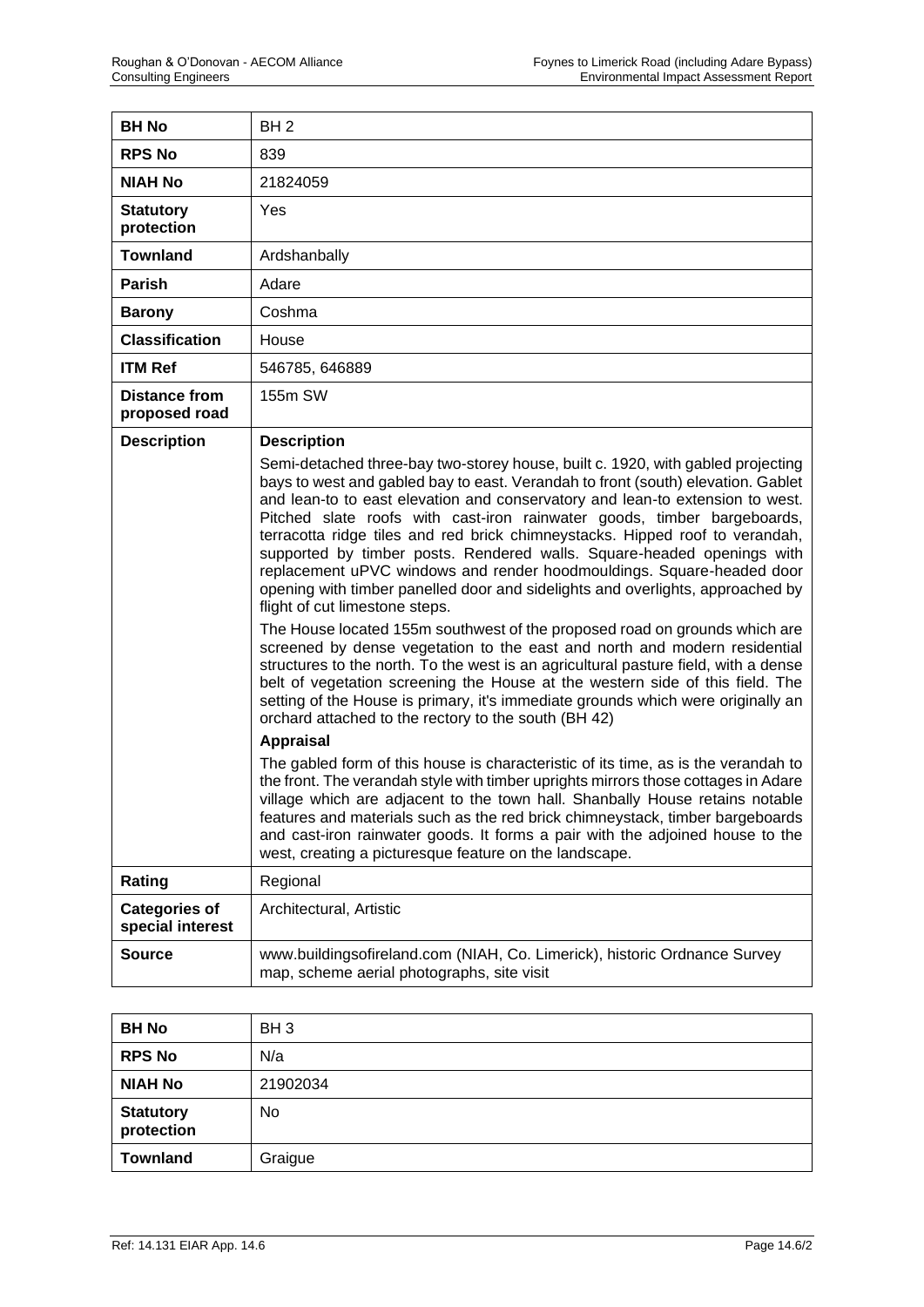| <b>BH No</b>                             | BH <sub>2</sub>                                                                                                                                                                                                                                                                                                                                                                                                                                                                                                                                                                                                                                                                                                                                                                                                                                                                                                                                                                                                                                                                                                                                                                                                                                                                                                                                                                                                                                                                                                                                                                                                                                                                                         |
|------------------------------------------|---------------------------------------------------------------------------------------------------------------------------------------------------------------------------------------------------------------------------------------------------------------------------------------------------------------------------------------------------------------------------------------------------------------------------------------------------------------------------------------------------------------------------------------------------------------------------------------------------------------------------------------------------------------------------------------------------------------------------------------------------------------------------------------------------------------------------------------------------------------------------------------------------------------------------------------------------------------------------------------------------------------------------------------------------------------------------------------------------------------------------------------------------------------------------------------------------------------------------------------------------------------------------------------------------------------------------------------------------------------------------------------------------------------------------------------------------------------------------------------------------------------------------------------------------------------------------------------------------------------------------------------------------------------------------------------------------------|
| <b>RPS No</b>                            | 839                                                                                                                                                                                                                                                                                                                                                                                                                                                                                                                                                                                                                                                                                                                                                                                                                                                                                                                                                                                                                                                                                                                                                                                                                                                                                                                                                                                                                                                                                                                                                                                                                                                                                                     |
| <b>NIAH No</b>                           | 21824059                                                                                                                                                                                                                                                                                                                                                                                                                                                                                                                                                                                                                                                                                                                                                                                                                                                                                                                                                                                                                                                                                                                                                                                                                                                                                                                                                                                                                                                                                                                                                                                                                                                                                                |
| <b>Statutory</b><br>protection           | Yes                                                                                                                                                                                                                                                                                                                                                                                                                                                                                                                                                                                                                                                                                                                                                                                                                                                                                                                                                                                                                                                                                                                                                                                                                                                                                                                                                                                                                                                                                                                                                                                                                                                                                                     |
| <b>Townland</b>                          | Ardshanbally                                                                                                                                                                                                                                                                                                                                                                                                                                                                                                                                                                                                                                                                                                                                                                                                                                                                                                                                                                                                                                                                                                                                                                                                                                                                                                                                                                                                                                                                                                                                                                                                                                                                                            |
| Parish                                   | Adare                                                                                                                                                                                                                                                                                                                                                                                                                                                                                                                                                                                                                                                                                                                                                                                                                                                                                                                                                                                                                                                                                                                                                                                                                                                                                                                                                                                                                                                                                                                                                                                                                                                                                                   |
| <b>Barony</b>                            | Coshma                                                                                                                                                                                                                                                                                                                                                                                                                                                                                                                                                                                                                                                                                                                                                                                                                                                                                                                                                                                                                                                                                                                                                                                                                                                                                                                                                                                                                                                                                                                                                                                                                                                                                                  |
| <b>Classification</b>                    | House                                                                                                                                                                                                                                                                                                                                                                                                                                                                                                                                                                                                                                                                                                                                                                                                                                                                                                                                                                                                                                                                                                                                                                                                                                                                                                                                                                                                                                                                                                                                                                                                                                                                                                   |
| <b>ITM Ref</b>                           | 546785, 646889                                                                                                                                                                                                                                                                                                                                                                                                                                                                                                                                                                                                                                                                                                                                                                                                                                                                                                                                                                                                                                                                                                                                                                                                                                                                                                                                                                                                                                                                                                                                                                                                                                                                                          |
| <b>Distance from</b><br>proposed road    | 155m SW                                                                                                                                                                                                                                                                                                                                                                                                                                                                                                                                                                                                                                                                                                                                                                                                                                                                                                                                                                                                                                                                                                                                                                                                                                                                                                                                                                                                                                                                                                                                                                                                                                                                                                 |
| <b>Description</b>                       | <b>Description</b><br>Semi-detached three-bay two-storey house, built c. 1920, with gabled projecting<br>bays to west and gabled bay to east. Verandah to front (south) elevation. Gablet<br>and lean-to to east elevation and conservatory and lean-to extension to west.<br>Pitched slate roofs with cast-iron rainwater goods, timber bargeboards,<br>terracotta ridge tiles and red brick chimneystacks. Hipped roof to verandah,<br>supported by timber posts. Rendered walls. Square-headed openings with<br>replacement uPVC windows and render hoodmouldings. Square-headed door<br>opening with timber panelled door and sidelights and overlights, approached by<br>flight of cut limestone steps.<br>The House located 155m southwest of the proposed road on grounds which are<br>screened by dense vegetation to the east and north and modern residential<br>structures to the north. To the west is an agricultural pasture field, with a dense<br>belt of vegetation screening the House at the western side of this field. The<br>setting of the House is primary, it's immediate grounds which were originally an<br>orchard attached to the rectory to the south (BH 42)<br><b>Appraisal</b><br>The gabled form of this house is characteristic of its time, as is the verandah to<br>the front. The verandah style with timber uprights mirrors those cottages in Adare<br>village which are adjacent to the town hall. Shanbally House retains notable<br>features and materials such as the red brick chimneystack, timber bargeboards<br>and cast-iron rainwater goods. It forms a pair with the adjoined house to the<br>west, creating a picturesque feature on the landscape. |
| Rating                                   | Regional                                                                                                                                                                                                                                                                                                                                                                                                                                                                                                                                                                                                                                                                                                                                                                                                                                                                                                                                                                                                                                                                                                                                                                                                                                                                                                                                                                                                                                                                                                                                                                                                                                                                                                |
| <b>Categories of</b><br>special interest | Architectural, Artistic                                                                                                                                                                                                                                                                                                                                                                                                                                                                                                                                                                                                                                                                                                                                                                                                                                                                                                                                                                                                                                                                                                                                                                                                                                                                                                                                                                                                                                                                                                                                                                                                                                                                                 |
| Source                                   | www.buildingsofireland.com (NIAH, Co. Limerick), historic Ordnance Survey<br>map, scheme aerial photographs, site visit                                                                                                                                                                                                                                                                                                                                                                                                                                                                                                                                                                                                                                                                                                                                                                                                                                                                                                                                                                                                                                                                                                                                                                                                                                                                                                                                                                                                                                                                                                                                                                                 |

| <b>BH No</b>                   | BH <sub>3</sub> |
|--------------------------------|-----------------|
| <b>RPS No</b>                  | N/a             |
| <b>NIAH No</b>                 | 21902034        |
| <b>Statutory</b><br>protection | No              |
| <b>Townland</b>                | Graigue         |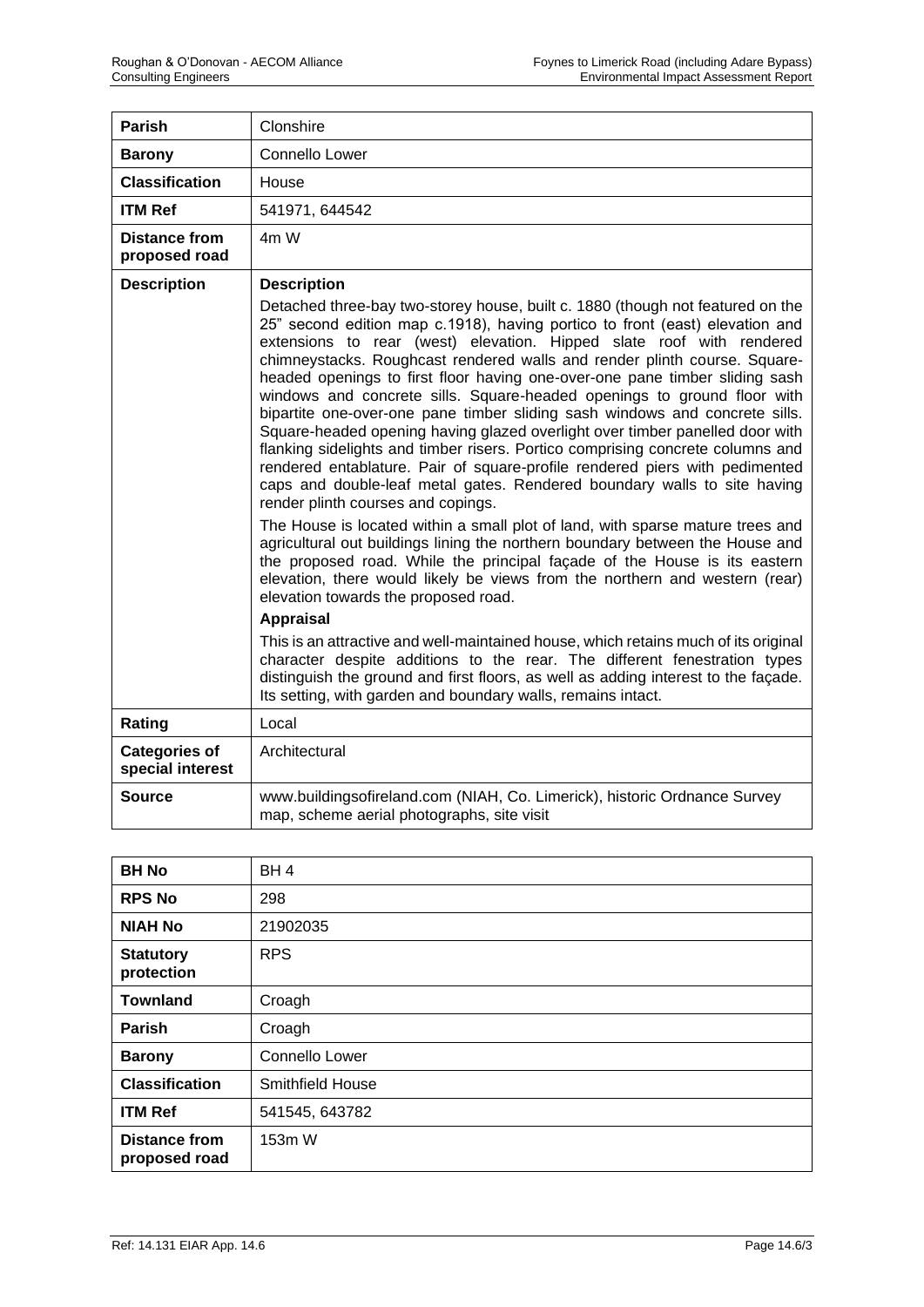| <b>Parish</b>                            | Clonshire                                                                                                                                                                                                                                                                                                                                                                                                                                                                                                                                                                                                                                                                                                                                                                                                                                                                                                                                                                                                                                                                                                                                                                                                                                                                                              |
|------------------------------------------|--------------------------------------------------------------------------------------------------------------------------------------------------------------------------------------------------------------------------------------------------------------------------------------------------------------------------------------------------------------------------------------------------------------------------------------------------------------------------------------------------------------------------------------------------------------------------------------------------------------------------------------------------------------------------------------------------------------------------------------------------------------------------------------------------------------------------------------------------------------------------------------------------------------------------------------------------------------------------------------------------------------------------------------------------------------------------------------------------------------------------------------------------------------------------------------------------------------------------------------------------------------------------------------------------------|
| <b>Barony</b>                            | Connello Lower                                                                                                                                                                                                                                                                                                                                                                                                                                                                                                                                                                                                                                                                                                                                                                                                                                                                                                                                                                                                                                                                                                                                                                                                                                                                                         |
| <b>Classification</b>                    | House                                                                                                                                                                                                                                                                                                                                                                                                                                                                                                                                                                                                                                                                                                                                                                                                                                                                                                                                                                                                                                                                                                                                                                                                                                                                                                  |
| <b>ITM Ref</b>                           | 541971, 644542                                                                                                                                                                                                                                                                                                                                                                                                                                                                                                                                                                                                                                                                                                                                                                                                                                                                                                                                                                                                                                                                                                                                                                                                                                                                                         |
| <b>Distance from</b><br>proposed road    | 4m W                                                                                                                                                                                                                                                                                                                                                                                                                                                                                                                                                                                                                                                                                                                                                                                                                                                                                                                                                                                                                                                                                                                                                                                                                                                                                                   |
| <b>Description</b>                       | <b>Description</b>                                                                                                                                                                                                                                                                                                                                                                                                                                                                                                                                                                                                                                                                                                                                                                                                                                                                                                                                                                                                                                                                                                                                                                                                                                                                                     |
|                                          | Detached three-bay two-storey house, built c. 1880 (though not featured on the<br>25" second edition map c.1918), having portico to front (east) elevation and<br>extensions to rear (west) elevation. Hipped slate roof with rendered<br>chimneystacks. Roughcast rendered walls and render plinth course. Square-<br>headed openings to first floor having one-over-one pane timber sliding sash<br>windows and concrete sills. Square-headed openings to ground floor with<br>bipartite one-over-one pane timber sliding sash windows and concrete sills.<br>Square-headed opening having glazed overlight over timber panelled door with<br>flanking sidelights and timber risers. Portico comprising concrete columns and<br>rendered entablature. Pair of square-profile rendered piers with pedimented<br>caps and double-leaf metal gates. Rendered boundary walls to site having<br>render plinth courses and copings.<br>The House is located within a small plot of land, with sparse mature trees and<br>agricultural out buildings lining the northern boundary between the House and<br>the proposed road. While the principal façade of the House is its eastern<br>elevation, there would likely be views from the northern and western (rear)<br>elevation towards the proposed road. |
|                                          | <b>Appraisal</b>                                                                                                                                                                                                                                                                                                                                                                                                                                                                                                                                                                                                                                                                                                                                                                                                                                                                                                                                                                                                                                                                                                                                                                                                                                                                                       |
|                                          | This is an attractive and well-maintained house, which retains much of its original<br>character despite additions to the rear. The different fenestration types<br>distinguish the ground and first floors, as well as adding interest to the façade.<br>Its setting, with garden and boundary walls, remains intact.                                                                                                                                                                                                                                                                                                                                                                                                                                                                                                                                                                                                                                                                                                                                                                                                                                                                                                                                                                                 |
| Rating                                   | Local                                                                                                                                                                                                                                                                                                                                                                                                                                                                                                                                                                                                                                                                                                                                                                                                                                                                                                                                                                                                                                                                                                                                                                                                                                                                                                  |
| <b>Categories of</b><br>special interest | Architectural                                                                                                                                                                                                                                                                                                                                                                                                                                                                                                                                                                                                                                                                                                                                                                                                                                                                                                                                                                                                                                                                                                                                                                                                                                                                                          |
| Source                                   | www.buildingsofireland.com (NIAH, Co. Limerick), historic Ordnance Survey<br>map, scheme aerial photographs, site visit                                                                                                                                                                                                                                                                                                                                                                                                                                                                                                                                                                                                                                                                                                                                                                                                                                                                                                                                                                                                                                                                                                                                                                                |

| <b>BH No</b>                          | BH <sub>4</sub>  |
|---------------------------------------|------------------|
| <b>RPS No</b>                         | 298              |
| <b>NIAH No</b>                        | 21902035         |
| <b>Statutory</b><br>protection        | <b>RPS</b>       |
| <b>Townland</b>                       | Croagh           |
| <b>Parish</b>                         | Croagh           |
| <b>Barony</b>                         | Connello Lower   |
| <b>Classification</b>                 | Smithfield House |
| <b>ITM Ref</b>                        | 541545, 643782   |
| <b>Distance from</b><br>proposed road | 153m W           |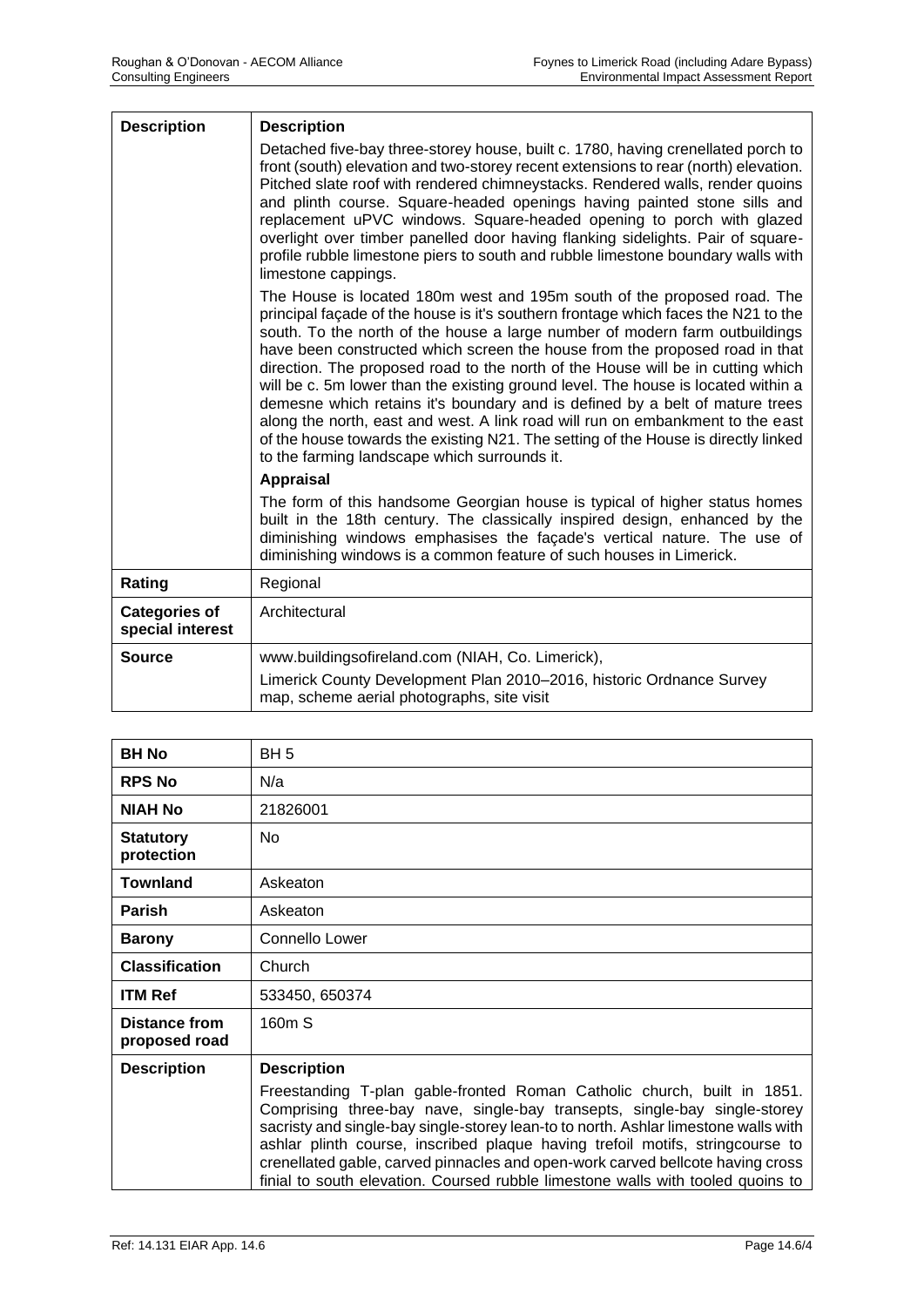| <b>Description</b>                       | <b>Description</b>                                                                                                                                                                                                                                                                                                                                                                                                                                                                                                                                                                                                                                                                                                                                                                                          |
|------------------------------------------|-------------------------------------------------------------------------------------------------------------------------------------------------------------------------------------------------------------------------------------------------------------------------------------------------------------------------------------------------------------------------------------------------------------------------------------------------------------------------------------------------------------------------------------------------------------------------------------------------------------------------------------------------------------------------------------------------------------------------------------------------------------------------------------------------------------|
|                                          | Detached five-bay three-storey house, built c. 1780, having crenellated porch to<br>front (south) elevation and two-storey recent extensions to rear (north) elevation.<br>Pitched slate roof with rendered chimneystacks. Rendered walls, render quoins<br>and plinth course. Square-headed openings having painted stone sills and<br>replacement uPVC windows. Square-headed opening to porch with glazed<br>overlight over timber panelled door having flanking sidelights. Pair of square-<br>profile rubble limestone piers to south and rubble limestone boundary walls with<br>limestone cappings.                                                                                                                                                                                                  |
|                                          | The House is located 180m west and 195m south of the proposed road. The<br>principal façade of the house is it's southern frontage which faces the N21 to the<br>south. To the north of the house a large number of modern farm outbuildings<br>have been constructed which screen the house from the proposed road in that<br>direction. The proposed road to the north of the House will be in cutting which<br>will be c. 5m lower than the existing ground level. The house is located within a<br>demesne which retains it's boundary and is defined by a belt of mature trees<br>along the north, east and west. A link road will run on embankment to the east<br>of the house towards the existing N21. The setting of the House is directly linked<br>to the farming landscape which surrounds it. |
|                                          | <b>Appraisal</b>                                                                                                                                                                                                                                                                                                                                                                                                                                                                                                                                                                                                                                                                                                                                                                                            |
|                                          | The form of this handsome Georgian house is typical of higher status homes<br>built in the 18th century. The classically inspired design, enhanced by the<br>diminishing windows emphasises the façade's vertical nature. The use of<br>diminishing windows is a common feature of such houses in Limerick.                                                                                                                                                                                                                                                                                                                                                                                                                                                                                                 |
| Rating                                   | Regional                                                                                                                                                                                                                                                                                                                                                                                                                                                                                                                                                                                                                                                                                                                                                                                                    |
| <b>Categories of</b><br>special interest | Architectural                                                                                                                                                                                                                                                                                                                                                                                                                                                                                                                                                                                                                                                                                                                                                                                               |
| <b>Source</b>                            | www.buildingsofireland.com (NIAH, Co. Limerick),                                                                                                                                                                                                                                                                                                                                                                                                                                                                                                                                                                                                                                                                                                                                                            |
|                                          | Limerick County Development Plan 2010-2016, historic Ordnance Survey<br>map, scheme aerial photographs, site visit                                                                                                                                                                                                                                                                                                                                                                                                                                                                                                                                                                                                                                                                                          |

| <b>BH No</b>                          | BH <sub>5</sub>                                                                                                                                                                                                                                                                                                                                                                                                                                                                                   |
|---------------------------------------|---------------------------------------------------------------------------------------------------------------------------------------------------------------------------------------------------------------------------------------------------------------------------------------------------------------------------------------------------------------------------------------------------------------------------------------------------------------------------------------------------|
| <b>RPS No</b>                         | N/a                                                                                                                                                                                                                                                                                                                                                                                                                                                                                               |
| <b>NIAH No</b>                        | 21826001                                                                                                                                                                                                                                                                                                                                                                                                                                                                                          |
| <b>Statutory</b><br>protection        | <b>No</b>                                                                                                                                                                                                                                                                                                                                                                                                                                                                                         |
| Townland                              | Askeaton                                                                                                                                                                                                                                                                                                                                                                                                                                                                                          |
| <b>Parish</b>                         | Askeaton                                                                                                                                                                                                                                                                                                                                                                                                                                                                                          |
| <b>Barony</b>                         | Connello Lower                                                                                                                                                                                                                                                                                                                                                                                                                                                                                    |
| <b>Classification</b>                 | Church                                                                                                                                                                                                                                                                                                                                                                                                                                                                                            |
| <b>ITM Ref</b>                        | 533450, 650374                                                                                                                                                                                                                                                                                                                                                                                                                                                                                    |
| <b>Distance from</b><br>proposed road | 160m S                                                                                                                                                                                                                                                                                                                                                                                                                                                                                            |
| <b>Description</b>                    | <b>Description</b>                                                                                                                                                                                                                                                                                                                                                                                                                                                                                |
|                                       | Freestanding T-plan gable-fronted Roman Catholic church, built in 1851.<br>Comprising three-bay nave, single-bay transepts, single-bay single-storey<br>sacristy and single-bay single-storey lean-to to north. Ashlar limestone walls with<br>ashlar plinth course, inscribed plaque having trefoil motifs, stringcourse to<br>crenellated gable, carved pinnacles and open-work carved bellcote having cross<br>finial to south elevation. Coursed rubble limestone walls with tooled quoins to |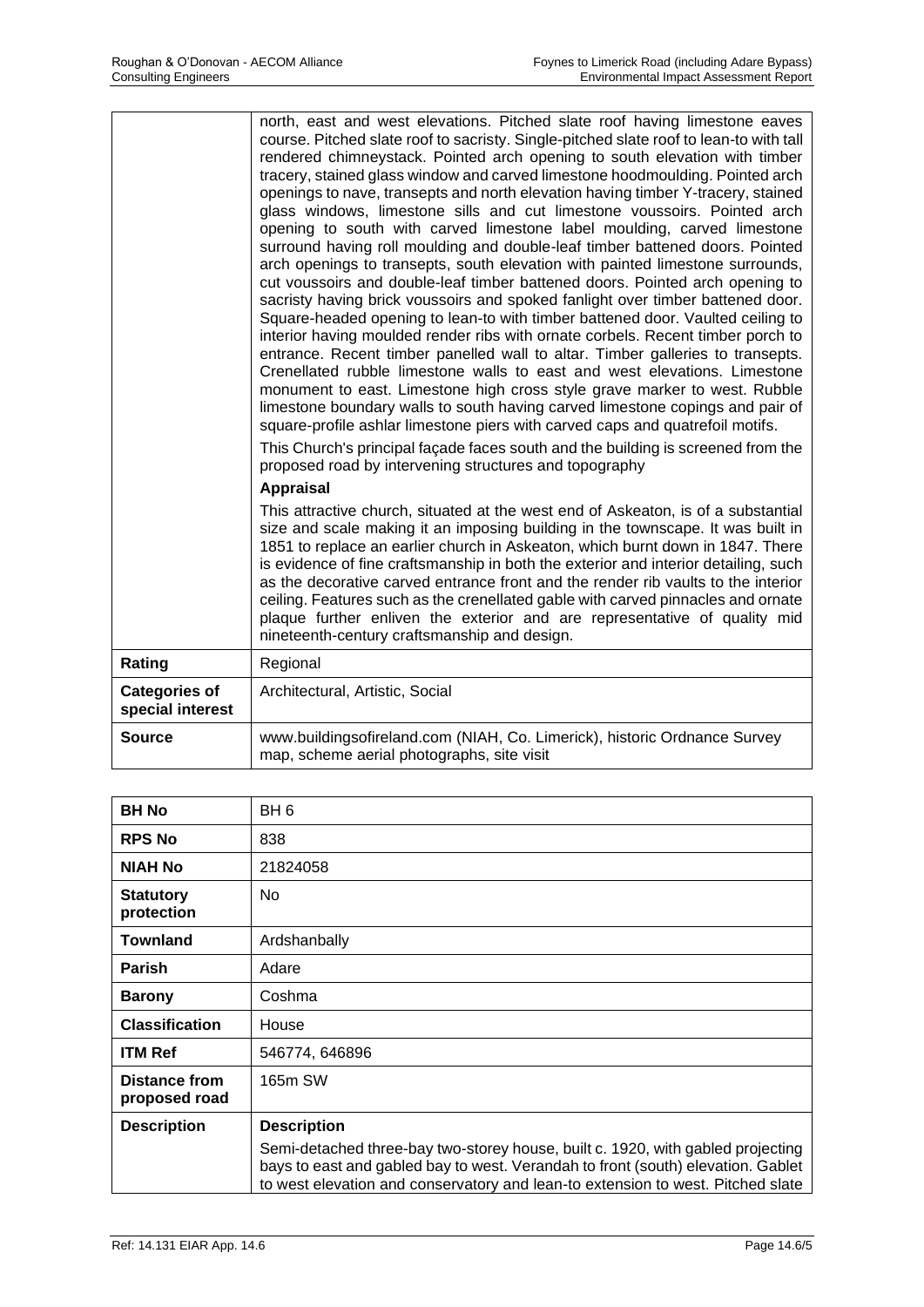| north, east and west elevations. Pitched slate roof having limestone eaves<br>course. Pitched slate roof to sacristy. Single-pitched slate roof to lean-to with tall<br>rendered chimneystack. Pointed arch opening to south elevation with timber<br>tracery, stained glass window and carved limestone hoodmoulding. Pointed arch<br>openings to nave, transepts and north elevation having timber Y-tracery, stained<br>glass windows, limestone sills and cut limestone voussoirs. Pointed arch<br>opening to south with carved limestone label moulding, carved limestone<br>surround having roll moulding and double-leaf timber battened doors. Pointed<br>arch openings to transepts, south elevation with painted limestone surrounds,<br>cut voussoirs and double-leaf timber battened doors. Pointed arch opening to<br>sacristy having brick voussoirs and spoked fanlight over timber battened door.<br>Square-headed opening to lean-to with timber battened door. Vaulted ceiling to<br>interior having moulded render ribs with ornate corbels. Recent timber porch to<br>entrance. Recent timber panelled wall to altar. Timber galleries to transepts.<br>Crenellated rubble limestone walls to east and west elevations. Limestone<br>monument to east. Limestone high cross style grave marker to west. Rubble<br>limestone boundary walls to south having carved limestone copings and pair of<br>square-profile ashlar limestone piers with carved caps and quatrefoil motifs. |
|------------------------------------------------------------------------------------------------------------------------------------------------------------------------------------------------------------------------------------------------------------------------------------------------------------------------------------------------------------------------------------------------------------------------------------------------------------------------------------------------------------------------------------------------------------------------------------------------------------------------------------------------------------------------------------------------------------------------------------------------------------------------------------------------------------------------------------------------------------------------------------------------------------------------------------------------------------------------------------------------------------------------------------------------------------------------------------------------------------------------------------------------------------------------------------------------------------------------------------------------------------------------------------------------------------------------------------------------------------------------------------------------------------------------------------------------------------------------------------------------------|
| This Church's principal façade faces south and the building is screened from the<br>proposed road by intervening structures and topography                                                                                                                                                                                                                                                                                                                                                                                                                                                                                                                                                                                                                                                                                                                                                                                                                                                                                                                                                                                                                                                                                                                                                                                                                                                                                                                                                           |
| <b>Appraisal</b><br>This attractive church, situated at the west end of Askeaton, is of a substantial<br>size and scale making it an imposing building in the townscape. It was built in<br>1851 to replace an earlier church in Askeaton, which burnt down in 1847. There<br>is evidence of fine craftsmanship in both the exterior and interior detailing, such<br>as the decorative carved entrance front and the render rib vaults to the interior<br>ceiling. Features such as the crenellated gable with carved pinnacles and ornate<br>plaque further enliven the exterior and are representative of quality mid<br>nineteenth-century craftsmanship and design.                                                                                                                                                                                                                                                                                                                                                                                                                                                                                                                                                                                                                                                                                                                                                                                                                              |
| Regional                                                                                                                                                                                                                                                                                                                                                                                                                                                                                                                                                                                                                                                                                                                                                                                                                                                                                                                                                                                                                                                                                                                                                                                                                                                                                                                                                                                                                                                                                             |
| Architectural, Artistic, Social                                                                                                                                                                                                                                                                                                                                                                                                                                                                                                                                                                                                                                                                                                                                                                                                                                                                                                                                                                                                                                                                                                                                                                                                                                                                                                                                                                                                                                                                      |
| www.buildingsofireland.com (NIAH, Co. Limerick), historic Ordnance Survey<br>map, scheme aerial photographs, site visit                                                                                                                                                                                                                                                                                                                                                                                                                                                                                                                                                                                                                                                                                                                                                                                                                                                                                                                                                                                                                                                                                                                                                                                                                                                                                                                                                                              |
|                                                                                                                                                                                                                                                                                                                                                                                                                                                                                                                                                                                                                                                                                                                                                                                                                                                                                                                                                                                                                                                                                                                                                                                                                                                                                                                                                                                                                                                                                                      |

| <b>BH No</b>                          | BH <sub>6</sub>                                                                                                                                                                                                                                        |
|---------------------------------------|--------------------------------------------------------------------------------------------------------------------------------------------------------------------------------------------------------------------------------------------------------|
| <b>RPS No</b>                         | 838                                                                                                                                                                                                                                                    |
| <b>NIAH No</b>                        | 21824058                                                                                                                                                                                                                                               |
| <b>Statutory</b><br>protection        | No                                                                                                                                                                                                                                                     |
| <b>Townland</b>                       | Ardshanbally                                                                                                                                                                                                                                           |
| <b>Parish</b>                         | Adare                                                                                                                                                                                                                                                  |
| <b>Barony</b>                         | Coshma                                                                                                                                                                                                                                                 |
| <b>Classification</b>                 | House                                                                                                                                                                                                                                                  |
| <b>ITM Ref</b>                        | 546774, 646896                                                                                                                                                                                                                                         |
| <b>Distance from</b><br>proposed road | 165m SW                                                                                                                                                                                                                                                |
| <b>Description</b>                    | <b>Description</b>                                                                                                                                                                                                                                     |
|                                       | Semi-detached three-bay two-storey house, built c. 1920, with gabled projecting<br>bays to east and gabled bay to west. Verandah to front (south) elevation. Gablet<br>to west elevation and conservatory and lean-to extension to west. Pitched slate |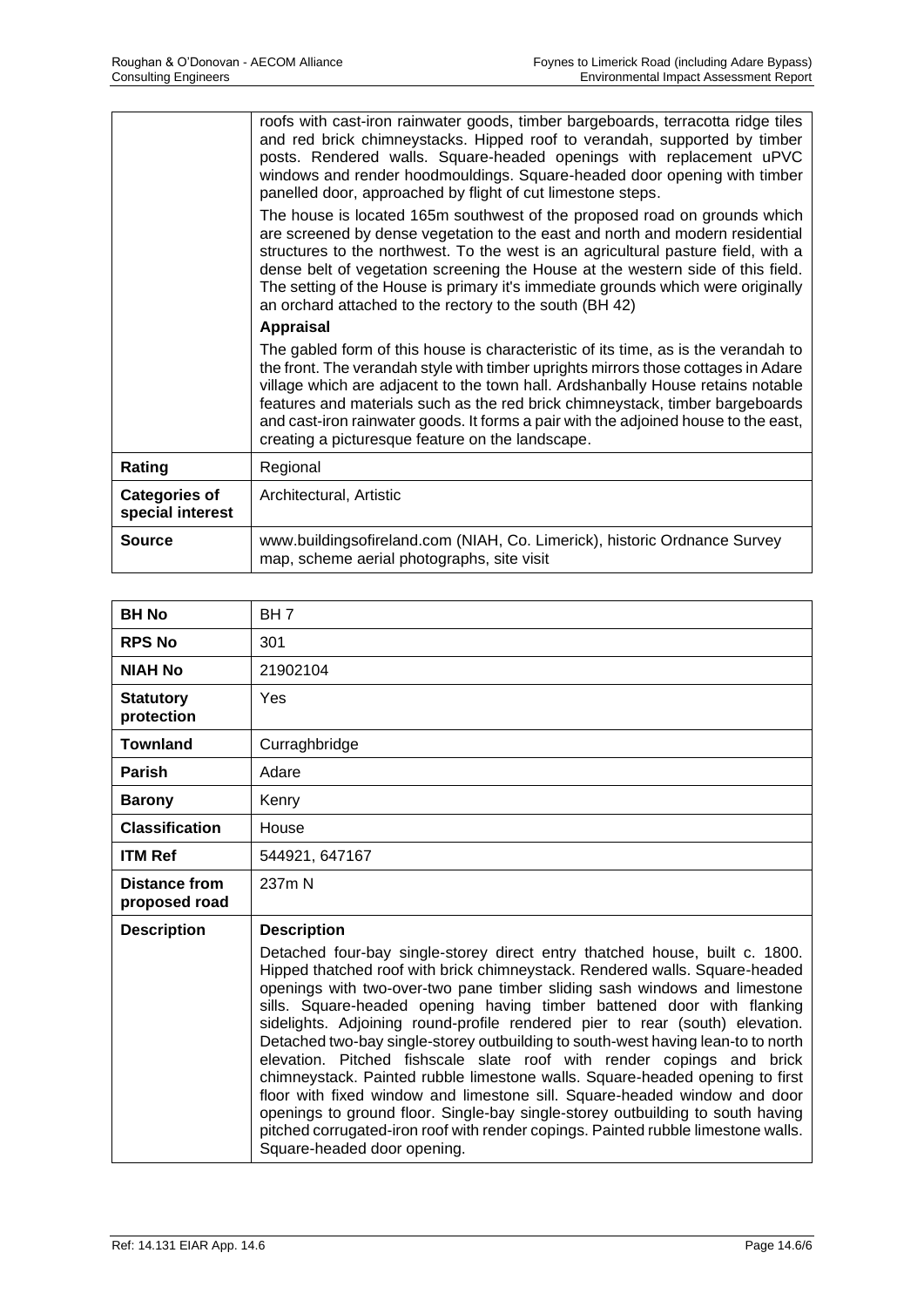|                                          | roofs with cast-iron rainwater goods, timber bargeboards, terracotta ridge tiles<br>and red brick chimneystacks. Hipped roof to verandah, supported by timber<br>posts. Rendered walls. Square-headed openings with replacement uPVC<br>windows and render hoodmouldings. Square-headed door opening with timber<br>panelled door, approached by flight of cut limestone steps.<br>The house is located 165m southwest of the proposed road on grounds which<br>are screened by dense vegetation to the east and north and modern residential<br>structures to the northwest. To the west is an agricultural pasture field, with a<br>dense belt of vegetation screening the House at the western side of this field.<br>The setting of the House is primary it's immediate grounds which were originally<br>an orchard attached to the rectory to the south (BH 42) |
|------------------------------------------|----------------------------------------------------------------------------------------------------------------------------------------------------------------------------------------------------------------------------------------------------------------------------------------------------------------------------------------------------------------------------------------------------------------------------------------------------------------------------------------------------------------------------------------------------------------------------------------------------------------------------------------------------------------------------------------------------------------------------------------------------------------------------------------------------------------------------------------------------------------------|
|                                          | <b>Appraisal</b>                                                                                                                                                                                                                                                                                                                                                                                                                                                                                                                                                                                                                                                                                                                                                                                                                                                     |
|                                          | The gabled form of this house is characteristic of its time, as is the verandah to<br>the front. The verandah style with timber uprights mirrors those cottages in Adare<br>village which are adjacent to the town hall. Ardshanbally House retains notable<br>features and materials such as the red brick chimneystack, timber bargeboards<br>and cast-iron rainwater goods. It forms a pair with the adjoined house to the east,<br>creating a picturesque feature on the landscape.                                                                                                                                                                                                                                                                                                                                                                              |
| Rating                                   | Regional                                                                                                                                                                                                                                                                                                                                                                                                                                                                                                                                                                                                                                                                                                                                                                                                                                                             |
| <b>Categories of</b><br>special interest | Architectural, Artistic                                                                                                                                                                                                                                                                                                                                                                                                                                                                                                                                                                                                                                                                                                                                                                                                                                              |
| <b>Source</b>                            | www.buildingsofireland.com (NIAH, Co. Limerick), historic Ordnance Survey<br>map, scheme aerial photographs, site visit                                                                                                                                                                                                                                                                                                                                                                                                                                                                                                                                                                                                                                                                                                                                              |

| <b>BH No</b>                   | BH <sub>7</sub>                                                                                                                                                                                                                                                                                                                                                                                                                                                                                                                                                                                                                                                                                                                                                                                                                                                                                                                                         |
|--------------------------------|---------------------------------------------------------------------------------------------------------------------------------------------------------------------------------------------------------------------------------------------------------------------------------------------------------------------------------------------------------------------------------------------------------------------------------------------------------------------------------------------------------------------------------------------------------------------------------------------------------------------------------------------------------------------------------------------------------------------------------------------------------------------------------------------------------------------------------------------------------------------------------------------------------------------------------------------------------|
| <b>RPS No</b>                  | 301                                                                                                                                                                                                                                                                                                                                                                                                                                                                                                                                                                                                                                                                                                                                                                                                                                                                                                                                                     |
| <b>NIAH No</b>                 | 21902104                                                                                                                                                                                                                                                                                                                                                                                                                                                                                                                                                                                                                                                                                                                                                                                                                                                                                                                                                |
| <b>Statutory</b><br>protection | Yes                                                                                                                                                                                                                                                                                                                                                                                                                                                                                                                                                                                                                                                                                                                                                                                                                                                                                                                                                     |
| <b>Townland</b>                | Curraghbridge                                                                                                                                                                                                                                                                                                                                                                                                                                                                                                                                                                                                                                                                                                                                                                                                                                                                                                                                           |
| Parish                         | Adare                                                                                                                                                                                                                                                                                                                                                                                                                                                                                                                                                                                                                                                                                                                                                                                                                                                                                                                                                   |
| <b>Barony</b>                  | Kenry                                                                                                                                                                                                                                                                                                                                                                                                                                                                                                                                                                                                                                                                                                                                                                                                                                                                                                                                                   |
| <b>Classification</b>          | House                                                                                                                                                                                                                                                                                                                                                                                                                                                                                                                                                                                                                                                                                                                                                                                                                                                                                                                                                   |
| <b>ITM Ref</b>                 | 544921, 647167                                                                                                                                                                                                                                                                                                                                                                                                                                                                                                                                                                                                                                                                                                                                                                                                                                                                                                                                          |
| Distance from<br>proposed road | 237m N                                                                                                                                                                                                                                                                                                                                                                                                                                                                                                                                                                                                                                                                                                                                                                                                                                                                                                                                                  |
| <b>Description</b>             | <b>Description</b><br>Detached four-bay single-storey direct entry thatched house, built c. 1800.<br>Hipped thatched roof with brick chimneystack. Rendered walls. Square-headed<br>openings with two-over-two pane timber sliding sash windows and limestone<br>sills. Square-headed opening having timber battened door with flanking<br>sidelights. Adjoining round-profile rendered pier to rear (south) elevation.<br>Detached two-bay single-storey outbuilding to south-west having lean-to to north<br>elevation. Pitched fishscale slate roof with render copings and brick<br>chimneystack. Painted rubble limestone walls. Square-headed opening to first<br>floor with fixed window and limestone sill. Square-headed window and door<br>openings to ground floor. Single-bay single-storey outbuilding to south having<br>pitched corrugated-iron roof with render copings. Painted rubble limestone walls.<br>Square-headed door opening. |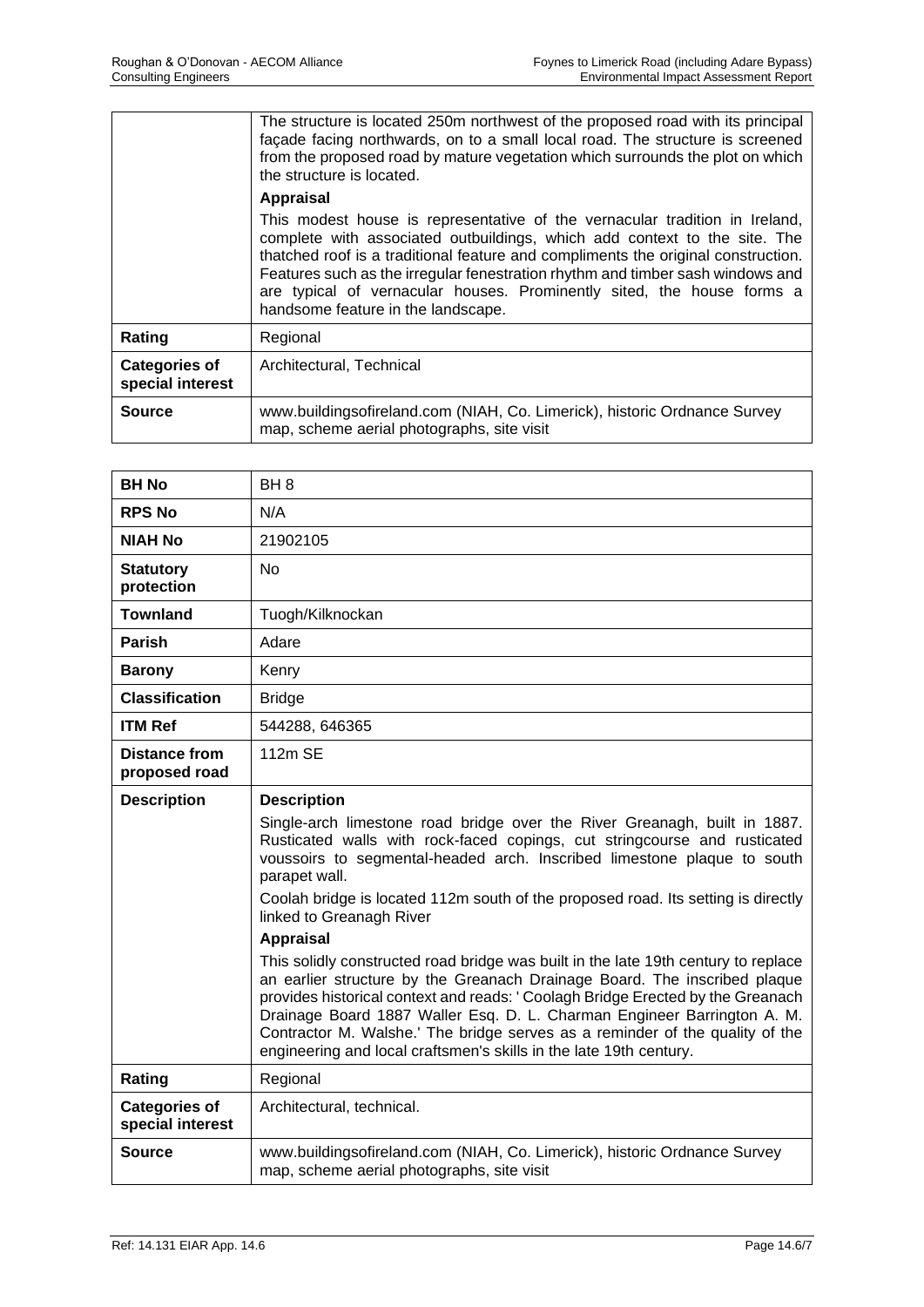|                                          | The structure is located 250m northwest of the proposed road with its principal<br>façade facing northwards, on to a small local road. The structure is screened<br>from the proposed road by mature vegetation which surrounds the plot on which<br>the structure is located.                                                                                                                                                                  |
|------------------------------------------|-------------------------------------------------------------------------------------------------------------------------------------------------------------------------------------------------------------------------------------------------------------------------------------------------------------------------------------------------------------------------------------------------------------------------------------------------|
|                                          | <b>Appraisal</b>                                                                                                                                                                                                                                                                                                                                                                                                                                |
|                                          | This modest house is representative of the vernacular tradition in Ireland,<br>complete with associated outbuildings, which add context to the site. The<br>thatched roof is a traditional feature and compliments the original construction.<br>Features such as the irregular fenestration rhythm and timber sash windows and<br>are typical of vernacular houses. Prominently sited, the house forms a<br>handsome feature in the landscape. |
| Rating                                   | Regional                                                                                                                                                                                                                                                                                                                                                                                                                                        |
| <b>Categories of</b><br>special interest | Architectural, Technical                                                                                                                                                                                                                                                                                                                                                                                                                        |
| Source                                   | www.buildingsofireland.com (NIAH, Co. Limerick), historic Ordnance Survey<br>map, scheme aerial photographs, site visit                                                                                                                                                                                                                                                                                                                         |

| <b>BH No</b>                             | BH <sub>8</sub>                                                                                                                                                                                                                                                                                                                                                                                                                                                                     |
|------------------------------------------|-------------------------------------------------------------------------------------------------------------------------------------------------------------------------------------------------------------------------------------------------------------------------------------------------------------------------------------------------------------------------------------------------------------------------------------------------------------------------------------|
| <b>RPS No</b>                            | N/A                                                                                                                                                                                                                                                                                                                                                                                                                                                                                 |
| <b>NIAH No</b>                           | 21902105                                                                                                                                                                                                                                                                                                                                                                                                                                                                            |
| <b>Statutory</b><br>protection           | <b>No</b>                                                                                                                                                                                                                                                                                                                                                                                                                                                                           |
| <b>Townland</b>                          | Tuogh/Kilknockan                                                                                                                                                                                                                                                                                                                                                                                                                                                                    |
| Parish                                   | Adare                                                                                                                                                                                                                                                                                                                                                                                                                                                                               |
| <b>Barony</b>                            | Kenry                                                                                                                                                                                                                                                                                                                                                                                                                                                                               |
| <b>Classification</b>                    | <b>Bridge</b>                                                                                                                                                                                                                                                                                                                                                                                                                                                                       |
| <b>ITM Ref</b>                           | 544288, 646365                                                                                                                                                                                                                                                                                                                                                                                                                                                                      |
| Distance from<br>proposed road           | 112m SE                                                                                                                                                                                                                                                                                                                                                                                                                                                                             |
| <b>Description</b>                       | <b>Description</b>                                                                                                                                                                                                                                                                                                                                                                                                                                                                  |
|                                          | Single-arch limestone road bridge over the River Greanagh, built in 1887.<br>Rusticated walls with rock-faced copings, cut stringcourse and rusticated<br>voussoirs to segmental-headed arch. Inscribed limestone plaque to south<br>parapet wall.                                                                                                                                                                                                                                  |
|                                          | Coolah bridge is located 112m south of the proposed road. Its setting is directly<br>linked to Greanagh River                                                                                                                                                                                                                                                                                                                                                                       |
|                                          | <b>Appraisal</b>                                                                                                                                                                                                                                                                                                                                                                                                                                                                    |
|                                          | This solidly constructed road bridge was built in the late 19th century to replace<br>an earlier structure by the Greanach Drainage Board. The inscribed plaque<br>provides historical context and reads: ' Coolagh Bridge Erected by the Greanach<br>Drainage Board 1887 Waller Esq. D. L. Charman Engineer Barrington A. M.<br>Contractor M. Walshe.' The bridge serves as a reminder of the quality of the<br>engineering and local craftsmen's skills in the late 19th century. |
| Rating                                   | Regional                                                                                                                                                                                                                                                                                                                                                                                                                                                                            |
| <b>Categories of</b><br>special interest | Architectural, technical.                                                                                                                                                                                                                                                                                                                                                                                                                                                           |
| <b>Source</b>                            | www.buildingsofireland.com (NIAH, Co. Limerick), historic Ordnance Survey<br>map, scheme aerial photographs, site visit                                                                                                                                                                                                                                                                                                                                                             |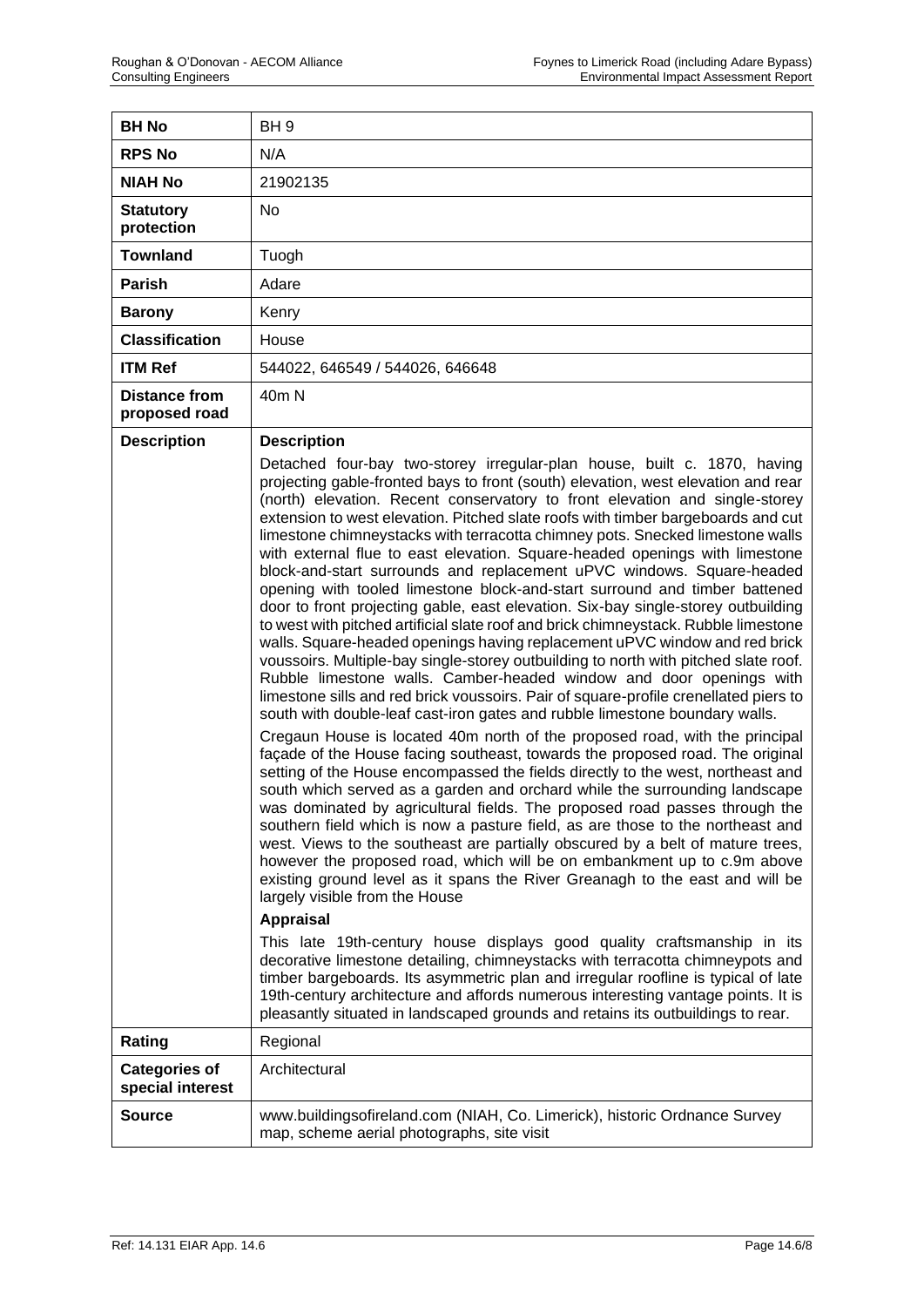| <b>BH No</b>                          | BH <sub>9</sub>                                                                                                                                                                                                                                                                                                                                                                                                                                                                                                                                                                                                                                                                                                                                                                                                                                                                                                                                                                                                                                                                                                                                                                                                                                                                                                                                                                                                                                                                                                                                                                                                                                                                                                                                                                                                                                                                                                                                                                                                                                                                                                                                                                                                                                                                                                                                                                                                                                                                                                      |
|---------------------------------------|----------------------------------------------------------------------------------------------------------------------------------------------------------------------------------------------------------------------------------------------------------------------------------------------------------------------------------------------------------------------------------------------------------------------------------------------------------------------------------------------------------------------------------------------------------------------------------------------------------------------------------------------------------------------------------------------------------------------------------------------------------------------------------------------------------------------------------------------------------------------------------------------------------------------------------------------------------------------------------------------------------------------------------------------------------------------------------------------------------------------------------------------------------------------------------------------------------------------------------------------------------------------------------------------------------------------------------------------------------------------------------------------------------------------------------------------------------------------------------------------------------------------------------------------------------------------------------------------------------------------------------------------------------------------------------------------------------------------------------------------------------------------------------------------------------------------------------------------------------------------------------------------------------------------------------------------------------------------------------------------------------------------------------------------------------------------------------------------------------------------------------------------------------------------------------------------------------------------------------------------------------------------------------------------------------------------------------------------------------------------------------------------------------------------------------------------------------------------------------------------------------------------|
| <b>RPS No</b>                         | N/A                                                                                                                                                                                                                                                                                                                                                                                                                                                                                                                                                                                                                                                                                                                                                                                                                                                                                                                                                                                                                                                                                                                                                                                                                                                                                                                                                                                                                                                                                                                                                                                                                                                                                                                                                                                                                                                                                                                                                                                                                                                                                                                                                                                                                                                                                                                                                                                                                                                                                                                  |
| <b>NIAH No</b>                        | 21902135                                                                                                                                                                                                                                                                                                                                                                                                                                                                                                                                                                                                                                                                                                                                                                                                                                                                                                                                                                                                                                                                                                                                                                                                                                                                                                                                                                                                                                                                                                                                                                                                                                                                                                                                                                                                                                                                                                                                                                                                                                                                                                                                                                                                                                                                                                                                                                                                                                                                                                             |
| <b>Statutory</b><br>protection        | No                                                                                                                                                                                                                                                                                                                                                                                                                                                                                                                                                                                                                                                                                                                                                                                                                                                                                                                                                                                                                                                                                                                                                                                                                                                                                                                                                                                                                                                                                                                                                                                                                                                                                                                                                                                                                                                                                                                                                                                                                                                                                                                                                                                                                                                                                                                                                                                                                                                                                                                   |
| <b>Townland</b>                       | Tuogh                                                                                                                                                                                                                                                                                                                                                                                                                                                                                                                                                                                                                                                                                                                                                                                                                                                                                                                                                                                                                                                                                                                                                                                                                                                                                                                                                                                                                                                                                                                                                                                                                                                                                                                                                                                                                                                                                                                                                                                                                                                                                                                                                                                                                                                                                                                                                                                                                                                                                                                |
| <b>Parish</b>                         | Adare                                                                                                                                                                                                                                                                                                                                                                                                                                                                                                                                                                                                                                                                                                                                                                                                                                                                                                                                                                                                                                                                                                                                                                                                                                                                                                                                                                                                                                                                                                                                                                                                                                                                                                                                                                                                                                                                                                                                                                                                                                                                                                                                                                                                                                                                                                                                                                                                                                                                                                                |
| <b>Barony</b>                         | Kenry                                                                                                                                                                                                                                                                                                                                                                                                                                                                                                                                                                                                                                                                                                                                                                                                                                                                                                                                                                                                                                                                                                                                                                                                                                                                                                                                                                                                                                                                                                                                                                                                                                                                                                                                                                                                                                                                                                                                                                                                                                                                                                                                                                                                                                                                                                                                                                                                                                                                                                                |
| <b>Classification</b>                 | House                                                                                                                                                                                                                                                                                                                                                                                                                                                                                                                                                                                                                                                                                                                                                                                                                                                                                                                                                                                                                                                                                                                                                                                                                                                                                                                                                                                                                                                                                                                                                                                                                                                                                                                                                                                                                                                                                                                                                                                                                                                                                                                                                                                                                                                                                                                                                                                                                                                                                                                |
| <b>ITM Ref</b>                        | 544022, 646549 / 544026, 646648                                                                                                                                                                                                                                                                                                                                                                                                                                                                                                                                                                                                                                                                                                                                                                                                                                                                                                                                                                                                                                                                                                                                                                                                                                                                                                                                                                                                                                                                                                                                                                                                                                                                                                                                                                                                                                                                                                                                                                                                                                                                                                                                                                                                                                                                                                                                                                                                                                                                                      |
| <b>Distance from</b><br>proposed road | 40 <sub>m</sub> N                                                                                                                                                                                                                                                                                                                                                                                                                                                                                                                                                                                                                                                                                                                                                                                                                                                                                                                                                                                                                                                                                                                                                                                                                                                                                                                                                                                                                                                                                                                                                                                                                                                                                                                                                                                                                                                                                                                                                                                                                                                                                                                                                                                                                                                                                                                                                                                                                                                                                                    |
| <b>Description</b><br>Rating          | <b>Description</b><br>Detached four-bay two-storey irregular-plan house, built c. 1870, having<br>projecting gable-fronted bays to front (south) elevation, west elevation and rear<br>(north) elevation. Recent conservatory to front elevation and single-storey<br>extension to west elevation. Pitched slate roofs with timber bargeboards and cut<br>limestone chimneystacks with terracotta chimney pots. Snecked limestone walls<br>with external flue to east elevation. Square-headed openings with limestone<br>block-and-start surrounds and replacement uPVC windows. Square-headed<br>opening with tooled limestone block-and-start surround and timber battened<br>door to front projecting gable, east elevation. Six-bay single-storey outbuilding<br>to west with pitched artificial slate roof and brick chimneystack. Rubble limestone<br>walls. Square-headed openings having replacement uPVC window and red brick<br>voussoirs. Multiple-bay single-storey outbuilding to north with pitched slate roof.<br>Rubble limestone walls. Camber-headed window and door openings with<br>limestone sills and red brick voussoirs. Pair of square-profile crenellated piers to<br>south with double-leaf cast-iron gates and rubble limestone boundary walls.<br>Cregaun House is located 40m north of the proposed road, with the principal<br>façade of the House facing southeast, towards the proposed road. The original<br>setting of the House encompassed the fields directly to the west, northeast and<br>south which served as a garden and orchard while the surrounding landscape<br>was dominated by agricultural fields. The proposed road passes through the<br>southern field which is now a pasture field, as are those to the northeast and<br>west. Views to the southeast are partially obscured by a belt of mature trees,<br>however the proposed road, which will be on embankment up to c.9m above<br>existing ground level as it spans the River Greanagh to the east and will be<br>largely visible from the House<br><b>Appraisal</b><br>This late 19th-century house displays good quality craftsmanship in its<br>decorative limestone detailing, chimneystacks with terracotta chimneypots and<br>timber bargeboards. Its asymmetric plan and irregular roofline is typical of late<br>19th-century architecture and affords numerous interesting vantage points. It is<br>pleasantly situated in landscaped grounds and retains its outbuildings to rear.<br>Regional |
| <b>Categories of</b>                  | Architectural                                                                                                                                                                                                                                                                                                                                                                                                                                                                                                                                                                                                                                                                                                                                                                                                                                                                                                                                                                                                                                                                                                                                                                                                                                                                                                                                                                                                                                                                                                                                                                                                                                                                                                                                                                                                                                                                                                                                                                                                                                                                                                                                                                                                                                                                                                                                                                                                                                                                                                        |
| special interest                      |                                                                                                                                                                                                                                                                                                                                                                                                                                                                                                                                                                                                                                                                                                                                                                                                                                                                                                                                                                                                                                                                                                                                                                                                                                                                                                                                                                                                                                                                                                                                                                                                                                                                                                                                                                                                                                                                                                                                                                                                                                                                                                                                                                                                                                                                                                                                                                                                                                                                                                                      |
| Source                                | www.buildingsofireland.com (NIAH, Co. Limerick), historic Ordnance Survey<br>map, scheme aerial photographs, site visit                                                                                                                                                                                                                                                                                                                                                                                                                                                                                                                                                                                                                                                                                                                                                                                                                                                                                                                                                                                                                                                                                                                                                                                                                                                                                                                                                                                                                                                                                                                                                                                                                                                                                                                                                                                                                                                                                                                                                                                                                                                                                                                                                                                                                                                                                                                                                                                              |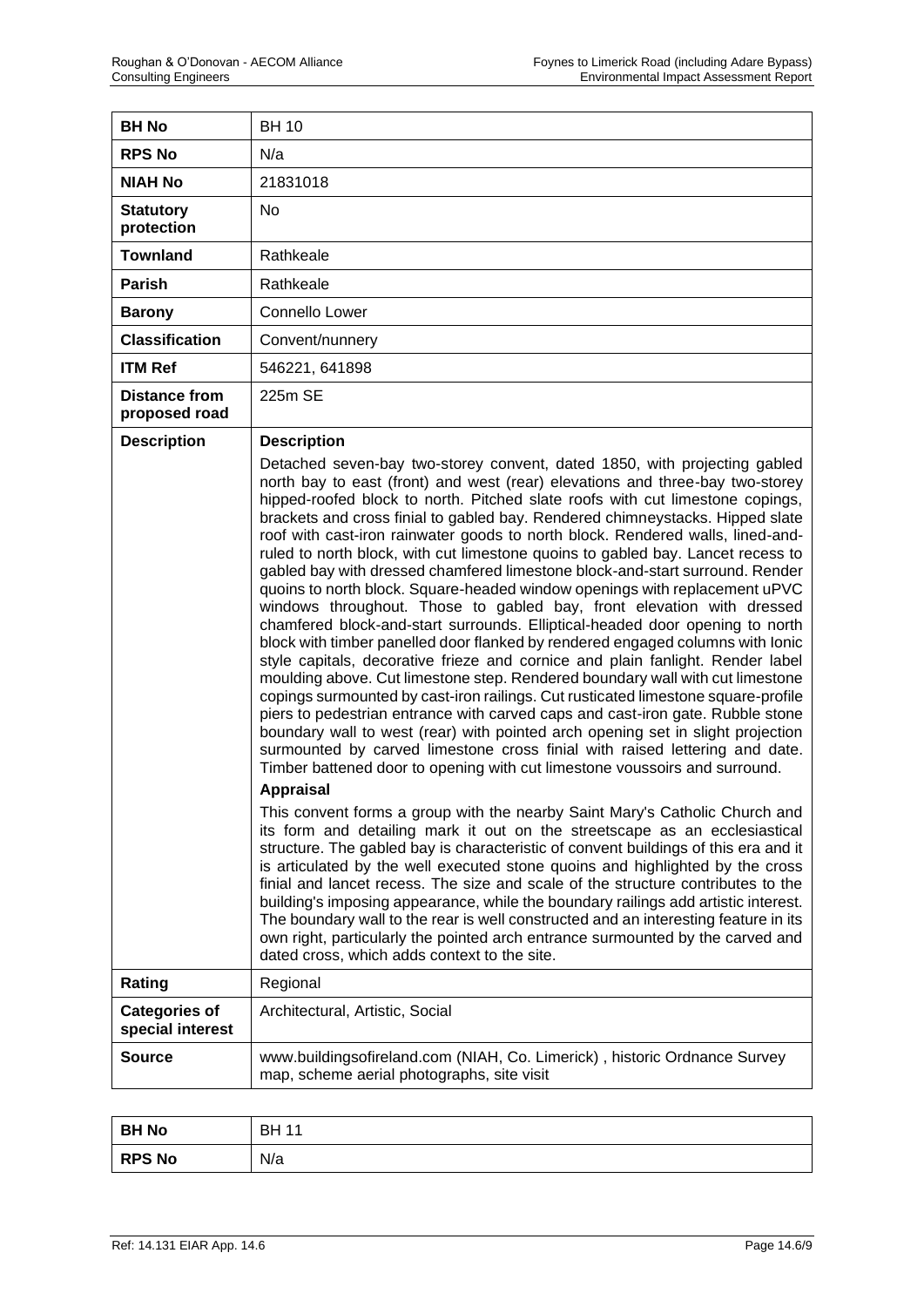| <b>BH No</b>                          | <b>BH 10</b>                                                                                                                                                                                                                                                                                                                                                                                                                                                                                                                                                                                                                                                                                                                                                                                                                                                                                                                                                                                                                                                                                                                                                                                                                                                                                                                                                                                                                                                                                                                                                                                                                                                                                                                                                                                                                                                                                                                                                                                                                                                                                                                                                                                                                           |
|---------------------------------------|----------------------------------------------------------------------------------------------------------------------------------------------------------------------------------------------------------------------------------------------------------------------------------------------------------------------------------------------------------------------------------------------------------------------------------------------------------------------------------------------------------------------------------------------------------------------------------------------------------------------------------------------------------------------------------------------------------------------------------------------------------------------------------------------------------------------------------------------------------------------------------------------------------------------------------------------------------------------------------------------------------------------------------------------------------------------------------------------------------------------------------------------------------------------------------------------------------------------------------------------------------------------------------------------------------------------------------------------------------------------------------------------------------------------------------------------------------------------------------------------------------------------------------------------------------------------------------------------------------------------------------------------------------------------------------------------------------------------------------------------------------------------------------------------------------------------------------------------------------------------------------------------------------------------------------------------------------------------------------------------------------------------------------------------------------------------------------------------------------------------------------------------------------------------------------------------------------------------------------------|
| <b>RPS No</b>                         | N/a                                                                                                                                                                                                                                                                                                                                                                                                                                                                                                                                                                                                                                                                                                                                                                                                                                                                                                                                                                                                                                                                                                                                                                                                                                                                                                                                                                                                                                                                                                                                                                                                                                                                                                                                                                                                                                                                                                                                                                                                                                                                                                                                                                                                                                    |
| <b>NIAH No</b>                        | 21831018                                                                                                                                                                                                                                                                                                                                                                                                                                                                                                                                                                                                                                                                                                                                                                                                                                                                                                                                                                                                                                                                                                                                                                                                                                                                                                                                                                                                                                                                                                                                                                                                                                                                                                                                                                                                                                                                                                                                                                                                                                                                                                                                                                                                                               |
| <b>Statutory</b><br>protection        | <b>No</b>                                                                                                                                                                                                                                                                                                                                                                                                                                                                                                                                                                                                                                                                                                                                                                                                                                                                                                                                                                                                                                                                                                                                                                                                                                                                                                                                                                                                                                                                                                                                                                                                                                                                                                                                                                                                                                                                                                                                                                                                                                                                                                                                                                                                                              |
| <b>Townland</b>                       | Rathkeale                                                                                                                                                                                                                                                                                                                                                                                                                                                                                                                                                                                                                                                                                                                                                                                                                                                                                                                                                                                                                                                                                                                                                                                                                                                                                                                                                                                                                                                                                                                                                                                                                                                                                                                                                                                                                                                                                                                                                                                                                                                                                                                                                                                                                              |
| Parish                                | Rathkeale                                                                                                                                                                                                                                                                                                                                                                                                                                                                                                                                                                                                                                                                                                                                                                                                                                                                                                                                                                                                                                                                                                                                                                                                                                                                                                                                                                                                                                                                                                                                                                                                                                                                                                                                                                                                                                                                                                                                                                                                                                                                                                                                                                                                                              |
| <b>Barony</b>                         | Connello Lower                                                                                                                                                                                                                                                                                                                                                                                                                                                                                                                                                                                                                                                                                                                                                                                                                                                                                                                                                                                                                                                                                                                                                                                                                                                                                                                                                                                                                                                                                                                                                                                                                                                                                                                                                                                                                                                                                                                                                                                                                                                                                                                                                                                                                         |
| <b>Classification</b>                 | Convent/nunnery                                                                                                                                                                                                                                                                                                                                                                                                                                                                                                                                                                                                                                                                                                                                                                                                                                                                                                                                                                                                                                                                                                                                                                                                                                                                                                                                                                                                                                                                                                                                                                                                                                                                                                                                                                                                                                                                                                                                                                                                                                                                                                                                                                                                                        |
| <b>ITM Ref</b>                        | 546221, 641898                                                                                                                                                                                                                                                                                                                                                                                                                                                                                                                                                                                                                                                                                                                                                                                                                                                                                                                                                                                                                                                                                                                                                                                                                                                                                                                                                                                                                                                                                                                                                                                                                                                                                                                                                                                                                                                                                                                                                                                                                                                                                                                                                                                                                         |
| <b>Distance from</b><br>proposed road | 225m SE                                                                                                                                                                                                                                                                                                                                                                                                                                                                                                                                                                                                                                                                                                                                                                                                                                                                                                                                                                                                                                                                                                                                                                                                                                                                                                                                                                                                                                                                                                                                                                                                                                                                                                                                                                                                                                                                                                                                                                                                                                                                                                                                                                                                                                |
| <b>Description</b>                    | <b>Description</b><br>Detached seven-bay two-storey convent, dated 1850, with projecting gabled<br>north bay to east (front) and west (rear) elevations and three-bay two-storey<br>hipped-roofed block to north. Pitched slate roofs with cut limestone copings,<br>brackets and cross finial to gabled bay. Rendered chimneystacks. Hipped slate<br>roof with cast-iron rainwater goods to north block. Rendered walls, lined-and-<br>ruled to north block, with cut limestone quoins to gabled bay. Lancet recess to<br>gabled bay with dressed chamfered limestone block-and-start surround. Render<br>quoins to north block. Square-headed window openings with replacement uPVC<br>windows throughout. Those to gabled bay, front elevation with dressed<br>chamfered block-and-start surrounds. Elliptical-headed door opening to north<br>block with timber panelled door flanked by rendered engaged columns with lonic<br>style capitals, decorative frieze and cornice and plain fanlight. Render label<br>moulding above. Cut limestone step. Rendered boundary wall with cut limestone<br>copings surmounted by cast-iron railings. Cut rusticated limestone square-profile<br>piers to pedestrian entrance with carved caps and cast-iron gate. Rubble stone<br>boundary wall to west (rear) with pointed arch opening set in slight projection<br>surmounted by carved limestone cross finial with raised lettering and date.<br>Timber battened door to opening with cut limestone voussoirs and surround.<br><b>Appraisal</b><br>This convent forms a group with the nearby Saint Mary's Catholic Church and<br>its form and detailing mark it out on the streetscape as an ecclesiastical<br>structure. The gabled bay is characteristic of convent buildings of this era and it<br>is articulated by the well executed stone quoins and highlighted by the cross<br>finial and lancet recess. The size and scale of the structure contributes to the<br>building's imposing appearance, while the boundary railings add artistic interest.<br>The boundary wall to the rear is well constructed and an interesting feature in its<br>own right, particularly the pointed arch entrance surmounted by the carved and |
| Rating                                | dated cross, which adds context to the site.<br>Regional                                                                                                                                                                                                                                                                                                                                                                                                                                                                                                                                                                                                                                                                                                                                                                                                                                                                                                                                                                                                                                                                                                                                                                                                                                                                                                                                                                                                                                                                                                                                                                                                                                                                                                                                                                                                                                                                                                                                                                                                                                                                                                                                                                               |
| <b>Categories of</b>                  | Architectural, Artistic, Social                                                                                                                                                                                                                                                                                                                                                                                                                                                                                                                                                                                                                                                                                                                                                                                                                                                                                                                                                                                                                                                                                                                                                                                                                                                                                                                                                                                                                                                                                                                                                                                                                                                                                                                                                                                                                                                                                                                                                                                                                                                                                                                                                                                                        |
| special interest                      |                                                                                                                                                                                                                                                                                                                                                                                                                                                                                                                                                                                                                                                                                                                                                                                                                                                                                                                                                                                                                                                                                                                                                                                                                                                                                                                                                                                                                                                                                                                                                                                                                                                                                                                                                                                                                                                                                                                                                                                                                                                                                                                                                                                                                                        |
| <b>Source</b>                         | www.buildingsofireland.com (NIAH, Co. Limerick), historic Ordnance Survey<br>map, scheme aerial photographs, site visit                                                                                                                                                                                                                                                                                                                                                                                                                                                                                                                                                                                                                                                                                                                                                                                                                                                                                                                                                                                                                                                                                                                                                                                                                                                                                                                                                                                                                                                                                                                                                                                                                                                                                                                                                                                                                                                                                                                                                                                                                                                                                                                |

| <b>BH No</b>  | <b>BH 11</b> |
|---------------|--------------|
| <b>RPS No</b> | N/a          |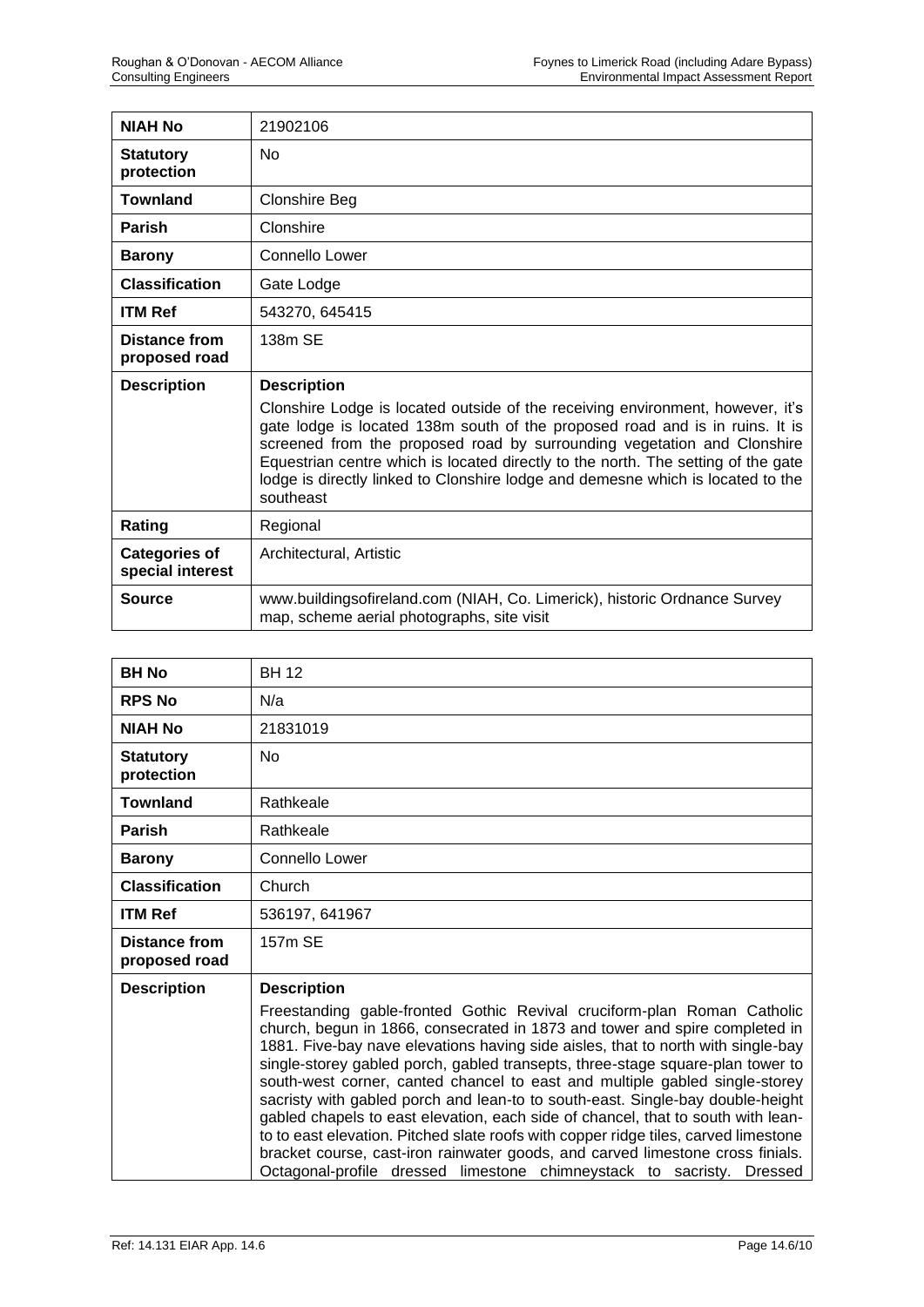| <b>NIAH No</b>                           | 21902106                                                                                                                                                                                                                                                                                                                                                                                                                                             |
|------------------------------------------|------------------------------------------------------------------------------------------------------------------------------------------------------------------------------------------------------------------------------------------------------------------------------------------------------------------------------------------------------------------------------------------------------------------------------------------------------|
| <b>Statutory</b><br>protection           | <b>No</b>                                                                                                                                                                                                                                                                                                                                                                                                                                            |
| <b>Townland</b>                          | <b>Clonshire Beg</b>                                                                                                                                                                                                                                                                                                                                                                                                                                 |
| <b>Parish</b>                            | Clonshire                                                                                                                                                                                                                                                                                                                                                                                                                                            |
| <b>Barony</b>                            | Connello Lower                                                                                                                                                                                                                                                                                                                                                                                                                                       |
| <b>Classification</b>                    | Gate Lodge                                                                                                                                                                                                                                                                                                                                                                                                                                           |
| <b>ITM Ref</b>                           | 543270, 645415                                                                                                                                                                                                                                                                                                                                                                                                                                       |
| <b>Distance from</b><br>proposed road    | 138m SE                                                                                                                                                                                                                                                                                                                                                                                                                                              |
|                                          |                                                                                                                                                                                                                                                                                                                                                                                                                                                      |
| <b>Description</b>                       | <b>Description</b><br>Clonshire Lodge is located outside of the receiving environment, however, it's<br>gate lodge is located 138m south of the proposed road and is in ruins. It is<br>screened from the proposed road by surrounding vegetation and Clonshire<br>Equestrian centre which is located directly to the north. The setting of the gate<br>lodge is directly linked to Clonshire lodge and demesne which is located to the<br>southeast |
| Rating                                   | Regional                                                                                                                                                                                                                                                                                                                                                                                                                                             |
| <b>Categories of</b><br>special interest | Architectural, Artistic                                                                                                                                                                                                                                                                                                                                                                                                                              |

| <b>BH No</b>                   | <b>BH 12</b>                                                                                                                                                                                                                                                                                                                                                                                                                                                                                                                                                                                                                                                                                                                                                                                                                        |
|--------------------------------|-------------------------------------------------------------------------------------------------------------------------------------------------------------------------------------------------------------------------------------------------------------------------------------------------------------------------------------------------------------------------------------------------------------------------------------------------------------------------------------------------------------------------------------------------------------------------------------------------------------------------------------------------------------------------------------------------------------------------------------------------------------------------------------------------------------------------------------|
| <b>RPS No</b>                  | N/a                                                                                                                                                                                                                                                                                                                                                                                                                                                                                                                                                                                                                                                                                                                                                                                                                                 |
| <b>NIAH No</b>                 | 21831019                                                                                                                                                                                                                                                                                                                                                                                                                                                                                                                                                                                                                                                                                                                                                                                                                            |
| <b>Statutory</b><br>protection | N <sub>o</sub>                                                                                                                                                                                                                                                                                                                                                                                                                                                                                                                                                                                                                                                                                                                                                                                                                      |
| <b>Townland</b>                | Rathkeale                                                                                                                                                                                                                                                                                                                                                                                                                                                                                                                                                                                                                                                                                                                                                                                                                           |
| <b>Parish</b>                  | Rathkeale                                                                                                                                                                                                                                                                                                                                                                                                                                                                                                                                                                                                                                                                                                                                                                                                                           |
| <b>Barony</b>                  | <b>Connello Lower</b>                                                                                                                                                                                                                                                                                                                                                                                                                                                                                                                                                                                                                                                                                                                                                                                                               |
| <b>Classification</b>          | Church                                                                                                                                                                                                                                                                                                                                                                                                                                                                                                                                                                                                                                                                                                                                                                                                                              |
| <b>ITM Ref</b>                 | 536197, 641967                                                                                                                                                                                                                                                                                                                                                                                                                                                                                                                                                                                                                                                                                                                                                                                                                      |
| Distance from<br>proposed road | 157m SE                                                                                                                                                                                                                                                                                                                                                                                                                                                                                                                                                                                                                                                                                                                                                                                                                             |
| <b>Description</b>             | <b>Description</b>                                                                                                                                                                                                                                                                                                                                                                                                                                                                                                                                                                                                                                                                                                                                                                                                                  |
|                                | Freestanding gable-fronted Gothic Revival cruciform-plan Roman Catholic<br>church, begun in 1866, consecrated in 1873 and tower and spire completed in<br>1881. Five-bay nave elevations having side aisles, that to north with single-bay<br>single-storey gabled porch, gabled transepts, three-stage square-plan tower to<br>south-west corner, canted chancel to east and multiple gabled single-storey<br>sacristy with gabled porch and lean-to to south-east. Single-bay double-height<br>gabled chapels to east elevation, each side of chancel, that to south with lean-<br>to to east elevation. Pitched slate roofs with copper ridge tiles, carved limestone<br>bracket course, cast-iron rainwater goods, and carved limestone cross finials.<br>Octagonal-profile dressed limestone chimneystack to sacristy. Dressed |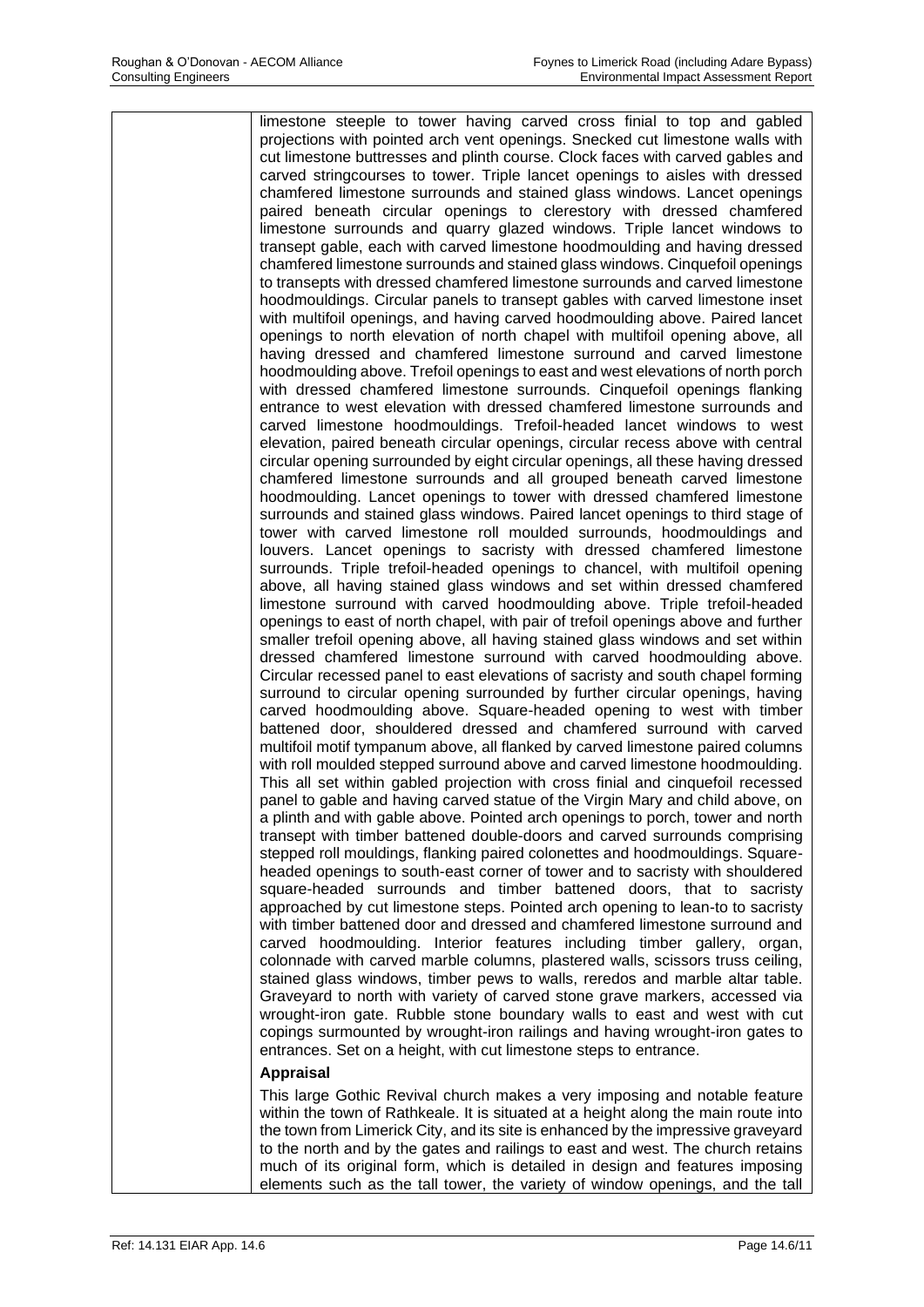limestone steeple to tower having carved cross finial to top and gabled projections with pointed arch vent openings. Snecked cut limestone walls with cut limestone buttresses and plinth course. Clock faces with carved gables and carved stringcourses to tower. Triple lancet openings to aisles with dressed chamfered limestone surrounds and stained glass windows. Lancet openings paired beneath circular openings to clerestory with dressed chamfered limestone surrounds and quarry glazed windows. Triple lancet windows to transept gable, each with carved limestone hoodmoulding and having dressed chamfered limestone surrounds and stained glass windows. Cinquefoil openings to transepts with dressed chamfered limestone surrounds and carved limestone hoodmouldings. Circular panels to transept gables with carved limestone inset with multifoil openings, and having carved hoodmoulding above. Paired lancet openings to north elevation of north chapel with multifoil opening above, all having dressed and chamfered limestone surround and carved limestone hoodmoulding above. Trefoil openings to east and west elevations of north porch with dressed chamfered limestone surrounds. Cinquefoil openings flanking entrance to west elevation with dressed chamfered limestone surrounds and carved limestone hoodmouldings. Trefoil-headed lancet windows to west elevation, paired beneath circular openings, circular recess above with central circular opening surrounded by eight circular openings, all these having dressed chamfered limestone surrounds and all grouped beneath carved limestone hoodmoulding. Lancet openings to tower with dressed chamfered limestone surrounds and stained glass windows. Paired lancet openings to third stage of tower with carved limestone roll moulded surrounds, hoodmouldings and louvers. Lancet openings to sacristy with dressed chamfered limestone surrounds. Triple trefoil-headed openings to chancel, with multifoil opening above, all having stained glass windows and set within dressed chamfered limestone surround with carved hoodmoulding above. Triple trefoil-headed openings to east of north chapel, with pair of trefoil openings above and further smaller trefoil opening above, all having stained glass windows and set within dressed chamfered limestone surround with carved hoodmoulding above. Circular recessed panel to east elevations of sacristy and south chapel forming surround to circular opening surrounded by further circular openings, having carved hoodmoulding above. Square-headed opening to west with timber battened door, shouldered dressed and chamfered surround with carved multifoil motif tympanum above, all flanked by carved limestone paired columns with roll moulded stepped surround above and carved limestone hoodmoulding. This all set within gabled projection with cross finial and cinquefoil recessed panel to gable and having carved statue of the Virgin Mary and child above, on a plinth and with gable above. Pointed arch openings to porch, tower and north transept with timber battened double-doors and carved surrounds comprising stepped roll mouldings, flanking paired colonettes and hoodmouldings. Squareheaded openings to south-east corner of tower and to sacristy with shouldered square-headed surrounds and timber battened doors, that to sacristy approached by cut limestone steps. Pointed arch opening to lean-to to sacristy with timber battened door and dressed and chamfered limestone surround and carved hoodmoulding. Interior features including timber gallery, organ, colonnade with carved marble columns, plastered walls, scissors truss ceiling, stained glass windows, timber pews to walls, reredos and marble altar table. Graveyard to north with variety of carved stone grave markers, accessed via wrought-iron gate. Rubble stone boundary walls to east and west with cut copings surmounted by wrought-iron railings and having wrought-iron gates to entrances. Set on a height, with cut limestone steps to entrance.

## **Appraisal**

This large Gothic Revival church makes a very imposing and notable feature within the town of Rathkeale. It is situated at a height along the main route into the town from Limerick City, and its site is enhanced by the impressive graveyard to the north and by the gates and railings to east and west. The church retains much of its original form, which is detailed in design and features imposing elements such as the tall tower, the variety of window openings, and the tall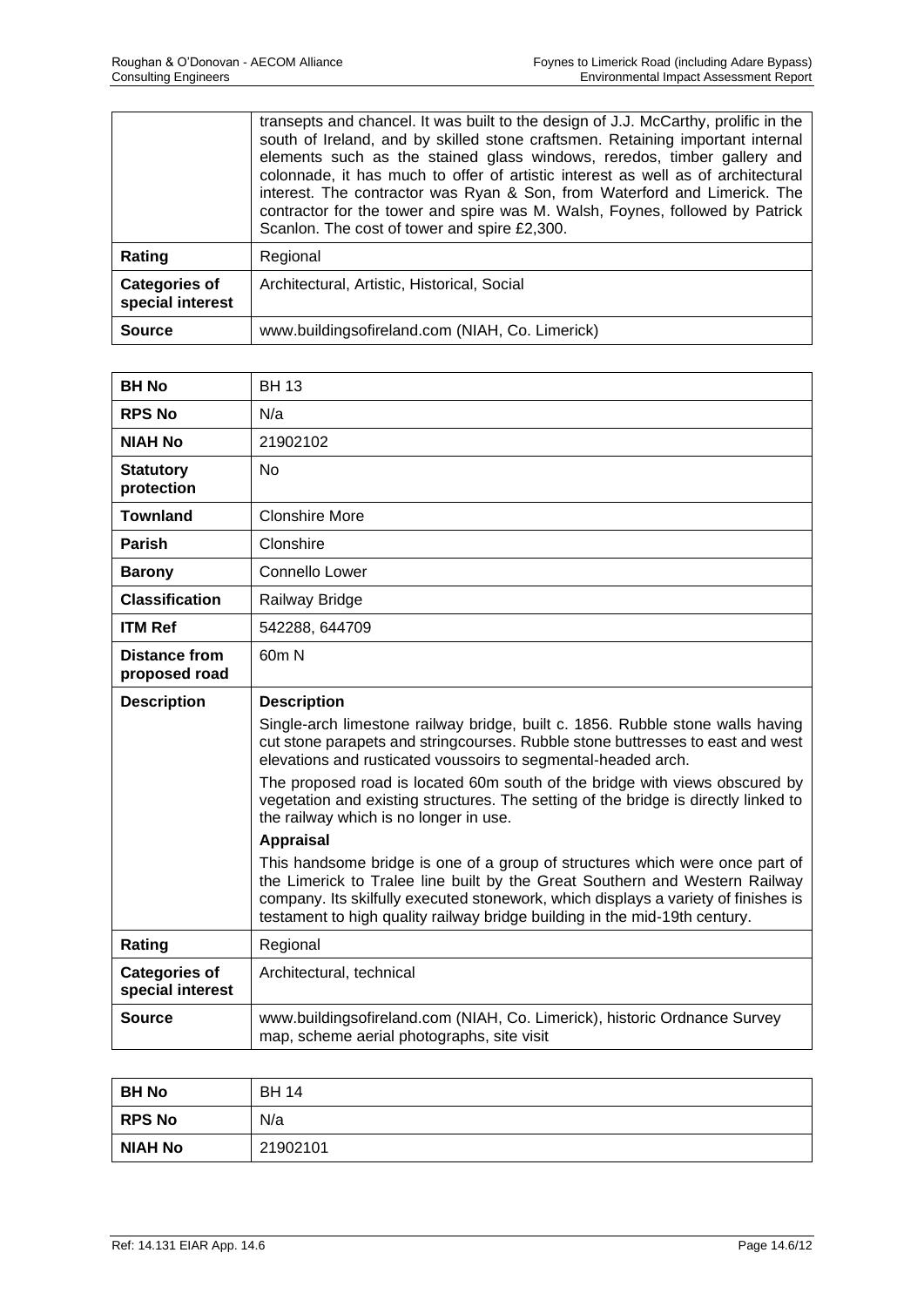|                                          | transepts and chancel. It was built to the design of J.J. McCarthy, prolific in the<br>south of Ireland, and by skilled stone craftsmen. Retaining important internal<br>elements such as the stained glass windows, reredos, timber gallery and<br>colonnade, it has much to offer of artistic interest as well as of architectural<br>interest. The contractor was Ryan & Son, from Waterford and Limerick. The<br>contractor for the tower and spire was M. Walsh, Foynes, followed by Patrick<br>Scanlon. The cost of tower and spire £2,300. |
|------------------------------------------|---------------------------------------------------------------------------------------------------------------------------------------------------------------------------------------------------------------------------------------------------------------------------------------------------------------------------------------------------------------------------------------------------------------------------------------------------------------------------------------------------------------------------------------------------|
| Rating                                   | Regional                                                                                                                                                                                                                                                                                                                                                                                                                                                                                                                                          |
| <b>Categories of</b><br>special interest | Architectural, Artistic, Historical, Social                                                                                                                                                                                                                                                                                                                                                                                                                                                                                                       |
| <b>Source</b>                            | www.buildingsofireland.com (NIAH, Co. Limerick)                                                                                                                                                                                                                                                                                                                                                                                                                                                                                                   |

| <b>BH No</b>                             | <b>BH13</b>                                                                                                                                                                                                                                                                                                                     |
|------------------------------------------|---------------------------------------------------------------------------------------------------------------------------------------------------------------------------------------------------------------------------------------------------------------------------------------------------------------------------------|
| <b>RPS No</b>                            | N/a                                                                                                                                                                                                                                                                                                                             |
| <b>NIAH No</b>                           | 21902102                                                                                                                                                                                                                                                                                                                        |
| <b>Statutory</b><br>protection           | <b>No</b>                                                                                                                                                                                                                                                                                                                       |
| <b>Townland</b>                          | <b>Clonshire More</b>                                                                                                                                                                                                                                                                                                           |
| <b>Parish</b>                            | Clonshire                                                                                                                                                                                                                                                                                                                       |
| <b>Barony</b>                            | Connello Lower                                                                                                                                                                                                                                                                                                                  |
| <b>Classification</b>                    | Railway Bridge                                                                                                                                                                                                                                                                                                                  |
| <b>ITM Ref</b>                           | 542288, 644709                                                                                                                                                                                                                                                                                                                  |
| <b>Distance from</b><br>proposed road    | 60m N                                                                                                                                                                                                                                                                                                                           |
| <b>Description</b>                       | <b>Description</b>                                                                                                                                                                                                                                                                                                              |
|                                          | Single-arch limestone railway bridge, built c. 1856. Rubble stone walls having<br>cut stone parapets and stringcourses. Rubble stone buttresses to east and west<br>elevations and rusticated voussoirs to segmental-headed arch.                                                                                               |
|                                          | The proposed road is located 60m south of the bridge with views obscured by<br>vegetation and existing structures. The setting of the bridge is directly linked to<br>the railway which is no longer in use.                                                                                                                    |
|                                          | <b>Appraisal</b>                                                                                                                                                                                                                                                                                                                |
|                                          | This handsome bridge is one of a group of structures which were once part of<br>the Limerick to Tralee line built by the Great Southern and Western Railway<br>company. Its skilfully executed stonework, which displays a variety of finishes is<br>testament to high quality railway bridge building in the mid-19th century. |
| Rating                                   | Regional                                                                                                                                                                                                                                                                                                                        |
| <b>Categories of</b><br>special interest | Architectural, technical                                                                                                                                                                                                                                                                                                        |
| <b>Source</b>                            | www.buildingsofireland.com (NIAH, Co. Limerick), historic Ordnance Survey<br>map, scheme aerial photographs, site visit                                                                                                                                                                                                         |

| BH No          | <b>BH 14</b> |
|----------------|--------------|
| <b>RPS No</b>  | N/a          |
| <b>NIAH No</b> | 21902101     |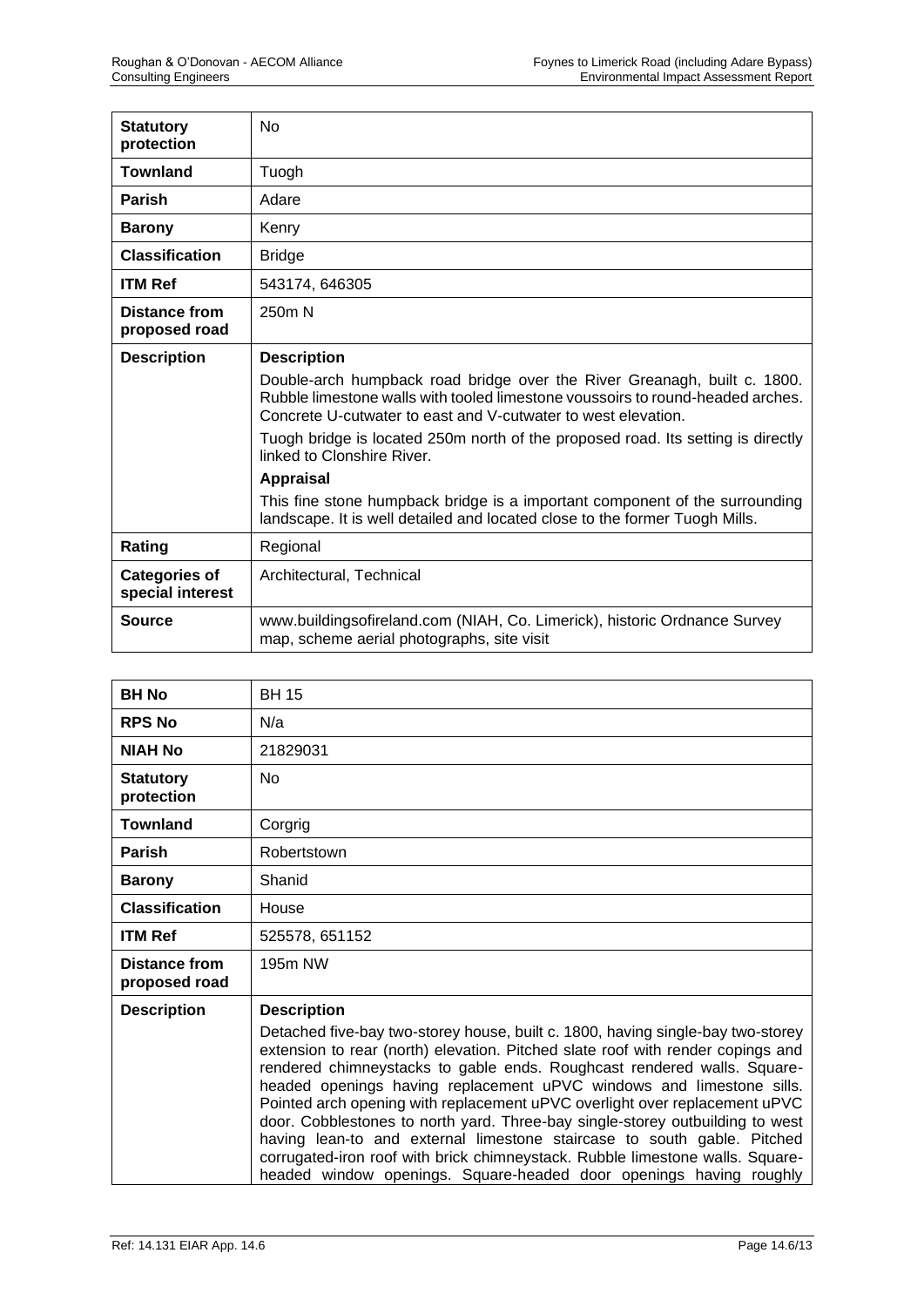| <b>Statutory</b><br>protection           | <b>No</b>                                                                                                                                                                                                                   |
|------------------------------------------|-----------------------------------------------------------------------------------------------------------------------------------------------------------------------------------------------------------------------------|
| <b>Townland</b>                          | Tuogh                                                                                                                                                                                                                       |
| <b>Parish</b>                            | Adare                                                                                                                                                                                                                       |
| <b>Barony</b>                            | Kenry                                                                                                                                                                                                                       |
| <b>Classification</b>                    | <b>Bridge</b>                                                                                                                                                                                                               |
| <b>ITM Ref</b>                           | 543174, 646305                                                                                                                                                                                                              |
| <b>Distance from</b><br>proposed road    | 250m N                                                                                                                                                                                                                      |
| <b>Description</b>                       | <b>Description</b>                                                                                                                                                                                                          |
|                                          | Double-arch humpback road bridge over the River Greanagh, built c. 1800.<br>Rubble limestone walls with tooled limestone voussoirs to round-headed arches.<br>Concrete U-cutwater to east and V-cutwater to west elevation. |
|                                          | Tuogh bridge is located 250m north of the proposed road. Its setting is directly<br>linked to Clonshire River.                                                                                                              |
|                                          | <b>Appraisal</b>                                                                                                                                                                                                            |
|                                          | This fine stone humpback bridge is a important component of the surrounding<br>landscape. It is well detailed and located close to the former Tuogh Mills.                                                                  |
| Rating                                   | Regional                                                                                                                                                                                                                    |
| <b>Categories of</b><br>special interest | Architectural, Technical                                                                                                                                                                                                    |
| <b>Source</b>                            | www.buildingsofireland.com (NIAH, Co. Limerick), historic Ordnance Survey<br>map, scheme aerial photographs, site visit                                                                                                     |

| <b>BH No</b>                          | <b>BH 15</b>                                                                                                                                                                                                                                                                                                                                                                                                                                                                                                                                                                                                                                                           |
|---------------------------------------|------------------------------------------------------------------------------------------------------------------------------------------------------------------------------------------------------------------------------------------------------------------------------------------------------------------------------------------------------------------------------------------------------------------------------------------------------------------------------------------------------------------------------------------------------------------------------------------------------------------------------------------------------------------------|
| <b>RPS No</b>                         | N/a                                                                                                                                                                                                                                                                                                                                                                                                                                                                                                                                                                                                                                                                    |
| <b>NIAH No</b>                        | 21829031                                                                                                                                                                                                                                                                                                                                                                                                                                                                                                                                                                                                                                                               |
| <b>Statutory</b><br>protection        | <b>No</b>                                                                                                                                                                                                                                                                                                                                                                                                                                                                                                                                                                                                                                                              |
| <b>Townland</b>                       | Corgrig                                                                                                                                                                                                                                                                                                                                                                                                                                                                                                                                                                                                                                                                |
| <b>Parish</b>                         | Robertstown                                                                                                                                                                                                                                                                                                                                                                                                                                                                                                                                                                                                                                                            |
| <b>Barony</b>                         | Shanid                                                                                                                                                                                                                                                                                                                                                                                                                                                                                                                                                                                                                                                                 |
| <b>Classification</b>                 | House                                                                                                                                                                                                                                                                                                                                                                                                                                                                                                                                                                                                                                                                  |
| <b>ITM Ref</b>                        | 525578, 651152                                                                                                                                                                                                                                                                                                                                                                                                                                                                                                                                                                                                                                                         |
| <b>Distance from</b><br>proposed road | 195m NW                                                                                                                                                                                                                                                                                                                                                                                                                                                                                                                                                                                                                                                                |
| <b>Description</b>                    | <b>Description</b><br>Detached five-bay two-storey house, built c. 1800, having single-bay two-storey<br>extension to rear (north) elevation. Pitched slate roof with render copings and<br>rendered chimneystacks to gable ends. Roughcast rendered walls. Square-<br>headed openings having replacement uPVC windows and limestone sills.<br>Pointed arch opening with replacement uPVC overlight over replacement uPVC<br>door. Cobblestones to north yard. Three-bay single-storey outbuilding to west<br>having lean-to and external limestone staircase to south gable. Pitched<br>corrugated-iron roof with brick chimneystack. Rubble limestone walls. Square- |
|                                       | headed window openings. Square-headed door openings having roughly                                                                                                                                                                                                                                                                                                                                                                                                                                                                                                                                                                                                     |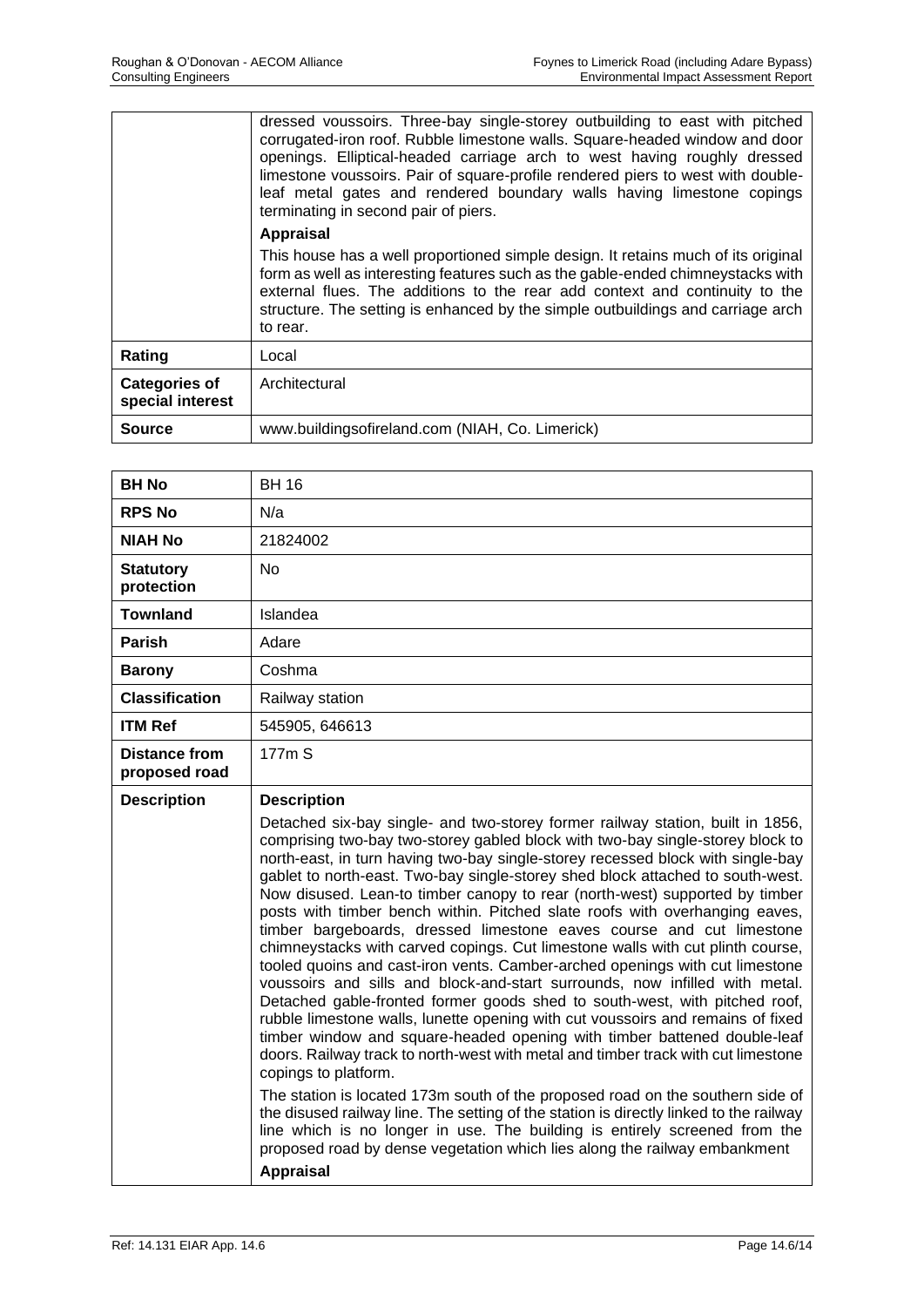|                                          | dressed voussoirs. Three-bay single-storey outbuilding to east with pitched<br>corrugated-iron roof. Rubble limestone walls. Square-headed window and door<br>openings. Elliptical-headed carriage arch to west having roughly dressed<br>limestone voussoirs. Pair of square-profile rendered piers to west with double-<br>leaf metal gates and rendered boundary walls having limestone copings<br>terminating in second pair of piers. |
|------------------------------------------|--------------------------------------------------------------------------------------------------------------------------------------------------------------------------------------------------------------------------------------------------------------------------------------------------------------------------------------------------------------------------------------------------------------------------------------------|
|                                          | Appraisal                                                                                                                                                                                                                                                                                                                                                                                                                                  |
|                                          | This house has a well proportioned simple design. It retains much of its original<br>form as well as interesting features such as the gable-ended chimneystacks with<br>external flues. The additions to the rear add context and continuity to the<br>structure. The setting is enhanced by the simple outbuildings and carriage arch<br>to rear.                                                                                         |
| Rating                                   | Local                                                                                                                                                                                                                                                                                                                                                                                                                                      |
| <b>Categories of</b><br>special interest | Architectural                                                                                                                                                                                                                                                                                                                                                                                                                              |
| Source                                   | www.buildingsofireland.com (NIAH, Co. Limerick)                                                                                                                                                                                                                                                                                                                                                                                            |

| <b>BH No</b>                          | <b>BH 16</b>                                                                                                                                                                                                                                                                                                                                                                                                                                                                                                                                                                                                                                                                                                                                                                                                                                                                                                                                                                                                                                                                                                                                                                                                                                                                                                                                                                                                                                                                                                                                      |
|---------------------------------------|---------------------------------------------------------------------------------------------------------------------------------------------------------------------------------------------------------------------------------------------------------------------------------------------------------------------------------------------------------------------------------------------------------------------------------------------------------------------------------------------------------------------------------------------------------------------------------------------------------------------------------------------------------------------------------------------------------------------------------------------------------------------------------------------------------------------------------------------------------------------------------------------------------------------------------------------------------------------------------------------------------------------------------------------------------------------------------------------------------------------------------------------------------------------------------------------------------------------------------------------------------------------------------------------------------------------------------------------------------------------------------------------------------------------------------------------------------------------------------------------------------------------------------------------------|
| <b>RPS No</b>                         | N/a                                                                                                                                                                                                                                                                                                                                                                                                                                                                                                                                                                                                                                                                                                                                                                                                                                                                                                                                                                                                                                                                                                                                                                                                                                                                                                                                                                                                                                                                                                                                               |
| <b>NIAH No</b>                        | 21824002                                                                                                                                                                                                                                                                                                                                                                                                                                                                                                                                                                                                                                                                                                                                                                                                                                                                                                                                                                                                                                                                                                                                                                                                                                                                                                                                                                                                                                                                                                                                          |
| <b>Statutory</b><br>protection        | <b>No</b>                                                                                                                                                                                                                                                                                                                                                                                                                                                                                                                                                                                                                                                                                                                                                                                                                                                                                                                                                                                                                                                                                                                                                                                                                                                                                                                                                                                                                                                                                                                                         |
| <b>Townland</b>                       | Islandea                                                                                                                                                                                                                                                                                                                                                                                                                                                                                                                                                                                                                                                                                                                                                                                                                                                                                                                                                                                                                                                                                                                                                                                                                                                                                                                                                                                                                                                                                                                                          |
| <b>Parish</b>                         | Adare                                                                                                                                                                                                                                                                                                                                                                                                                                                                                                                                                                                                                                                                                                                                                                                                                                                                                                                                                                                                                                                                                                                                                                                                                                                                                                                                                                                                                                                                                                                                             |
| <b>Barony</b>                         | Coshma                                                                                                                                                                                                                                                                                                                                                                                                                                                                                                                                                                                                                                                                                                                                                                                                                                                                                                                                                                                                                                                                                                                                                                                                                                                                                                                                                                                                                                                                                                                                            |
| <b>Classification</b>                 | Railway station                                                                                                                                                                                                                                                                                                                                                                                                                                                                                                                                                                                                                                                                                                                                                                                                                                                                                                                                                                                                                                                                                                                                                                                                                                                                                                                                                                                                                                                                                                                                   |
| <b>ITM Ref</b>                        | 545905, 646613                                                                                                                                                                                                                                                                                                                                                                                                                                                                                                                                                                                                                                                                                                                                                                                                                                                                                                                                                                                                                                                                                                                                                                                                                                                                                                                                                                                                                                                                                                                                    |
| <b>Distance from</b><br>proposed road | 177m S                                                                                                                                                                                                                                                                                                                                                                                                                                                                                                                                                                                                                                                                                                                                                                                                                                                                                                                                                                                                                                                                                                                                                                                                                                                                                                                                                                                                                                                                                                                                            |
| <b>Description</b>                    | <b>Description</b>                                                                                                                                                                                                                                                                                                                                                                                                                                                                                                                                                                                                                                                                                                                                                                                                                                                                                                                                                                                                                                                                                                                                                                                                                                                                                                                                                                                                                                                                                                                                |
|                                       | Detached six-bay single- and two-storey former railway station, built in 1856,<br>comprising two-bay two-storey gabled block with two-bay single-storey block to<br>north-east, in turn having two-bay single-storey recessed block with single-bay<br>gablet to north-east. Two-bay single-storey shed block attached to south-west.<br>Now disused. Lean-to timber canopy to rear (north-west) supported by timber<br>posts with timber bench within. Pitched slate roofs with overhanging eaves,<br>timber bargeboards, dressed limestone eaves course and cut limestone<br>chimneystacks with carved copings. Cut limestone walls with cut plinth course,<br>tooled quoins and cast-iron vents. Camber-arched openings with cut limestone<br>voussoirs and sills and block-and-start surrounds, now infilled with metal.<br>Detached gable-fronted former goods shed to south-west, with pitched roof,<br>rubble limestone walls, lunette opening with cut voussoirs and remains of fixed<br>timber window and square-headed opening with timber battened double-leaf<br>doors. Railway track to north-west with metal and timber track with cut limestone<br>copings to platform.<br>The station is located 173m south of the proposed road on the southern side of<br>the disused railway line. The setting of the station is directly linked to the railway<br>line which is no longer in use. The building is entirely screened from the<br>proposed road by dense vegetation which lies along the railway embankment<br><b>Appraisal</b> |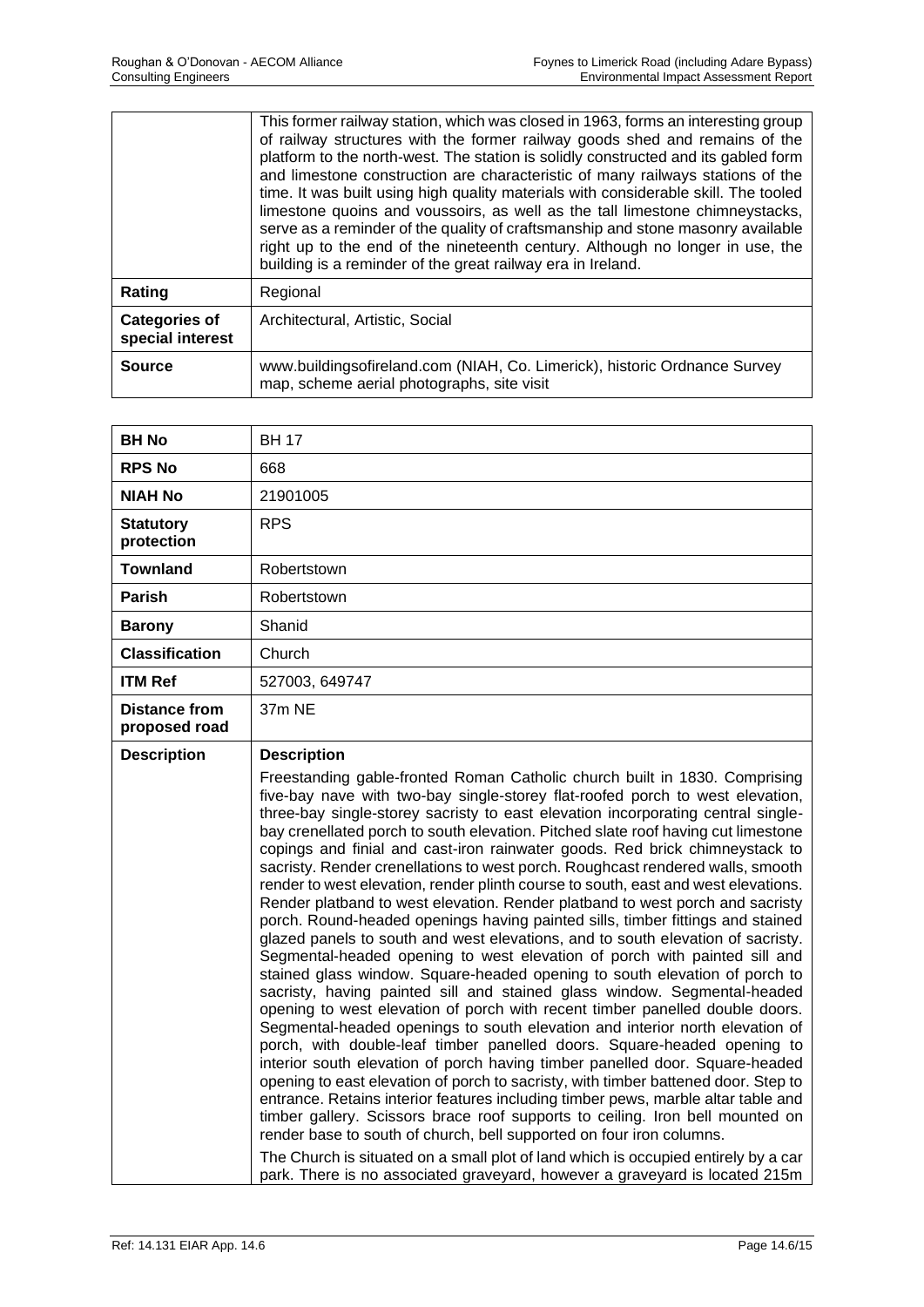|                                          | This former railway station, which was closed in 1963, forms an interesting group<br>of railway structures with the former railway goods shed and remains of the<br>platform to the north-west. The station is solidly constructed and its gabled form<br>and limestone construction are characteristic of many railways stations of the<br>time. It was built using high quality materials with considerable skill. The tooled<br>limestone quoins and voussoirs, as well as the tall limestone chimneystacks,<br>serve as a reminder of the quality of craftsmanship and stone masonry available<br>right up to the end of the nineteenth century. Although no longer in use, the<br>building is a reminder of the great railway era in Ireland. |
|------------------------------------------|----------------------------------------------------------------------------------------------------------------------------------------------------------------------------------------------------------------------------------------------------------------------------------------------------------------------------------------------------------------------------------------------------------------------------------------------------------------------------------------------------------------------------------------------------------------------------------------------------------------------------------------------------------------------------------------------------------------------------------------------------|
| Rating                                   | Regional                                                                                                                                                                                                                                                                                                                                                                                                                                                                                                                                                                                                                                                                                                                                           |
| <b>Categories of</b><br>special interest | Architectural, Artistic, Social                                                                                                                                                                                                                                                                                                                                                                                                                                                                                                                                                                                                                                                                                                                    |
| <b>Source</b>                            | www.buildingsofireland.com (NIAH, Co. Limerick), historic Ordnance Survey<br>map, scheme aerial photographs, site visit                                                                                                                                                                                                                                                                                                                                                                                                                                                                                                                                                                                                                            |

| <b>BH No</b>                          | <b>BH 17</b>                                                                                                                                                                                                                                                                                                                                                                                                                                                                                                                                                                                                                                                                                                                                                                                                                                                                                                                                                                                                                                                                                                                                                                                                                                                                                                                                                                                                                                                                                                                                                                                                                                                                                                                                                                                                                                                                                                                                       |
|---------------------------------------|----------------------------------------------------------------------------------------------------------------------------------------------------------------------------------------------------------------------------------------------------------------------------------------------------------------------------------------------------------------------------------------------------------------------------------------------------------------------------------------------------------------------------------------------------------------------------------------------------------------------------------------------------------------------------------------------------------------------------------------------------------------------------------------------------------------------------------------------------------------------------------------------------------------------------------------------------------------------------------------------------------------------------------------------------------------------------------------------------------------------------------------------------------------------------------------------------------------------------------------------------------------------------------------------------------------------------------------------------------------------------------------------------------------------------------------------------------------------------------------------------------------------------------------------------------------------------------------------------------------------------------------------------------------------------------------------------------------------------------------------------------------------------------------------------------------------------------------------------------------------------------------------------------------------------------------------------|
| <b>RPS No</b>                         | 668                                                                                                                                                                                                                                                                                                                                                                                                                                                                                                                                                                                                                                                                                                                                                                                                                                                                                                                                                                                                                                                                                                                                                                                                                                                                                                                                                                                                                                                                                                                                                                                                                                                                                                                                                                                                                                                                                                                                                |
| NIAH No                               | 21901005                                                                                                                                                                                                                                                                                                                                                                                                                                                                                                                                                                                                                                                                                                                                                                                                                                                                                                                                                                                                                                                                                                                                                                                                                                                                                                                                                                                                                                                                                                                                                                                                                                                                                                                                                                                                                                                                                                                                           |
| <b>Statutory</b><br>protection        | <b>RPS</b>                                                                                                                                                                                                                                                                                                                                                                                                                                                                                                                                                                                                                                                                                                                                                                                                                                                                                                                                                                                                                                                                                                                                                                                                                                                                                                                                                                                                                                                                                                                                                                                                                                                                                                                                                                                                                                                                                                                                         |
| <b>Townland</b>                       | Robertstown                                                                                                                                                                                                                                                                                                                                                                                                                                                                                                                                                                                                                                                                                                                                                                                                                                                                                                                                                                                                                                                                                                                                                                                                                                                                                                                                                                                                                                                                                                                                                                                                                                                                                                                                                                                                                                                                                                                                        |
| <b>Parish</b>                         | Robertstown                                                                                                                                                                                                                                                                                                                                                                                                                                                                                                                                                                                                                                                                                                                                                                                                                                                                                                                                                                                                                                                                                                                                                                                                                                                                                                                                                                                                                                                                                                                                                                                                                                                                                                                                                                                                                                                                                                                                        |
| <b>Barony</b>                         | Shanid                                                                                                                                                                                                                                                                                                                                                                                                                                                                                                                                                                                                                                                                                                                                                                                                                                                                                                                                                                                                                                                                                                                                                                                                                                                                                                                                                                                                                                                                                                                                                                                                                                                                                                                                                                                                                                                                                                                                             |
| <b>Classification</b>                 | Church                                                                                                                                                                                                                                                                                                                                                                                                                                                                                                                                                                                                                                                                                                                                                                                                                                                                                                                                                                                                                                                                                                                                                                                                                                                                                                                                                                                                                                                                                                                                                                                                                                                                                                                                                                                                                                                                                                                                             |
| <b>ITM Ref</b>                        | 527003, 649747                                                                                                                                                                                                                                                                                                                                                                                                                                                                                                                                                                                                                                                                                                                                                                                                                                                                                                                                                                                                                                                                                                                                                                                                                                                                                                                                                                                                                                                                                                                                                                                                                                                                                                                                                                                                                                                                                                                                     |
| <b>Distance from</b><br>proposed road | 37m NE                                                                                                                                                                                                                                                                                                                                                                                                                                                                                                                                                                                                                                                                                                                                                                                                                                                                                                                                                                                                                                                                                                                                                                                                                                                                                                                                                                                                                                                                                                                                                                                                                                                                                                                                                                                                                                                                                                                                             |
| <b>Description</b>                    | <b>Description</b><br>Freestanding gable-fronted Roman Catholic church built in 1830. Comprising<br>five-bay nave with two-bay single-storey flat-roofed porch to west elevation,<br>three-bay single-storey sacristy to east elevation incorporating central single-<br>bay crenellated porch to south elevation. Pitched slate roof having cut limestone<br>copings and finial and cast-iron rainwater goods. Red brick chimneystack to<br>sacristy. Render crenellations to west porch. Roughcast rendered walls, smooth<br>render to west elevation, render plinth course to south, east and west elevations.<br>Render platband to west elevation. Render platband to west porch and sacristy<br>porch. Round-headed openings having painted sills, timber fittings and stained<br>glazed panels to south and west elevations, and to south elevation of sacristy.<br>Segmental-headed opening to west elevation of porch with painted sill and<br>stained glass window. Square-headed opening to south elevation of porch to<br>sacristy, having painted sill and stained glass window. Segmental-headed<br>opening to west elevation of porch with recent timber panelled double doors.<br>Segmental-headed openings to south elevation and interior north elevation of<br>porch, with double-leaf timber panelled doors. Square-headed opening to<br>interior south elevation of porch having timber panelled door. Square-headed<br>opening to east elevation of porch to sacristy, with timber battened door. Step to<br>entrance. Retains interior features including timber pews, marble altar table and<br>timber gallery. Scissors brace roof supports to ceiling. Iron bell mounted on<br>render base to south of church, bell supported on four iron columns.<br>The Church is situated on a small plot of land which is occupied entirely by a car<br>park. There is no associated graveyard, however a graveyard is located 215m |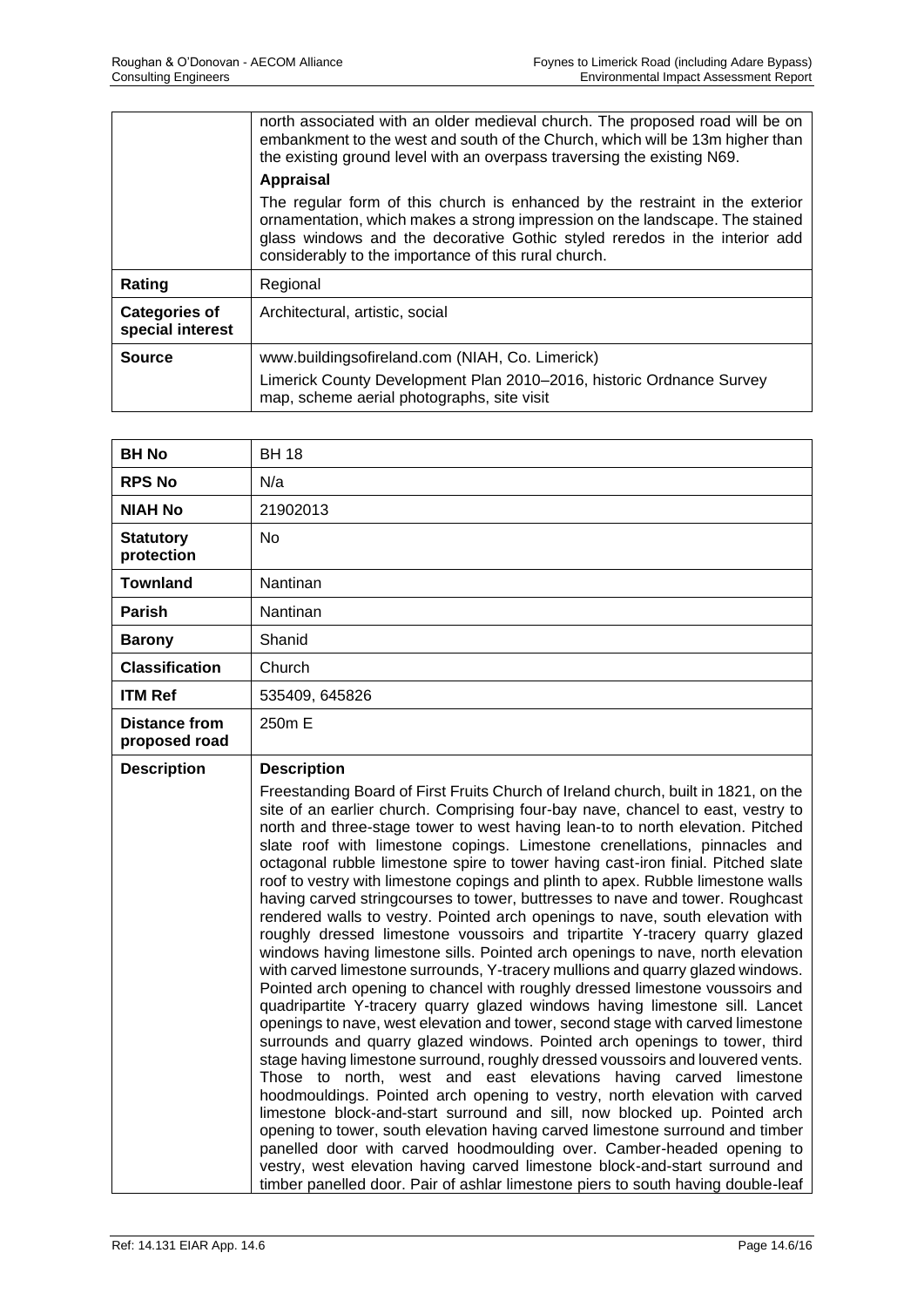|                                          | north associated with an older medieval church. The proposed road will be on<br>embankment to the west and south of the Church, which will be 13m higher than<br>the existing ground level with an overpass traversing the existing N69.                                                           |
|------------------------------------------|----------------------------------------------------------------------------------------------------------------------------------------------------------------------------------------------------------------------------------------------------------------------------------------------------|
|                                          | <b>Appraisal</b>                                                                                                                                                                                                                                                                                   |
|                                          | The regular form of this church is enhanced by the restraint in the exterior<br>ornamentation, which makes a strong impression on the landscape. The stained<br>glass windows and the decorative Gothic styled reredos in the interior add<br>considerably to the importance of this rural church. |
| Rating                                   | Regional                                                                                                                                                                                                                                                                                           |
| <b>Categories of</b><br>special interest | Architectural, artistic, social                                                                                                                                                                                                                                                                    |
| <b>Source</b>                            | www.buildingsofireland.com (NIAH, Co. Limerick)                                                                                                                                                                                                                                                    |
|                                          | Limerick County Development Plan 2010-2016, historic Ordnance Survey<br>map, scheme aerial photographs, site visit                                                                                                                                                                                 |

| <b>BH No</b>                          | <b>BH 18</b>                                                                                                                                                                                                                                                                                                                                                                                                                                                                                                                                                                                                                                                                                                                                                                                                                                                                                                                                                                                                                                                                                                                                                                                                                                                                                                                                                                                                                                                                                                                                                                                                                                                                                                                                                                                                                                                                                                                        |
|---------------------------------------|-------------------------------------------------------------------------------------------------------------------------------------------------------------------------------------------------------------------------------------------------------------------------------------------------------------------------------------------------------------------------------------------------------------------------------------------------------------------------------------------------------------------------------------------------------------------------------------------------------------------------------------------------------------------------------------------------------------------------------------------------------------------------------------------------------------------------------------------------------------------------------------------------------------------------------------------------------------------------------------------------------------------------------------------------------------------------------------------------------------------------------------------------------------------------------------------------------------------------------------------------------------------------------------------------------------------------------------------------------------------------------------------------------------------------------------------------------------------------------------------------------------------------------------------------------------------------------------------------------------------------------------------------------------------------------------------------------------------------------------------------------------------------------------------------------------------------------------------------------------------------------------------------------------------------------------|
| <b>RPS No</b>                         | N/a                                                                                                                                                                                                                                                                                                                                                                                                                                                                                                                                                                                                                                                                                                                                                                                                                                                                                                                                                                                                                                                                                                                                                                                                                                                                                                                                                                                                                                                                                                                                                                                                                                                                                                                                                                                                                                                                                                                                 |
| <b>NIAH No</b>                        | 21902013                                                                                                                                                                                                                                                                                                                                                                                                                                                                                                                                                                                                                                                                                                                                                                                                                                                                                                                                                                                                                                                                                                                                                                                                                                                                                                                                                                                                                                                                                                                                                                                                                                                                                                                                                                                                                                                                                                                            |
| <b>Statutory</b><br>protection        | No                                                                                                                                                                                                                                                                                                                                                                                                                                                                                                                                                                                                                                                                                                                                                                                                                                                                                                                                                                                                                                                                                                                                                                                                                                                                                                                                                                                                                                                                                                                                                                                                                                                                                                                                                                                                                                                                                                                                  |
| <b>Townland</b>                       | Nantinan                                                                                                                                                                                                                                                                                                                                                                                                                                                                                                                                                                                                                                                                                                                                                                                                                                                                                                                                                                                                                                                                                                                                                                                                                                                                                                                                                                                                                                                                                                                                                                                                                                                                                                                                                                                                                                                                                                                            |
| <b>Parish</b>                         | Nantinan                                                                                                                                                                                                                                                                                                                                                                                                                                                                                                                                                                                                                                                                                                                                                                                                                                                                                                                                                                                                                                                                                                                                                                                                                                                                                                                                                                                                                                                                                                                                                                                                                                                                                                                                                                                                                                                                                                                            |
| <b>Barony</b>                         | Shanid                                                                                                                                                                                                                                                                                                                                                                                                                                                                                                                                                                                                                                                                                                                                                                                                                                                                                                                                                                                                                                                                                                                                                                                                                                                                                                                                                                                                                                                                                                                                                                                                                                                                                                                                                                                                                                                                                                                              |
| <b>Classification</b>                 | Church                                                                                                                                                                                                                                                                                                                                                                                                                                                                                                                                                                                                                                                                                                                                                                                                                                                                                                                                                                                                                                                                                                                                                                                                                                                                                                                                                                                                                                                                                                                                                                                                                                                                                                                                                                                                                                                                                                                              |
| <b>ITM Ref</b>                        | 535409, 645826                                                                                                                                                                                                                                                                                                                                                                                                                                                                                                                                                                                                                                                                                                                                                                                                                                                                                                                                                                                                                                                                                                                                                                                                                                                                                                                                                                                                                                                                                                                                                                                                                                                                                                                                                                                                                                                                                                                      |
| <b>Distance from</b><br>proposed road | 250m E                                                                                                                                                                                                                                                                                                                                                                                                                                                                                                                                                                                                                                                                                                                                                                                                                                                                                                                                                                                                                                                                                                                                                                                                                                                                                                                                                                                                                                                                                                                                                                                                                                                                                                                                                                                                                                                                                                                              |
| <b>Description</b>                    | <b>Description</b><br>Freestanding Board of First Fruits Church of Ireland church, built in 1821, on the<br>site of an earlier church. Comprising four-bay nave, chancel to east, vestry to<br>north and three-stage tower to west having lean-to to north elevation. Pitched<br>slate roof with limestone copings. Limestone crenellations, pinnacles and<br>octagonal rubble limestone spire to tower having cast-iron finial. Pitched slate<br>roof to vestry with limestone copings and plinth to apex. Rubble limestone walls<br>having carved stringcourses to tower, buttresses to nave and tower. Roughcast<br>rendered walls to vestry. Pointed arch openings to nave, south elevation with<br>roughly dressed limestone voussoirs and tripartite Y-tracery quarry glazed<br>windows having limestone sills. Pointed arch openings to nave, north elevation<br>with carved limestone surrounds, Y-tracery mullions and quarry glazed windows.<br>Pointed arch opening to chancel with roughly dressed limestone voussoirs and<br>quadripartite Y-tracery quarry glazed windows having limestone sill. Lancet<br>openings to nave, west elevation and tower, second stage with carved limestone<br>surrounds and quarry glazed windows. Pointed arch openings to tower, third<br>stage having limestone surround, roughly dressed voussoirs and louvered vents.<br>Those to north, west and east elevations having carved limestone<br>hoodmouldings. Pointed arch opening to vestry, north elevation with carved<br>limestone block-and-start surround and sill, now blocked up. Pointed arch<br>opening to tower, south elevation having carved limestone surround and timber<br>panelled door with carved hoodmoulding over. Camber-headed opening to<br>vestry, west elevation having carved limestone block-and-start surround and<br>timber panelled door. Pair of ashlar limestone piers to south having double-leaf |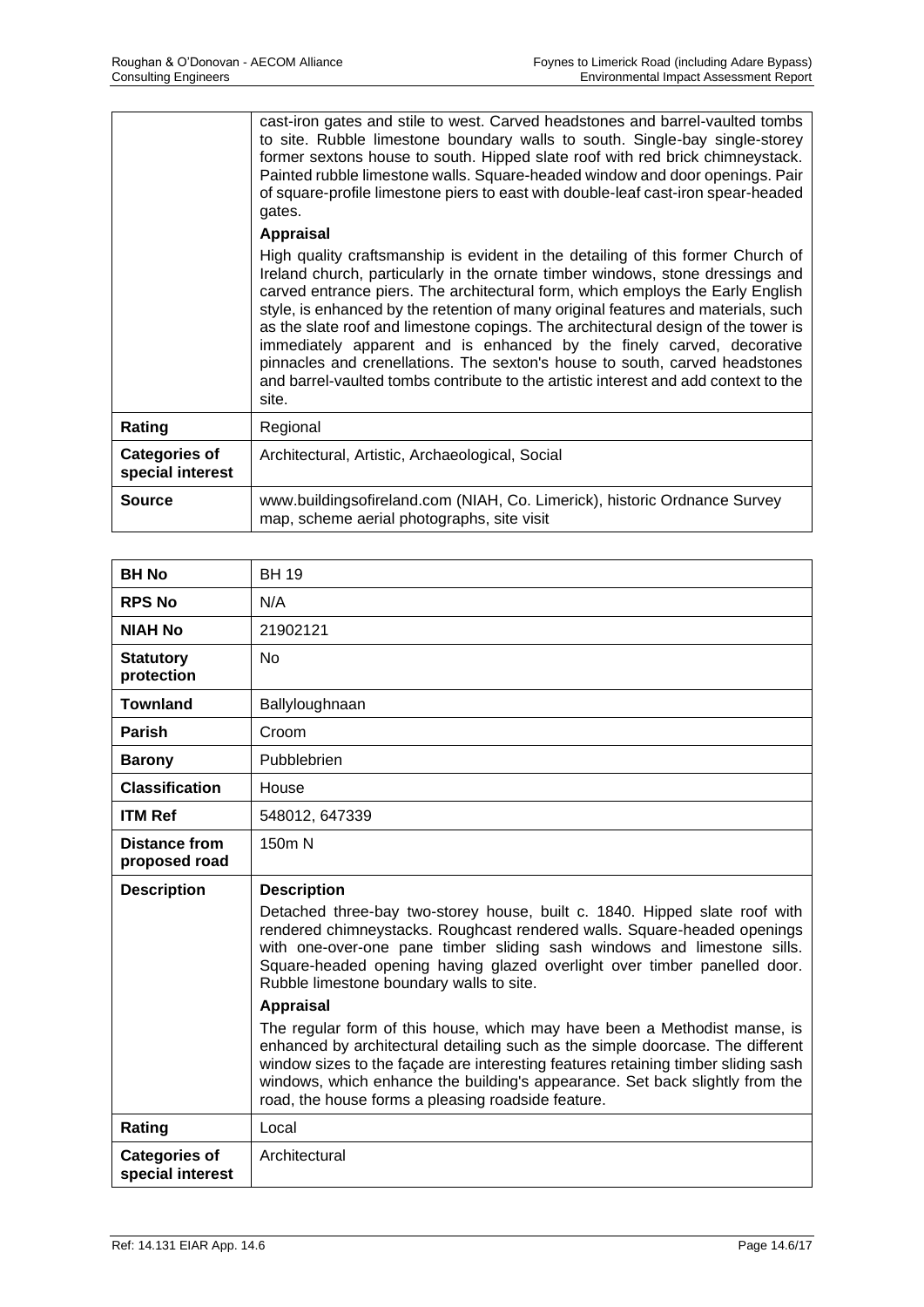|                                          | cast-iron gates and stile to west. Carved headstones and barrel-vaulted tombs<br>to site. Rubble limestone boundary walls to south. Single-bay single-storey<br>former sextons house to south. Hipped slate roof with red brick chimneystack.<br>Painted rubble limestone walls. Square-headed window and door openings. Pair<br>of square-profile limestone piers to east with double-leaf cast-iron spear-headed<br>gates.<br><b>Appraisal</b>                                                                                                                                                                                                                                      |
|------------------------------------------|---------------------------------------------------------------------------------------------------------------------------------------------------------------------------------------------------------------------------------------------------------------------------------------------------------------------------------------------------------------------------------------------------------------------------------------------------------------------------------------------------------------------------------------------------------------------------------------------------------------------------------------------------------------------------------------|
|                                          | High quality craftsmanship is evident in the detailing of this former Church of<br>Ireland church, particularly in the ornate timber windows, stone dressings and<br>carved entrance piers. The architectural form, which employs the Early English<br>style, is enhanced by the retention of many original features and materials, such<br>as the slate roof and limestone copings. The architectural design of the tower is<br>immediately apparent and is enhanced by the finely carved, decorative<br>pinnacles and crenellations. The sexton's house to south, carved headstones<br>and barrel-vaulted tombs contribute to the artistic interest and add context to the<br>site. |
| Rating                                   | Regional                                                                                                                                                                                                                                                                                                                                                                                                                                                                                                                                                                                                                                                                              |
| <b>Categories of</b><br>special interest | Architectural, Artistic, Archaeological, Social                                                                                                                                                                                                                                                                                                                                                                                                                                                                                                                                                                                                                                       |
| <b>Source</b>                            | www.buildingsofireland.com (NIAH, Co. Limerick), historic Ordnance Survey<br>map, scheme aerial photographs, site visit                                                                                                                                                                                                                                                                                                                                                                                                                                                                                                                                                               |

| <b>BH No</b>                          | <b>BH 19</b>                                                                                                                                                                                                                                                                                                                                                                                                                                                                                                                                                                                                                                                                                                                                                                                  |
|---------------------------------------|-----------------------------------------------------------------------------------------------------------------------------------------------------------------------------------------------------------------------------------------------------------------------------------------------------------------------------------------------------------------------------------------------------------------------------------------------------------------------------------------------------------------------------------------------------------------------------------------------------------------------------------------------------------------------------------------------------------------------------------------------------------------------------------------------|
| <b>RPS No</b>                         | N/A                                                                                                                                                                                                                                                                                                                                                                                                                                                                                                                                                                                                                                                                                                                                                                                           |
| <b>NIAH No</b>                        | 21902121                                                                                                                                                                                                                                                                                                                                                                                                                                                                                                                                                                                                                                                                                                                                                                                      |
| <b>Statutory</b><br>protection        | <b>No</b>                                                                                                                                                                                                                                                                                                                                                                                                                                                                                                                                                                                                                                                                                                                                                                                     |
| <b>Townland</b>                       | Ballyloughnaan                                                                                                                                                                                                                                                                                                                                                                                                                                                                                                                                                                                                                                                                                                                                                                                |
| <b>Parish</b>                         | Croom                                                                                                                                                                                                                                                                                                                                                                                                                                                                                                                                                                                                                                                                                                                                                                                         |
| <b>Barony</b>                         | Pubblebrien                                                                                                                                                                                                                                                                                                                                                                                                                                                                                                                                                                                                                                                                                                                                                                                   |
| <b>Classification</b>                 | House                                                                                                                                                                                                                                                                                                                                                                                                                                                                                                                                                                                                                                                                                                                                                                                         |
| <b>ITM Ref</b>                        | 548012, 647339                                                                                                                                                                                                                                                                                                                                                                                                                                                                                                                                                                                                                                                                                                                                                                                |
| <b>Distance from</b><br>proposed road | 150m N                                                                                                                                                                                                                                                                                                                                                                                                                                                                                                                                                                                                                                                                                                                                                                                        |
|                                       |                                                                                                                                                                                                                                                                                                                                                                                                                                                                                                                                                                                                                                                                                                                                                                                               |
| <b>Description</b>                    | <b>Description</b><br>Detached three-bay two-storey house, built c. 1840. Hipped slate roof with<br>rendered chimneystacks. Roughcast rendered walls. Square-headed openings<br>with one-over-one pane timber sliding sash windows and limestone sills.<br>Square-headed opening having glazed overlight over timber panelled door.<br>Rubble limestone boundary walls to site.<br><b>Appraisal</b><br>The regular form of this house, which may have been a Methodist manse, is<br>enhanced by architectural detailing such as the simple doorcase. The different<br>window sizes to the façade are interesting features retaining timber sliding sash<br>windows, which enhance the building's appearance. Set back slightly from the<br>road, the house forms a pleasing roadside feature. |
| Rating                                | Local                                                                                                                                                                                                                                                                                                                                                                                                                                                                                                                                                                                                                                                                                                                                                                                         |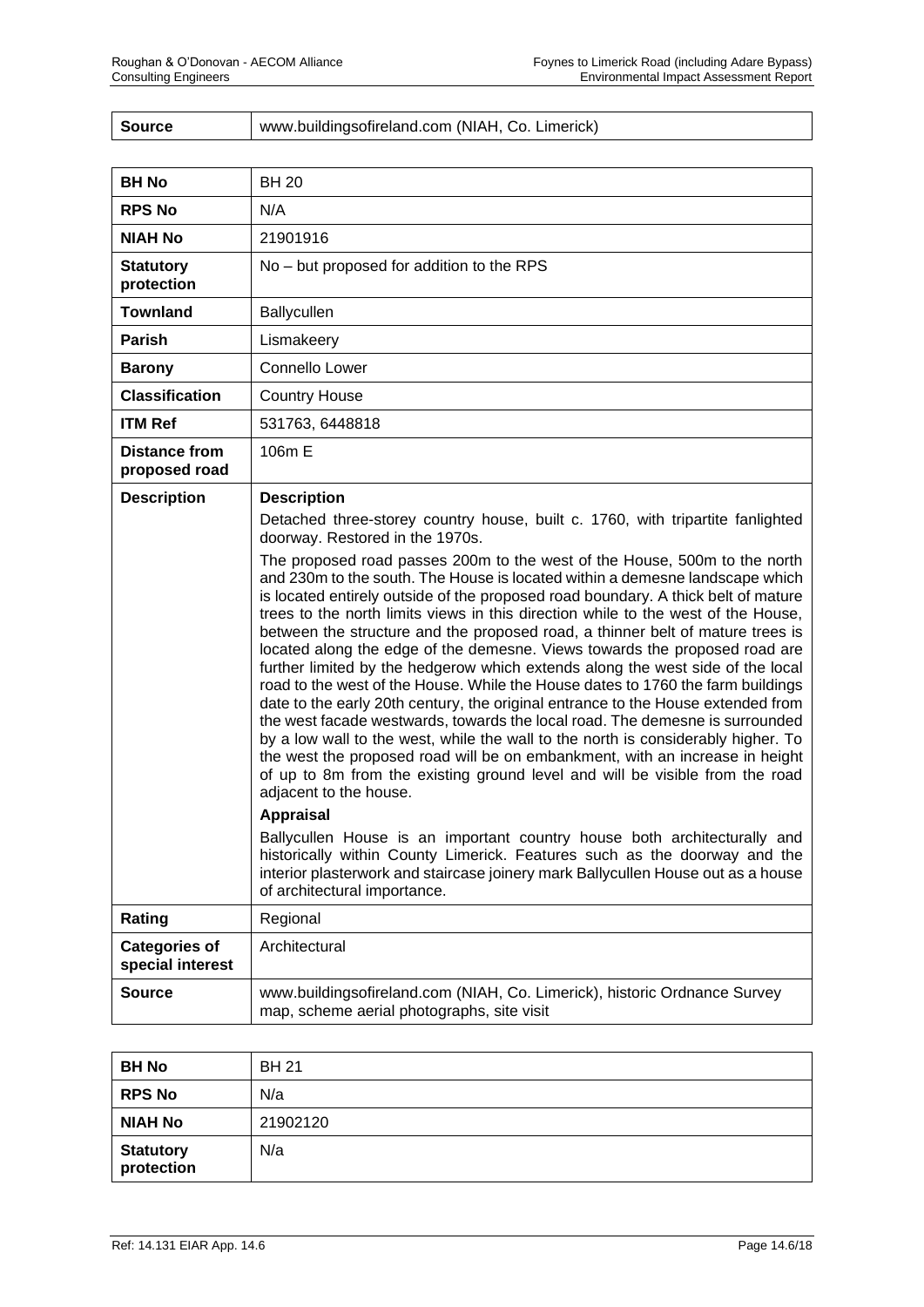| <b>Source</b> | www.buildingsofireland.com (NIAH, Co. Limerick) |
|---------------|-------------------------------------------------|
|---------------|-------------------------------------------------|

| <b>BH No</b>                             | <b>BH 20</b>                                                                                                                                                                                                                                                                                                                                                                                                                                                                                                                                                                                                                                                                                                                                                                                                                                                                                                                                                                                                                                                                                                                                                                                                                                                                               |
|------------------------------------------|--------------------------------------------------------------------------------------------------------------------------------------------------------------------------------------------------------------------------------------------------------------------------------------------------------------------------------------------------------------------------------------------------------------------------------------------------------------------------------------------------------------------------------------------------------------------------------------------------------------------------------------------------------------------------------------------------------------------------------------------------------------------------------------------------------------------------------------------------------------------------------------------------------------------------------------------------------------------------------------------------------------------------------------------------------------------------------------------------------------------------------------------------------------------------------------------------------------------------------------------------------------------------------------------|
| <b>RPS No</b>                            | N/A                                                                                                                                                                                                                                                                                                                                                                                                                                                                                                                                                                                                                                                                                                                                                                                                                                                                                                                                                                                                                                                                                                                                                                                                                                                                                        |
| <b>NIAH No</b>                           | 21901916                                                                                                                                                                                                                                                                                                                                                                                                                                                                                                                                                                                                                                                                                                                                                                                                                                                                                                                                                                                                                                                                                                                                                                                                                                                                                   |
| <b>Statutory</b><br>protection           | No – but proposed for addition to the RPS                                                                                                                                                                                                                                                                                                                                                                                                                                                                                                                                                                                                                                                                                                                                                                                                                                                                                                                                                                                                                                                                                                                                                                                                                                                  |
| <b>Townland</b>                          | Ballycullen                                                                                                                                                                                                                                                                                                                                                                                                                                                                                                                                                                                                                                                                                                                                                                                                                                                                                                                                                                                                                                                                                                                                                                                                                                                                                |
| <b>Parish</b>                            | Lismakeery                                                                                                                                                                                                                                                                                                                                                                                                                                                                                                                                                                                                                                                                                                                                                                                                                                                                                                                                                                                                                                                                                                                                                                                                                                                                                 |
| <b>Barony</b>                            | <b>Connello Lower</b>                                                                                                                                                                                                                                                                                                                                                                                                                                                                                                                                                                                                                                                                                                                                                                                                                                                                                                                                                                                                                                                                                                                                                                                                                                                                      |
| <b>Classification</b>                    | <b>Country House</b>                                                                                                                                                                                                                                                                                                                                                                                                                                                                                                                                                                                                                                                                                                                                                                                                                                                                                                                                                                                                                                                                                                                                                                                                                                                                       |
| <b>ITM Ref</b>                           | 531763, 6448818                                                                                                                                                                                                                                                                                                                                                                                                                                                                                                                                                                                                                                                                                                                                                                                                                                                                                                                                                                                                                                                                                                                                                                                                                                                                            |
| <b>Distance from</b><br>proposed road    | 106m E                                                                                                                                                                                                                                                                                                                                                                                                                                                                                                                                                                                                                                                                                                                                                                                                                                                                                                                                                                                                                                                                                                                                                                                                                                                                                     |
| <b>Description</b>                       | <b>Description</b><br>Detached three-storey country house, built c. 1760, with tripartite fanlighted<br>doorway. Restored in the 1970s.<br>The proposed road passes 200m to the west of the House, 500m to the north<br>and 230m to the south. The House is located within a demesne landscape which<br>is located entirely outside of the proposed road boundary. A thick belt of mature<br>trees to the north limits views in this direction while to the west of the House,<br>between the structure and the proposed road, a thinner belt of mature trees is<br>located along the edge of the demesne. Views towards the proposed road are<br>further limited by the hedgerow which extends along the west side of the local<br>road to the west of the House. While the House dates to 1760 the farm buildings<br>date to the early 20th century, the original entrance to the House extended from<br>the west facade westwards, towards the local road. The demesne is surrounded<br>by a low wall to the west, while the wall to the north is considerably higher. To<br>the west the proposed road will be on embankment, with an increase in height<br>of up to 8m from the existing ground level and will be visible from the road<br>adjacent to the house.<br><b>Appraisal</b> |
|                                          | Ballycullen House is an important country house both architecturally and<br>historically within County Limerick. Features such as the doorway and the<br>interior plasterwork and staircase joinery mark Ballycullen House out as a house<br>of architectural importance.                                                                                                                                                                                                                                                                                                                                                                                                                                                                                                                                                                                                                                                                                                                                                                                                                                                                                                                                                                                                                  |
| Rating                                   | Regional                                                                                                                                                                                                                                                                                                                                                                                                                                                                                                                                                                                                                                                                                                                                                                                                                                                                                                                                                                                                                                                                                                                                                                                                                                                                                   |
| <b>Categories of</b><br>special interest | Architectural                                                                                                                                                                                                                                                                                                                                                                                                                                                                                                                                                                                                                                                                                                                                                                                                                                                                                                                                                                                                                                                                                                                                                                                                                                                                              |
| <b>Source</b>                            | www.buildingsofireland.com (NIAH, Co. Limerick), historic Ordnance Survey<br>map, scheme aerial photographs, site visit                                                                                                                                                                                                                                                                                                                                                                                                                                                                                                                                                                                                                                                                                                                                                                                                                                                                                                                                                                                                                                                                                                                                                                    |

| <b>BH No</b>                   | <b>BH 21</b> |
|--------------------------------|--------------|
| <b>RPS No</b>                  | N/a          |
| <b>NIAH No</b>                 | 21902120     |
| <b>Statutory</b><br>protection | N/a          |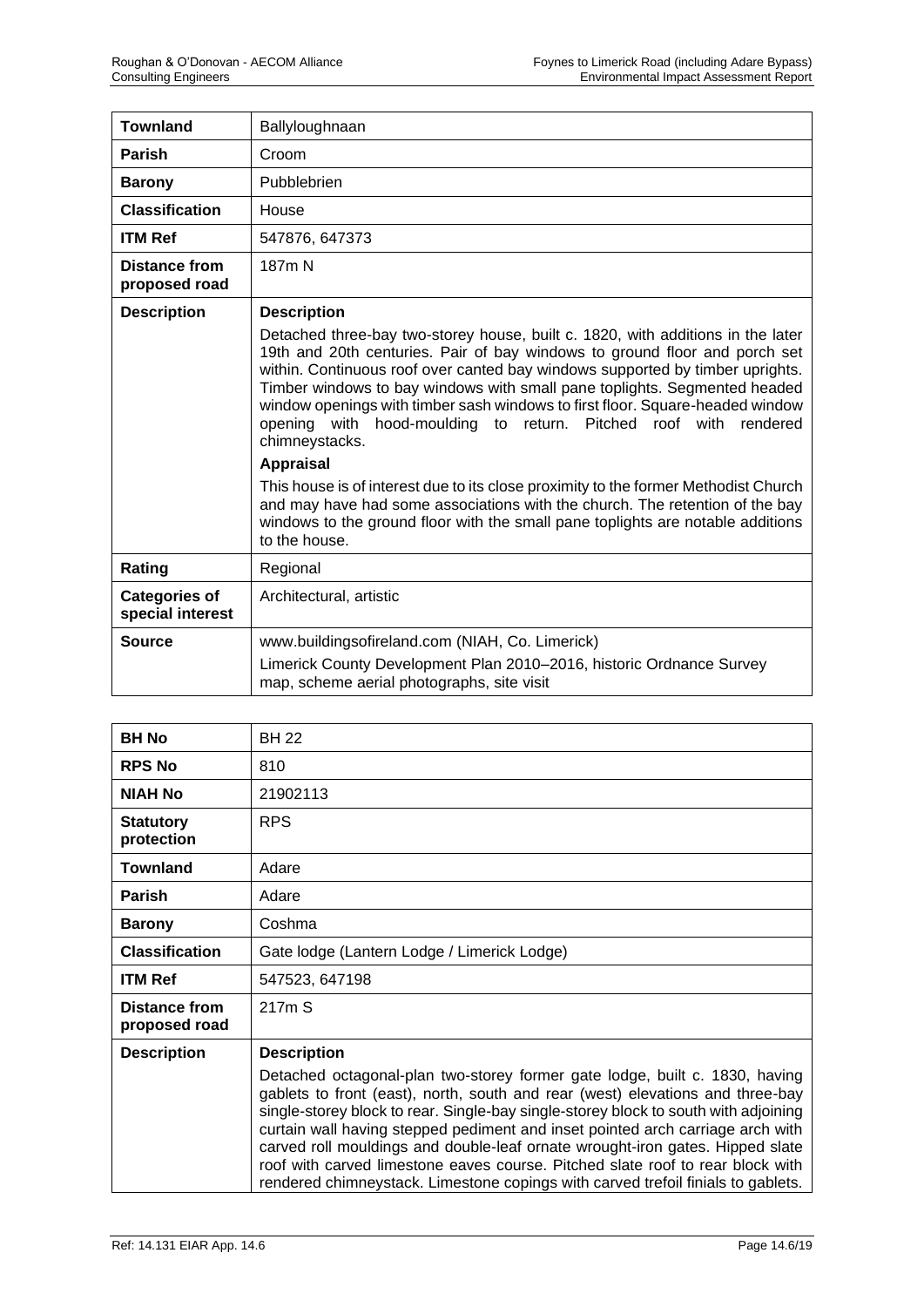| <b>Townland</b>                          | Ballyloughnaan                                                                                                                                                                                                                                                                                                                                                                                                                                                                                        |
|------------------------------------------|-------------------------------------------------------------------------------------------------------------------------------------------------------------------------------------------------------------------------------------------------------------------------------------------------------------------------------------------------------------------------------------------------------------------------------------------------------------------------------------------------------|
| Parish                                   | Croom                                                                                                                                                                                                                                                                                                                                                                                                                                                                                                 |
| <b>Barony</b>                            | Pubblebrien                                                                                                                                                                                                                                                                                                                                                                                                                                                                                           |
| <b>Classification</b>                    | House                                                                                                                                                                                                                                                                                                                                                                                                                                                                                                 |
| <b>ITM Ref</b>                           | 547876, 647373                                                                                                                                                                                                                                                                                                                                                                                                                                                                                        |
| Distance from<br>proposed road           | 187 <sub>m</sub> N                                                                                                                                                                                                                                                                                                                                                                                                                                                                                    |
| <b>Description</b>                       | <b>Description</b>                                                                                                                                                                                                                                                                                                                                                                                                                                                                                    |
|                                          | Detached three-bay two-storey house, built c. 1820, with additions in the later<br>19th and 20th centuries. Pair of bay windows to ground floor and porch set<br>within. Continuous roof over canted bay windows supported by timber uprights.<br>Timber windows to bay windows with small pane toplights. Segmented headed<br>window openings with timber sash windows to first floor. Square-headed window<br>opening with hood-moulding to return. Pitched roof with<br>rendered<br>chimneystacks. |
|                                          | <b>Appraisal</b>                                                                                                                                                                                                                                                                                                                                                                                                                                                                                      |
|                                          | This house is of interest due to its close proximity to the former Methodist Church<br>and may have had some associations with the church. The retention of the bay<br>windows to the ground floor with the small pane toplights are notable additions<br>to the house.                                                                                                                                                                                                                               |
| Rating                                   | Regional                                                                                                                                                                                                                                                                                                                                                                                                                                                                                              |
| <b>Categories of</b><br>special interest | Architectural, artistic                                                                                                                                                                                                                                                                                                                                                                                                                                                                               |
| <b>Source</b>                            | www.buildingsofireland.com (NIAH, Co. Limerick)                                                                                                                                                                                                                                                                                                                                                                                                                                                       |
|                                          | Limerick County Development Plan 2010-2016, historic Ordnance Survey<br>map, scheme aerial photographs, site visit                                                                                                                                                                                                                                                                                                                                                                                    |

| <b>BH No</b>                   | <b>BH 22</b>                                                                                                                                                                                                                                                                                                                                                                                                                                                                                                                                                                                  |
|--------------------------------|-----------------------------------------------------------------------------------------------------------------------------------------------------------------------------------------------------------------------------------------------------------------------------------------------------------------------------------------------------------------------------------------------------------------------------------------------------------------------------------------------------------------------------------------------------------------------------------------------|
| <b>RPS No</b>                  | 810                                                                                                                                                                                                                                                                                                                                                                                                                                                                                                                                                                                           |
| <b>NIAH No</b>                 | 21902113                                                                                                                                                                                                                                                                                                                                                                                                                                                                                                                                                                                      |
| <b>Statutory</b><br>protection | <b>RPS</b>                                                                                                                                                                                                                                                                                                                                                                                                                                                                                                                                                                                    |
| <b>Townland</b>                | Adare                                                                                                                                                                                                                                                                                                                                                                                                                                                                                                                                                                                         |
| <b>Parish</b>                  | Adare                                                                                                                                                                                                                                                                                                                                                                                                                                                                                                                                                                                         |
| <b>Barony</b>                  | Coshma                                                                                                                                                                                                                                                                                                                                                                                                                                                                                                                                                                                        |
| <b>Classification</b>          | Gate lodge (Lantern Lodge / Limerick Lodge)                                                                                                                                                                                                                                                                                                                                                                                                                                                                                                                                                   |
| <b>ITM Ref</b>                 | 547523, 647198                                                                                                                                                                                                                                                                                                                                                                                                                                                                                                                                                                                |
| Distance from<br>proposed road | 217m S                                                                                                                                                                                                                                                                                                                                                                                                                                                                                                                                                                                        |
| <b>Description</b>             | <b>Description</b>                                                                                                                                                                                                                                                                                                                                                                                                                                                                                                                                                                            |
|                                | Detached octagonal-plan two-storey former gate lodge, built c. 1830, having<br>gablets to front (east), north, south and rear (west) elevations and three-bay<br>single-storey block to rear. Single-bay single-storey block to south with adjoining<br>curtain wall having stepped pediment and inset pointed arch carriage arch with<br>carved roll mouldings and double-leaf ornate wrought-iron gates. Hipped slate<br>roof with carved limestone eaves course. Pitched slate roof to rear block with<br>rendered chimneystack. Limestone copings with carved trefoil finials to gablets. |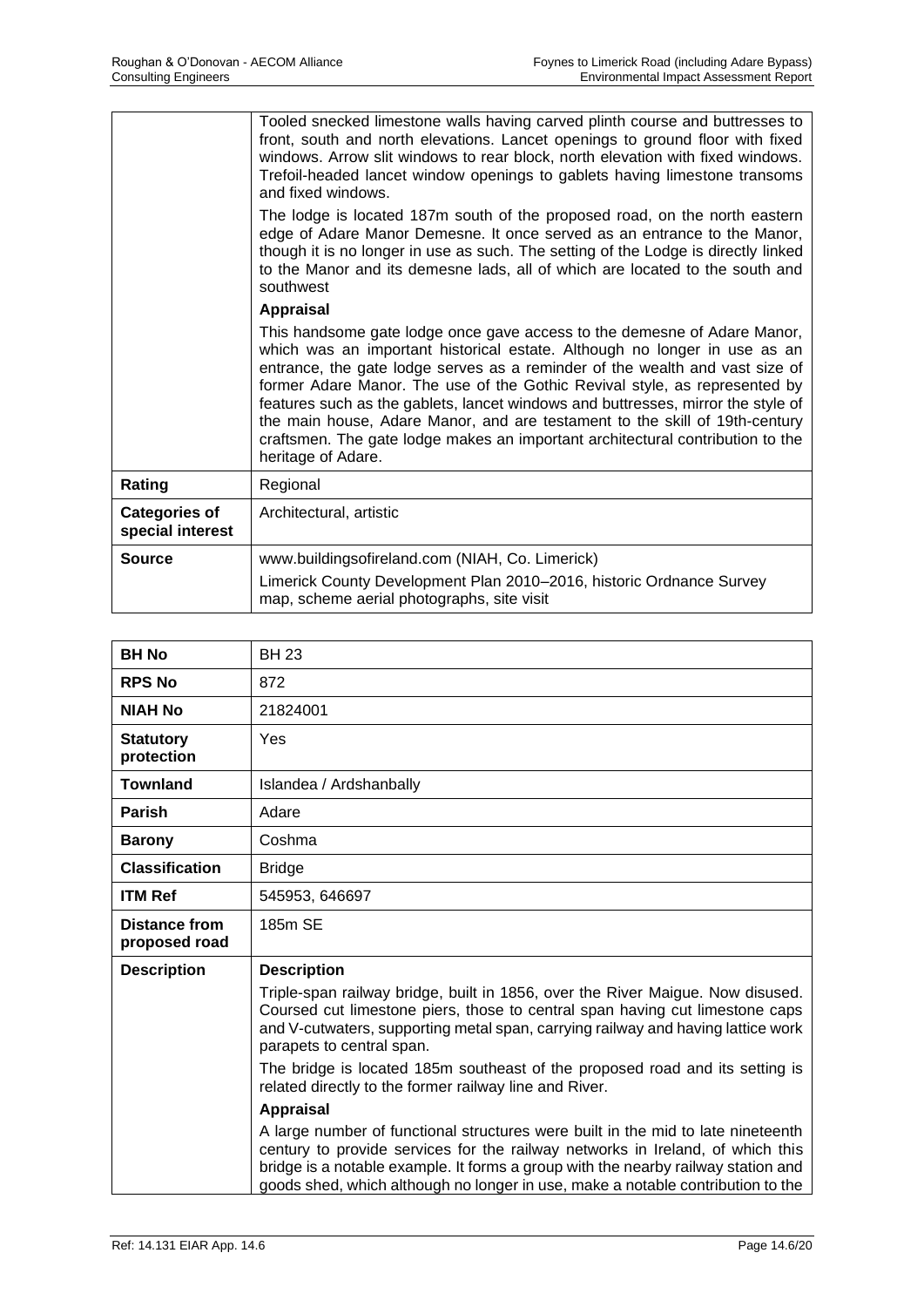|                                          | Tooled snecked limestone walls having carved plinth course and buttresses to<br>front, south and north elevations. Lancet openings to ground floor with fixed<br>windows. Arrow slit windows to rear block, north elevation with fixed windows.<br>Trefoil-headed lancet window openings to gablets having limestone transoms<br>and fixed windows.<br>The lodge is located 187m south of the proposed road, on the north eastern                                                                                                                                                              |
|------------------------------------------|------------------------------------------------------------------------------------------------------------------------------------------------------------------------------------------------------------------------------------------------------------------------------------------------------------------------------------------------------------------------------------------------------------------------------------------------------------------------------------------------------------------------------------------------------------------------------------------------|
|                                          | edge of Adare Manor Demesne. It once served as an entrance to the Manor,<br>though it is no longer in use as such. The setting of the Lodge is directly linked<br>to the Manor and its demesne lads, all of which are located to the south and<br>southwest                                                                                                                                                                                                                                                                                                                                    |
|                                          | <b>Appraisal</b>                                                                                                                                                                                                                                                                                                                                                                                                                                                                                                                                                                               |
|                                          | This handsome gate lodge once gave access to the demesne of Adare Manor,<br>which was an important historical estate. Although no longer in use as an<br>entrance, the gate lodge serves as a reminder of the wealth and vast size of<br>former Adare Manor. The use of the Gothic Revival style, as represented by<br>features such as the gablets, lancet windows and buttresses, mirror the style of<br>the main house, Adare Manor, and are testament to the skill of 19th-century<br>craftsmen. The gate lodge makes an important architectural contribution to the<br>heritage of Adare. |
| Rating                                   | Regional                                                                                                                                                                                                                                                                                                                                                                                                                                                                                                                                                                                       |
| <b>Categories of</b><br>special interest | Architectural, artistic                                                                                                                                                                                                                                                                                                                                                                                                                                                                                                                                                                        |
| <b>Source</b>                            | www.buildingsofireland.com (NIAH, Co. Limerick)                                                                                                                                                                                                                                                                                                                                                                                                                                                                                                                                                |
|                                          | Limerick County Development Plan 2010-2016, historic Ordnance Survey<br>map, scheme aerial photographs, site visit                                                                                                                                                                                                                                                                                                                                                                                                                                                                             |

| <b>BH No</b>                          | <b>BH 23</b>                                                                                                                                                                                                                                                                                                                               |
|---------------------------------------|--------------------------------------------------------------------------------------------------------------------------------------------------------------------------------------------------------------------------------------------------------------------------------------------------------------------------------------------|
| <b>RPS No</b>                         | 872                                                                                                                                                                                                                                                                                                                                        |
| <b>NIAH No</b>                        | 21824001                                                                                                                                                                                                                                                                                                                                   |
| <b>Statutory</b><br>protection        | Yes                                                                                                                                                                                                                                                                                                                                        |
| <b>Townland</b>                       | Islandea / Ardshanbally                                                                                                                                                                                                                                                                                                                    |
| <b>Parish</b>                         | Adare                                                                                                                                                                                                                                                                                                                                      |
| <b>Barony</b>                         | Coshma                                                                                                                                                                                                                                                                                                                                     |
| <b>Classification</b>                 | <b>Bridge</b>                                                                                                                                                                                                                                                                                                                              |
| <b>ITM Ref</b>                        | 545953, 646697                                                                                                                                                                                                                                                                                                                             |
| <b>Distance from</b><br>proposed road | 185m SE                                                                                                                                                                                                                                                                                                                                    |
| <b>Description</b>                    | <b>Description</b>                                                                                                                                                                                                                                                                                                                         |
|                                       | Triple-span railway bridge, built in 1856, over the River Maigue. Now disused.<br>Coursed cut limestone piers, those to central span having cut limestone caps<br>and V-cutwaters, supporting metal span, carrying railway and having lattice work<br>parapets to central span.                                                            |
|                                       | The bridge is located 185m southeast of the proposed road and its setting is<br>related directly to the former railway line and River.                                                                                                                                                                                                     |
|                                       | <b>Appraisal</b>                                                                                                                                                                                                                                                                                                                           |
|                                       | A large number of functional structures were built in the mid to late nineteenth<br>century to provide services for the railway networks in Ireland, of which this<br>bridge is a notable example. It forms a group with the nearby railway station and<br>goods shed, which although no longer in use, make a notable contribution to the |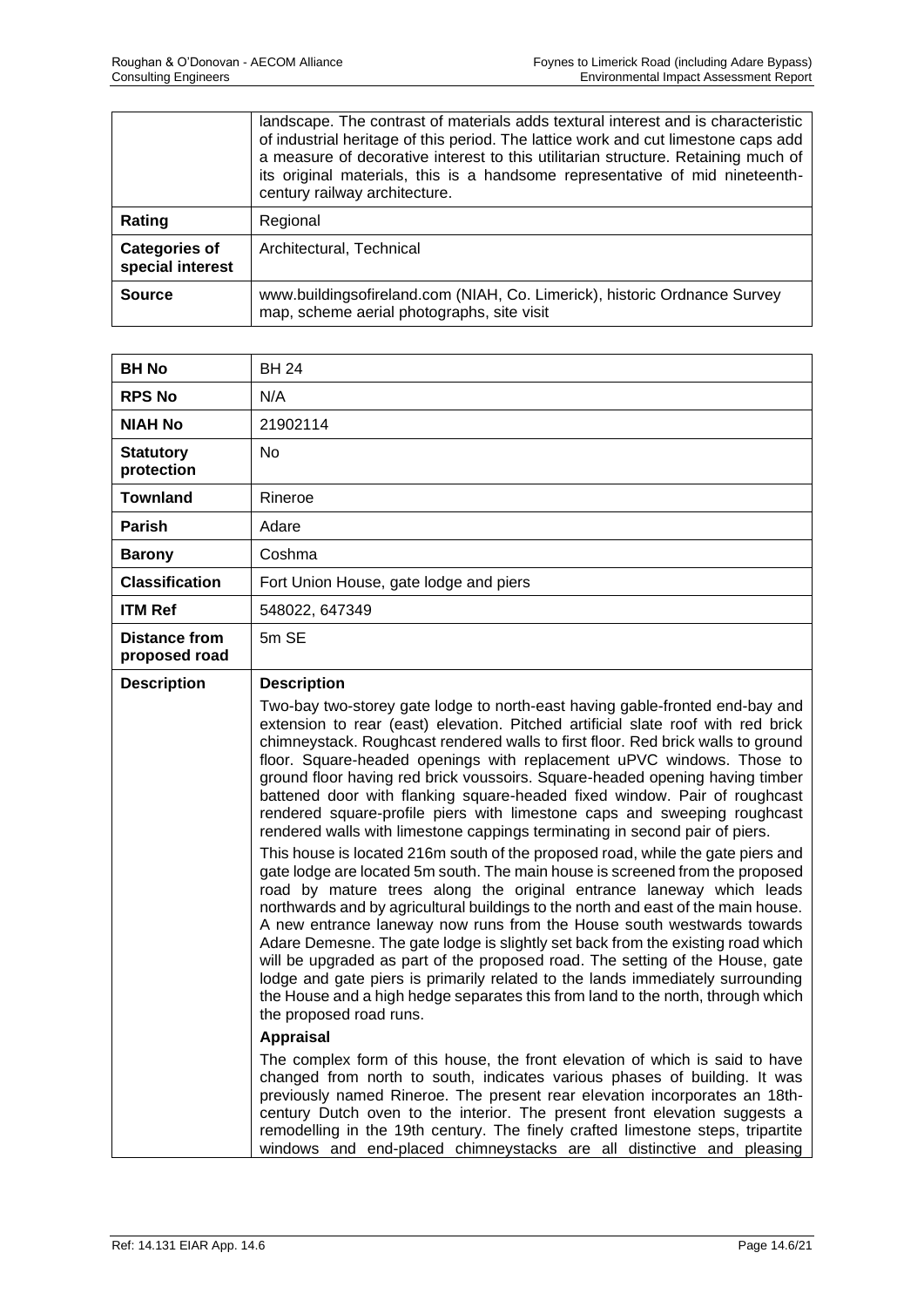|                                          | landscape. The contrast of materials adds textural interest and is characteristic<br>of industrial heritage of this period. The lattice work and cut limestone caps add<br>a measure of decorative interest to this utilitarian structure. Retaining much of<br>its original materials, this is a handsome representative of mid nineteenth-<br>century railway architecture. |
|------------------------------------------|-------------------------------------------------------------------------------------------------------------------------------------------------------------------------------------------------------------------------------------------------------------------------------------------------------------------------------------------------------------------------------|
| Rating                                   | Regional                                                                                                                                                                                                                                                                                                                                                                      |
| <b>Categories of</b><br>special interest | Architectural, Technical                                                                                                                                                                                                                                                                                                                                                      |
| <b>Source</b>                            | www.buildingsofireland.com (NIAH, Co. Limerick), historic Ordnance Survey<br>map, scheme aerial photographs, site visit                                                                                                                                                                                                                                                       |

| <b>BH No</b>                   | <b>BH 24</b>                                                                                                                                                                                                                                                                                                                                                                                                                                                                                                                                                                                                                                                                                                                                                                |
|--------------------------------|-----------------------------------------------------------------------------------------------------------------------------------------------------------------------------------------------------------------------------------------------------------------------------------------------------------------------------------------------------------------------------------------------------------------------------------------------------------------------------------------------------------------------------------------------------------------------------------------------------------------------------------------------------------------------------------------------------------------------------------------------------------------------------|
| <b>RPS No</b>                  | N/A                                                                                                                                                                                                                                                                                                                                                                                                                                                                                                                                                                                                                                                                                                                                                                         |
| NIAH No                        | 21902114                                                                                                                                                                                                                                                                                                                                                                                                                                                                                                                                                                                                                                                                                                                                                                    |
| <b>Statutory</b><br>protection | No.                                                                                                                                                                                                                                                                                                                                                                                                                                                                                                                                                                                                                                                                                                                                                                         |
| <b>Townland</b>                | Rineroe                                                                                                                                                                                                                                                                                                                                                                                                                                                                                                                                                                                                                                                                                                                                                                     |
| Parish                         | Adare                                                                                                                                                                                                                                                                                                                                                                                                                                                                                                                                                                                                                                                                                                                                                                       |
| <b>Barony</b>                  | Coshma                                                                                                                                                                                                                                                                                                                                                                                                                                                                                                                                                                                                                                                                                                                                                                      |
| <b>Classification</b>          | Fort Union House, gate lodge and piers                                                                                                                                                                                                                                                                                                                                                                                                                                                                                                                                                                                                                                                                                                                                      |
| <b>ITM Ref</b>                 | 548022, 647349                                                                                                                                                                                                                                                                                                                                                                                                                                                                                                                                                                                                                                                                                                                                                              |
| Distance from<br>proposed road | 5m SE                                                                                                                                                                                                                                                                                                                                                                                                                                                                                                                                                                                                                                                                                                                                                                       |
| <b>Description</b>             | <b>Description</b><br>Two-bay two-storey gate lodge to north-east having gable-fronted end-bay and                                                                                                                                                                                                                                                                                                                                                                                                                                                                                                                                                                                                                                                                          |
|                                | extension to rear (east) elevation. Pitched artificial slate roof with red brick<br>chimneystack. Roughcast rendered walls to first floor. Red brick walls to ground<br>floor. Square-headed openings with replacement uPVC windows. Those to<br>ground floor having red brick voussoirs. Square-headed opening having timber<br>battened door with flanking square-headed fixed window. Pair of roughcast<br>rendered square-profile piers with limestone caps and sweeping roughcast<br>rendered walls with limestone cappings terminating in second pair of piers.                                                                                                                                                                                                       |
|                                | This house is located 216m south of the proposed road, while the gate piers and<br>gate lodge are located 5m south. The main house is screened from the proposed<br>road by mature trees along the original entrance laneway which leads<br>northwards and by agricultural buildings to the north and east of the main house.<br>A new entrance laneway now runs from the House south westwards towards<br>Adare Demesne. The gate lodge is slightly set back from the existing road which<br>will be upgraded as part of the proposed road. The setting of the House, gate<br>lodge and gate piers is primarily related to the lands immediately surrounding<br>the House and a high hedge separates this from land to the north, through which<br>the proposed road runs. |
|                                | <b>Appraisal</b>                                                                                                                                                                                                                                                                                                                                                                                                                                                                                                                                                                                                                                                                                                                                                            |
|                                | The complex form of this house, the front elevation of which is said to have<br>changed from north to south, indicates various phases of building. It was<br>previously named Rineroe. The present rear elevation incorporates an 18th-<br>century Dutch oven to the interior. The present front elevation suggests a<br>remodelling in the 19th century. The finely crafted limestone steps, tripartite<br>windows and end-placed chimneystacks are all distinctive and pleasing                                                                                                                                                                                                                                                                                           |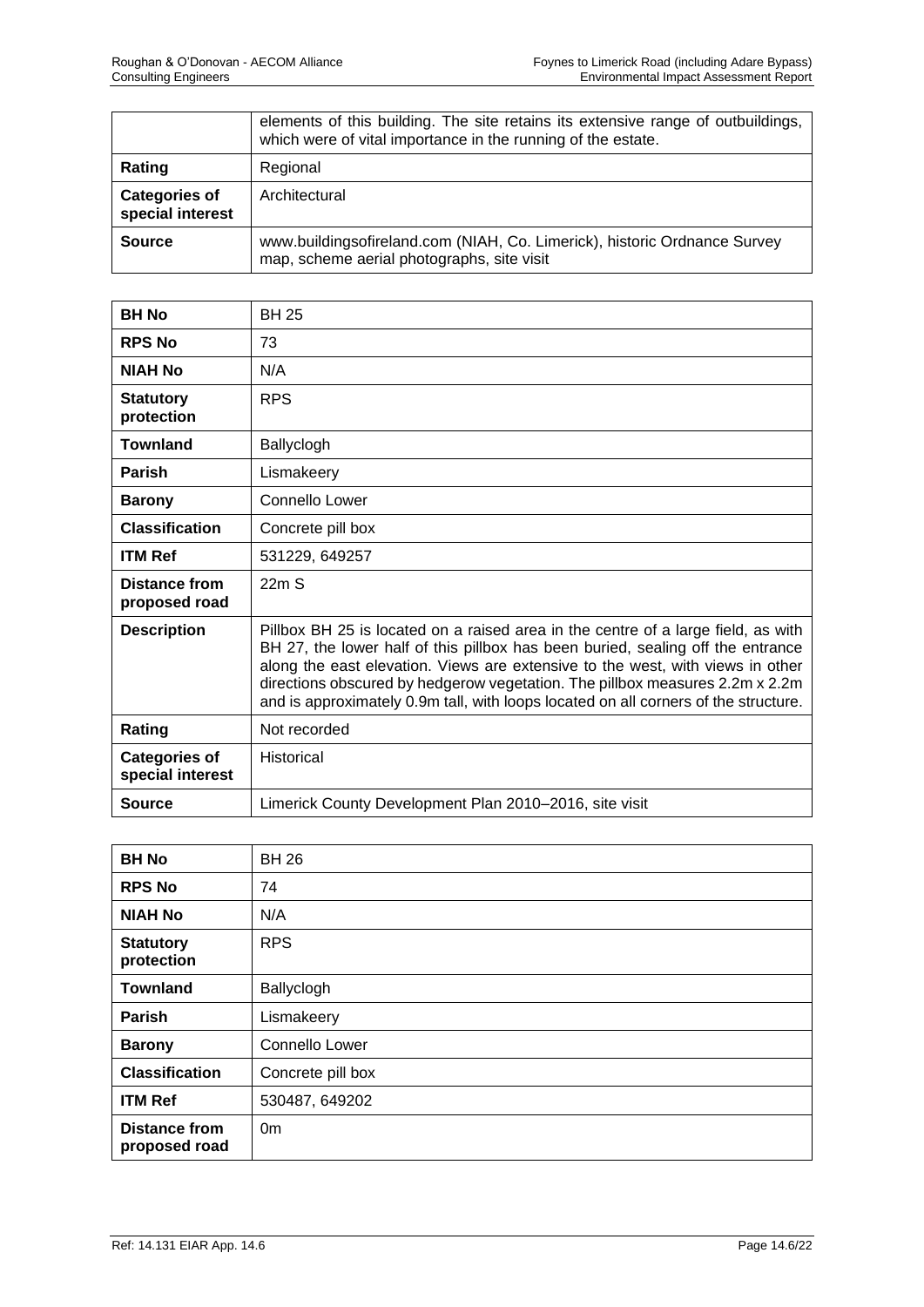|                                          | elements of this building. The site retains its extensive range of outbuildings,<br>which were of vital importance in the running of the estate. |
|------------------------------------------|--------------------------------------------------------------------------------------------------------------------------------------------------|
| Rating                                   | Regional                                                                                                                                         |
| <b>Categories of</b><br>special interest | Architectural                                                                                                                                    |
| <b>Source</b>                            | www.buildingsofireland.com (NIAH, Co. Limerick), historic Ordnance Survey<br>map, scheme aerial photographs, site visit                          |

| <b>BH No</b>                             | <b>BH 25</b>                                                                                                                                                                                                                                                                                                                                                                                                                  |
|------------------------------------------|-------------------------------------------------------------------------------------------------------------------------------------------------------------------------------------------------------------------------------------------------------------------------------------------------------------------------------------------------------------------------------------------------------------------------------|
| <b>RPS No</b>                            | 73                                                                                                                                                                                                                                                                                                                                                                                                                            |
| <b>NIAH No</b>                           | N/A                                                                                                                                                                                                                                                                                                                                                                                                                           |
| <b>Statutory</b><br>protection           | <b>RPS</b>                                                                                                                                                                                                                                                                                                                                                                                                                    |
| <b>Townland</b>                          | Ballyclogh                                                                                                                                                                                                                                                                                                                                                                                                                    |
| <b>Parish</b>                            | Lismakeery                                                                                                                                                                                                                                                                                                                                                                                                                    |
| <b>Barony</b>                            | Connello Lower                                                                                                                                                                                                                                                                                                                                                                                                                |
| <b>Classification</b>                    | Concrete pill box                                                                                                                                                                                                                                                                                                                                                                                                             |
| <b>ITM Ref</b>                           | 531229, 649257                                                                                                                                                                                                                                                                                                                                                                                                                |
| <b>Distance from</b><br>proposed road    | 22mS                                                                                                                                                                                                                                                                                                                                                                                                                          |
| <b>Description</b>                       | Pillbox BH 25 is located on a raised area in the centre of a large field, as with<br>BH 27, the lower half of this pillbox has been buried, sealing off the entrance<br>along the east elevation. Views are extensive to the west, with views in other<br>directions obscured by hedgerow vegetation. The pillbox measures 2.2m x 2.2m<br>and is approximately 0.9m tall, with loops located on all corners of the structure. |
| Rating                                   | Not recorded                                                                                                                                                                                                                                                                                                                                                                                                                  |
| <b>Categories of</b><br>special interest | <b>Historical</b>                                                                                                                                                                                                                                                                                                                                                                                                             |
| Source                                   | Limerick County Development Plan 2010-2016, site visit                                                                                                                                                                                                                                                                                                                                                                        |

| <b>BH No</b>                          | <b>BH 26</b>          |
|---------------------------------------|-----------------------|
| <b>RPS No</b>                         | 74                    |
| <b>NIAH No</b>                        | N/A                   |
| <b>Statutory</b><br>protection        | <b>RPS</b>            |
| <b>Townland</b>                       | Ballyclogh            |
| Parish                                | Lismakeery            |
| <b>Barony</b>                         | <b>Connello Lower</b> |
| <b>Classification</b>                 | Concrete pill box     |
| <b>ITM Ref</b>                        | 530487, 649202        |
| <b>Distance from</b><br>proposed road | 0 <sub>m</sub>        |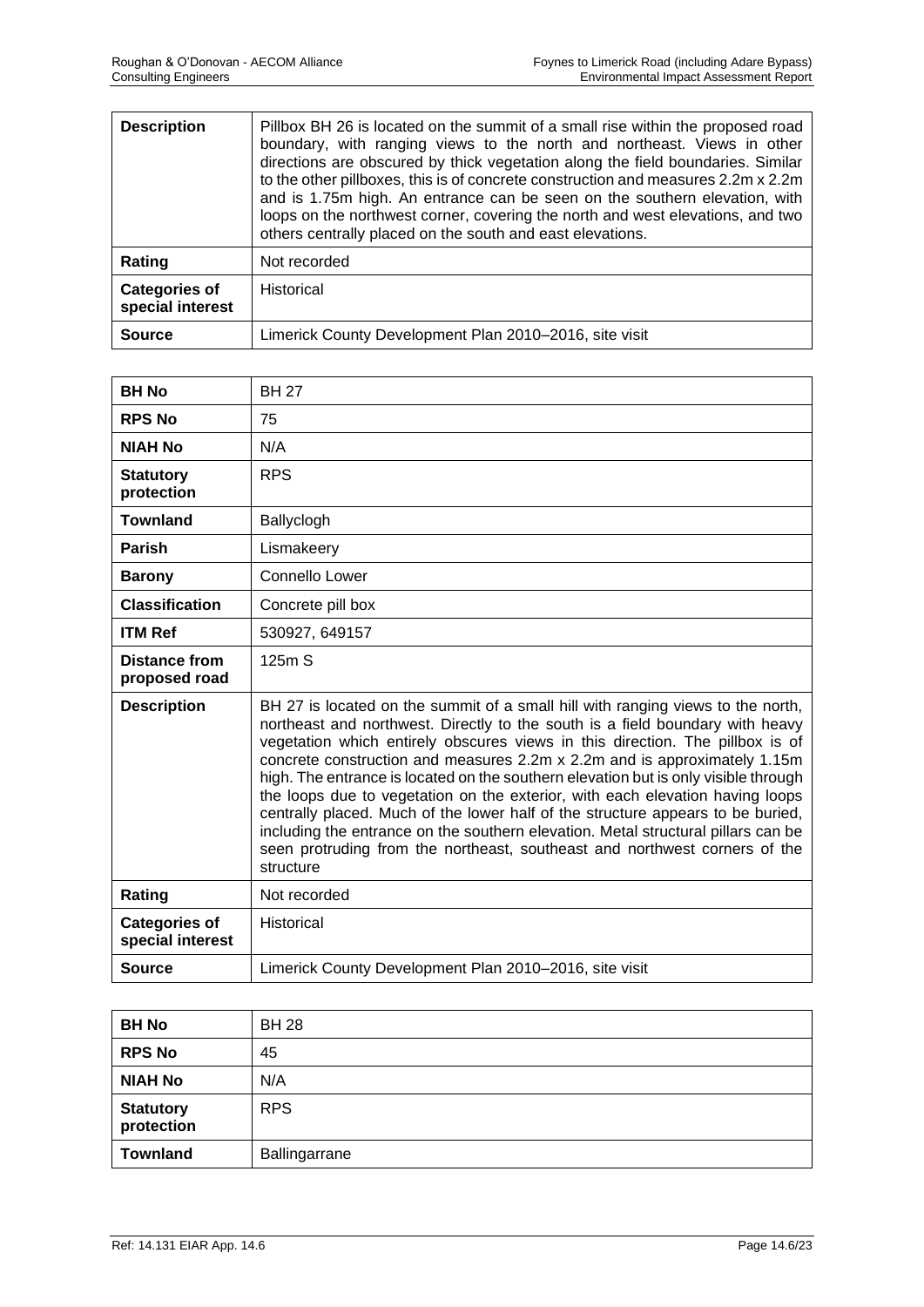| <b>Description</b>                       | Pillbox BH 26 is located on the summit of a small rise within the proposed road<br>boundary, with ranging views to the north and northeast. Views in other<br>directions are obscured by thick vegetation along the field boundaries. Similar<br>to the other pillboxes, this is of concrete construction and measures 2.2m x 2.2m<br>and is 1.75m high. An entrance can be seen on the southern elevation, with<br>loops on the northwest corner, covering the north and west elevations, and two<br>others centrally placed on the south and east elevations. |
|------------------------------------------|-----------------------------------------------------------------------------------------------------------------------------------------------------------------------------------------------------------------------------------------------------------------------------------------------------------------------------------------------------------------------------------------------------------------------------------------------------------------------------------------------------------------------------------------------------------------|
| Rating                                   | Not recorded                                                                                                                                                                                                                                                                                                                                                                                                                                                                                                                                                    |
| <b>Categories of</b><br>special interest | Historical                                                                                                                                                                                                                                                                                                                                                                                                                                                                                                                                                      |
| <b>Source</b>                            | Limerick County Development Plan 2010–2016, site visit                                                                                                                                                                                                                                                                                                                                                                                                                                                                                                          |

| <b>BH No</b>                             | <b>BH 27</b>                                                                                                                                                                                                                                                                                                                                                                                                                                                                                                                                                                                                                                                                                                                                                              |
|------------------------------------------|---------------------------------------------------------------------------------------------------------------------------------------------------------------------------------------------------------------------------------------------------------------------------------------------------------------------------------------------------------------------------------------------------------------------------------------------------------------------------------------------------------------------------------------------------------------------------------------------------------------------------------------------------------------------------------------------------------------------------------------------------------------------------|
| <b>RPS No</b>                            | 75                                                                                                                                                                                                                                                                                                                                                                                                                                                                                                                                                                                                                                                                                                                                                                        |
| <b>NIAH No</b>                           | N/A                                                                                                                                                                                                                                                                                                                                                                                                                                                                                                                                                                                                                                                                                                                                                                       |
| <b>Statutory</b><br>protection           | <b>RPS</b>                                                                                                                                                                                                                                                                                                                                                                                                                                                                                                                                                                                                                                                                                                                                                                |
| <b>Townland</b>                          | Ballyclogh                                                                                                                                                                                                                                                                                                                                                                                                                                                                                                                                                                                                                                                                                                                                                                |
| <b>Parish</b>                            | Lismakeery                                                                                                                                                                                                                                                                                                                                                                                                                                                                                                                                                                                                                                                                                                                                                                |
| <b>Barony</b>                            | Connello Lower                                                                                                                                                                                                                                                                                                                                                                                                                                                                                                                                                                                                                                                                                                                                                            |
| <b>Classification</b>                    | Concrete pill box                                                                                                                                                                                                                                                                                                                                                                                                                                                                                                                                                                                                                                                                                                                                                         |
| <b>ITM Ref</b>                           | 530927, 649157                                                                                                                                                                                                                                                                                                                                                                                                                                                                                                                                                                                                                                                                                                                                                            |
| <b>Distance from</b><br>proposed road    | 125m S                                                                                                                                                                                                                                                                                                                                                                                                                                                                                                                                                                                                                                                                                                                                                                    |
| <b>Description</b>                       | BH 27 is located on the summit of a small hill with ranging views to the north,<br>northeast and northwest. Directly to the south is a field boundary with heavy<br>vegetation which entirely obscures views in this direction. The pillbox is of<br>concrete construction and measures 2.2m x 2.2m and is approximately 1.15m<br>high. The entrance is located on the southern elevation but is only visible through<br>the loops due to vegetation on the exterior, with each elevation having loops<br>centrally placed. Much of the lower half of the structure appears to be buried,<br>including the entrance on the southern elevation. Metal structural pillars can be<br>seen protruding from the northeast, southeast and northwest corners of the<br>structure |
| Rating                                   | Not recorded                                                                                                                                                                                                                                                                                                                                                                                                                                                                                                                                                                                                                                                                                                                                                              |
| <b>Categories of</b><br>special interest | <b>Historical</b>                                                                                                                                                                                                                                                                                                                                                                                                                                                                                                                                                                                                                                                                                                                                                         |
| <b>Source</b>                            | Limerick County Development Plan 2010-2016, site visit                                                                                                                                                                                                                                                                                                                                                                                                                                                                                                                                                                                                                                                                                                                    |

| <b>BH No</b>                   | <b>BH 28</b>  |
|--------------------------------|---------------|
| <b>RPS No</b>                  | 45            |
| <b>NIAH No</b>                 | N/A           |
| <b>Statutory</b><br>protection | <b>RPS</b>    |
| <b>Townland</b>                | Ballingarrane |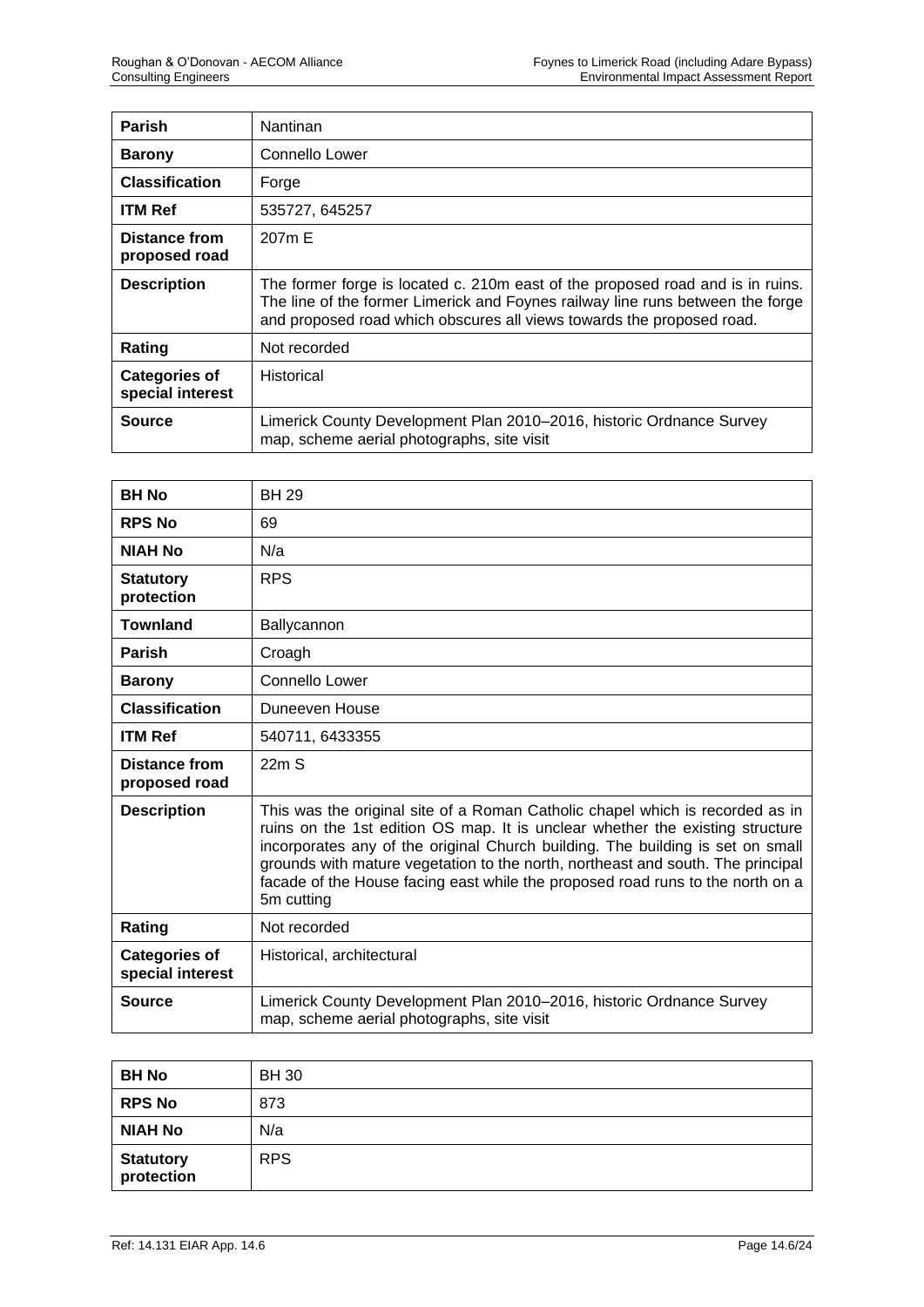| <b>Parish</b>                            | Nantinan                                                                                                                                                                                                                                  |
|------------------------------------------|-------------------------------------------------------------------------------------------------------------------------------------------------------------------------------------------------------------------------------------------|
| <b>Barony</b>                            | Connello Lower                                                                                                                                                                                                                            |
| <b>Classification</b>                    | Forge                                                                                                                                                                                                                                     |
| <b>ITM Ref</b>                           | 535727, 645257                                                                                                                                                                                                                            |
| Distance from<br>proposed road           | 207 <sub>m</sub> E                                                                                                                                                                                                                        |
| <b>Description</b>                       | The former forge is located c. 210m east of the proposed road and is in ruins.<br>The line of the former Limerick and Foynes railway line runs between the forge<br>and proposed road which obscures all views towards the proposed road. |
| Rating                                   | Not recorded                                                                                                                                                                                                                              |
| <b>Categories of</b><br>special interest | Historical                                                                                                                                                                                                                                |
| Source                                   | Limerick County Development Plan 2010–2016, historic Ordnance Survey<br>map, scheme aerial photographs, site visit                                                                                                                        |

| <b>BH No</b>                             | <b>BH 29</b>                                                                                                                                                                                                                                                                                                                                                                                                                        |
|------------------------------------------|-------------------------------------------------------------------------------------------------------------------------------------------------------------------------------------------------------------------------------------------------------------------------------------------------------------------------------------------------------------------------------------------------------------------------------------|
| <b>RPS No</b>                            | 69                                                                                                                                                                                                                                                                                                                                                                                                                                  |
| <b>NIAH No</b>                           | N/a                                                                                                                                                                                                                                                                                                                                                                                                                                 |
| <b>Statutory</b><br>protection           | <b>RPS</b>                                                                                                                                                                                                                                                                                                                                                                                                                          |
| <b>Townland</b>                          | Ballycannon                                                                                                                                                                                                                                                                                                                                                                                                                         |
| <b>Parish</b>                            | Croagh                                                                                                                                                                                                                                                                                                                                                                                                                              |
| <b>Barony</b>                            | Connello Lower                                                                                                                                                                                                                                                                                                                                                                                                                      |
| <b>Classification</b>                    | Duneeven House                                                                                                                                                                                                                                                                                                                                                                                                                      |
| <b>ITM Ref</b>                           | 540711, 6433355                                                                                                                                                                                                                                                                                                                                                                                                                     |
| <b>Distance from</b><br>proposed road    | 22mS                                                                                                                                                                                                                                                                                                                                                                                                                                |
| <b>Description</b>                       | This was the original site of a Roman Catholic chapel which is recorded as in<br>ruins on the 1st edition OS map. It is unclear whether the existing structure<br>incorporates any of the original Church building. The building is set on small<br>grounds with mature vegetation to the north, northeast and south. The principal<br>facade of the House facing east while the proposed road runs to the north on a<br>5m cutting |
| Rating                                   | Not recorded                                                                                                                                                                                                                                                                                                                                                                                                                        |
| <b>Categories of</b><br>special interest | Historical, architectural                                                                                                                                                                                                                                                                                                                                                                                                           |
| <b>Source</b>                            | Limerick County Development Plan 2010-2016, historic Ordnance Survey<br>map, scheme aerial photographs, site visit                                                                                                                                                                                                                                                                                                                  |

| <b>BH No</b>                   | <b>BH 30</b> |
|--------------------------------|--------------|
| <b>RPS No</b>                  | 873          |
| <b>NIAH No</b>                 | N/a          |
| <b>Statutory</b><br>protection | <b>RPS</b>   |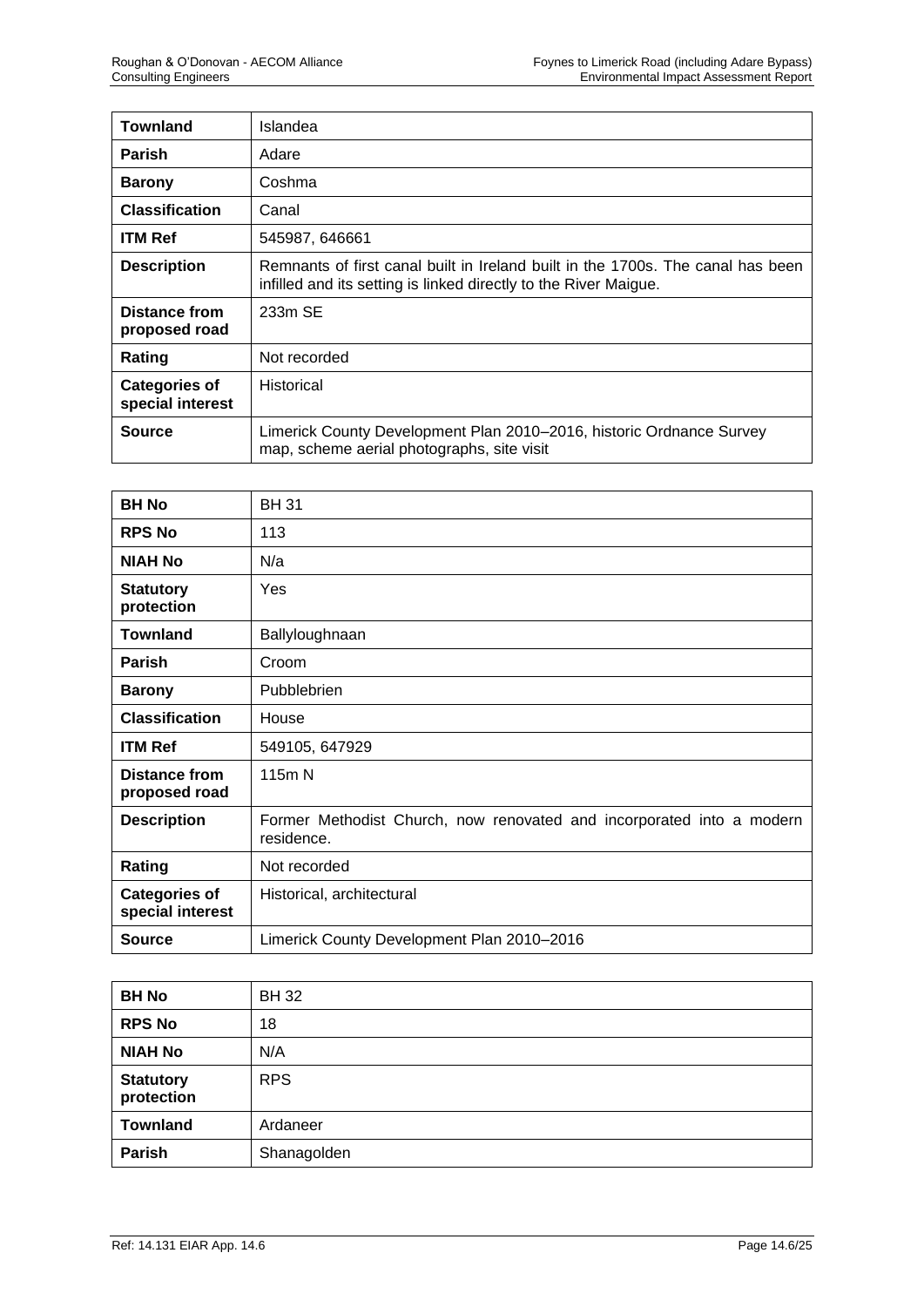| <b>Townland</b>                          | Islandea                                                                                                                                            |
|------------------------------------------|-----------------------------------------------------------------------------------------------------------------------------------------------------|
| <b>Parish</b>                            | Adare                                                                                                                                               |
| <b>Barony</b>                            | Coshma                                                                                                                                              |
| <b>Classification</b>                    | Canal                                                                                                                                               |
| <b>ITM Ref</b>                           | 545987, 646661                                                                                                                                      |
| <b>Description</b>                       | Remnants of first canal built in Ireland built in the 1700s. The canal has been<br>infilled and its setting is linked directly to the River Maigue. |
| Distance from<br>proposed road           | 233m SE                                                                                                                                             |
| Rating                                   | Not recorded                                                                                                                                        |
| <b>Categories of</b><br>special interest | Historical                                                                                                                                          |
| Source                                   | Limerick County Development Plan 2010–2016, historic Ordnance Survey<br>map, scheme aerial photographs, site visit                                  |

| <b>BH No</b>                             | <b>BH31</b>                                                                         |
|------------------------------------------|-------------------------------------------------------------------------------------|
| <b>RPS No</b>                            | 113                                                                                 |
| <b>NIAH No</b>                           | N/a                                                                                 |
| <b>Statutory</b><br>protection           | Yes                                                                                 |
| <b>Townland</b>                          | Ballyloughnaan                                                                      |
| <b>Parish</b>                            | Croom                                                                               |
| <b>Barony</b>                            | Pubblebrien                                                                         |
| <b>Classification</b>                    | House                                                                               |
| <b>ITM Ref</b>                           | 549105, 647929                                                                      |
| <b>Distance from</b><br>proposed road    | 115m N                                                                              |
| <b>Description</b>                       | Former Methodist Church, now renovated and incorporated into a modern<br>residence. |
| Rating                                   | Not recorded                                                                        |
| <b>Categories of</b><br>special interest | Historical, architectural                                                           |
| <b>Source</b>                            | Limerick County Development Plan 2010-2016                                          |

| <b>BH No</b>                   | <b>BH32</b> |
|--------------------------------|-------------|
| <b>RPS No</b>                  | 18          |
| <b>NIAH No</b>                 | N/A         |
| <b>Statutory</b><br>protection | <b>RPS</b>  |
| <b>Townland</b>                | Ardaneer    |
| Parish                         | Shanagolden |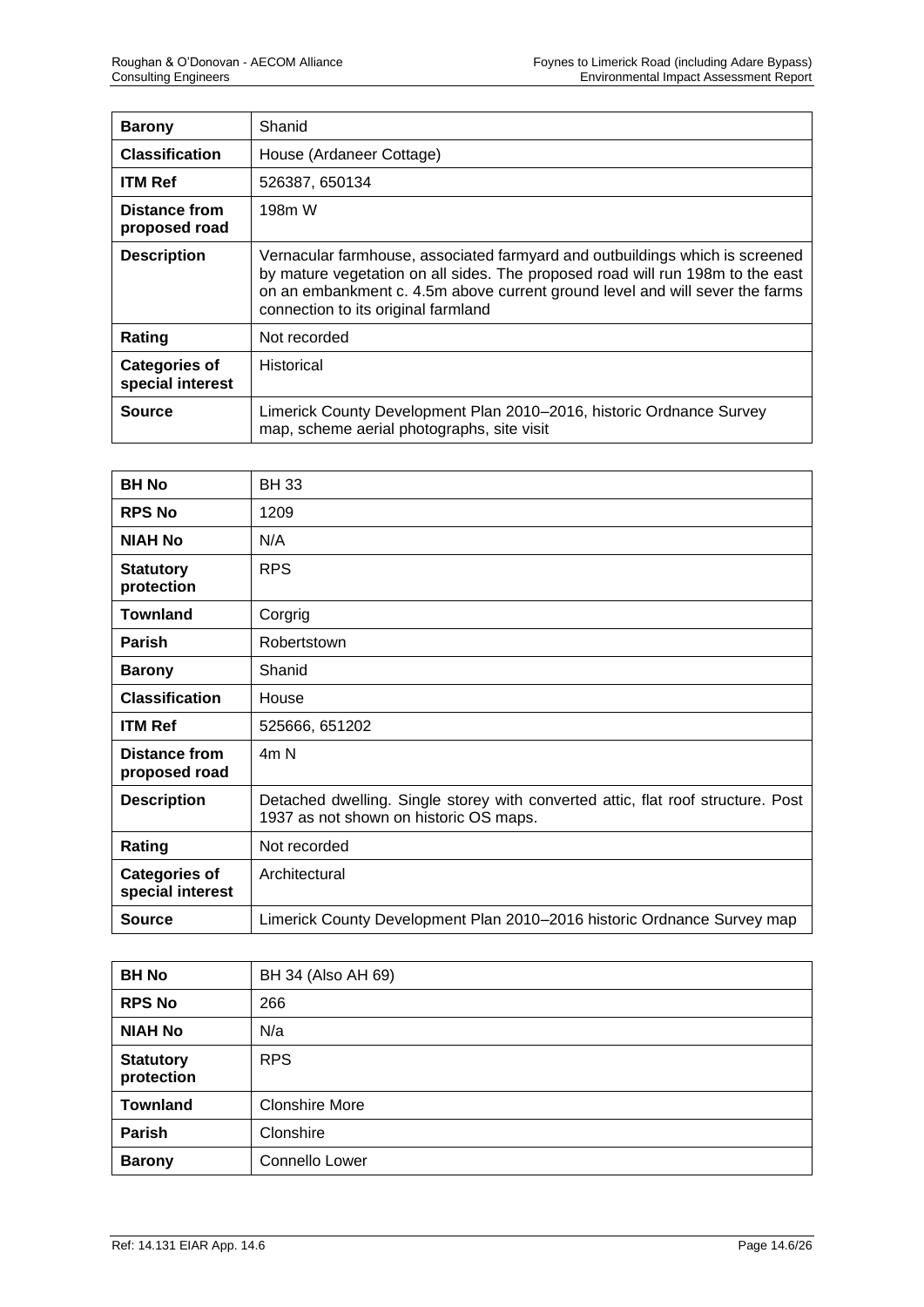| <b>Barony</b>                            | Shanid                                                                                                                                                                                                                                                                                |
|------------------------------------------|---------------------------------------------------------------------------------------------------------------------------------------------------------------------------------------------------------------------------------------------------------------------------------------|
| <b>Classification</b>                    | House (Ardaneer Cottage)                                                                                                                                                                                                                                                              |
| <b>ITM Ref</b>                           | 526387, 650134                                                                                                                                                                                                                                                                        |
| Distance from<br>proposed road           | 198 <sub>m</sub> W                                                                                                                                                                                                                                                                    |
| <b>Description</b>                       | Vernacular farmhouse, associated farmyard and outbuildings which is screened<br>by mature vegetation on all sides. The proposed road will run 198m to the east<br>on an embankment c. 4.5m above current ground level and will sever the farms<br>connection to its original farmland |
| Rating                                   | Not recorded                                                                                                                                                                                                                                                                          |
| <b>Categories of</b><br>special interest | Historical                                                                                                                                                                                                                                                                            |
| Source                                   | Limerick County Development Plan 2010–2016, historic Ordnance Survey<br>map, scheme aerial photographs, site visit                                                                                                                                                                    |

| <b>BH No</b>                             | <b>BH33</b>                                                                                                                |
|------------------------------------------|----------------------------------------------------------------------------------------------------------------------------|
| <b>RPS No</b>                            | 1209                                                                                                                       |
| <b>NIAH No</b>                           | N/A                                                                                                                        |
| <b>Statutory</b><br>protection           | <b>RPS</b>                                                                                                                 |
| <b>Townland</b>                          | Corgrig                                                                                                                    |
| <b>Parish</b>                            | Robertstown                                                                                                                |
| <b>Barony</b>                            | Shanid                                                                                                                     |
| <b>Classification</b>                    | House                                                                                                                      |
| <b>ITM Ref</b>                           | 525666, 651202                                                                                                             |
| Distance from<br>proposed road           | 4m <sub>N</sub>                                                                                                            |
| <b>Description</b>                       | Detached dwelling. Single storey with converted attic, flat roof structure. Post<br>1937 as not shown on historic OS maps. |
| Rating                                   | Not recorded                                                                                                               |
| <b>Categories of</b><br>special interest | Architectural                                                                                                              |
| <b>Source</b>                            | Limerick County Development Plan 2010-2016 historic Ordnance Survey map                                                    |

| <b>BH No</b>                   | BH 34 (Also AH 69)    |
|--------------------------------|-----------------------|
| <b>RPS No</b>                  | 266                   |
| <b>NIAH No</b>                 | N/a                   |
| <b>Statutory</b><br>protection | <b>RPS</b>            |
| <b>Townland</b>                | <b>Clonshire More</b> |
| Parish                         | Clonshire             |
| <b>Barony</b>                  | Connello Lower        |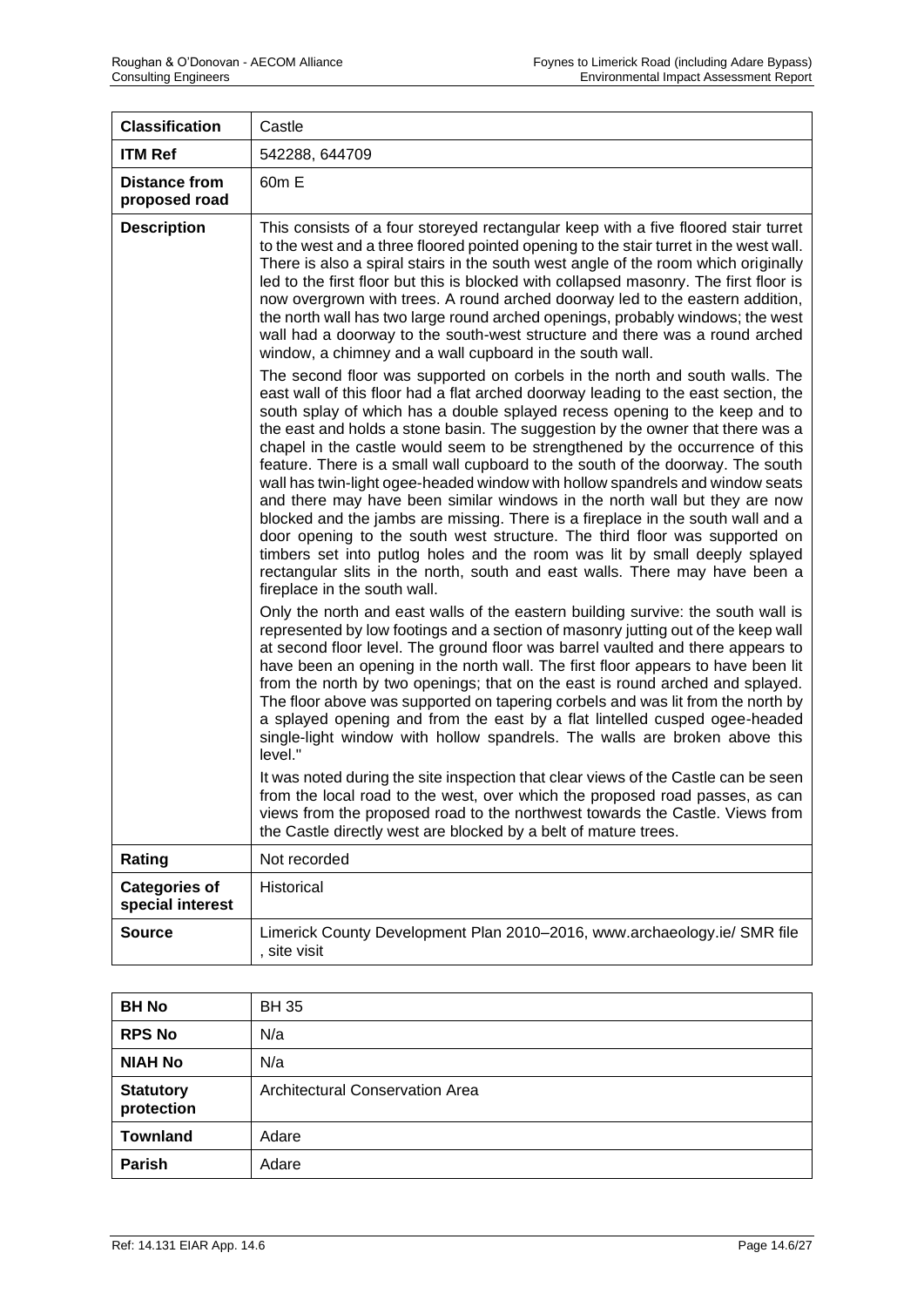| <b>Classification</b>                    | Castle                                                                                                                                                                                                                                                                                                                                                                                                                                                                                                                                                                                                                                                                                                                                                                                                                                                                                                                                             |
|------------------------------------------|----------------------------------------------------------------------------------------------------------------------------------------------------------------------------------------------------------------------------------------------------------------------------------------------------------------------------------------------------------------------------------------------------------------------------------------------------------------------------------------------------------------------------------------------------------------------------------------------------------------------------------------------------------------------------------------------------------------------------------------------------------------------------------------------------------------------------------------------------------------------------------------------------------------------------------------------------|
| <b>ITM Ref</b>                           | 542288, 644709                                                                                                                                                                                                                                                                                                                                                                                                                                                                                                                                                                                                                                                                                                                                                                                                                                                                                                                                     |
| <b>Distance from</b><br>proposed road    | 60m E                                                                                                                                                                                                                                                                                                                                                                                                                                                                                                                                                                                                                                                                                                                                                                                                                                                                                                                                              |
| <b>Description</b>                       | This consists of a four storeyed rectangular keep with a five floored stair turret<br>to the west and a three floored pointed opening to the stair turret in the west wall.<br>There is also a spiral stairs in the south west angle of the room which originally<br>led to the first floor but this is blocked with collapsed masonry. The first floor is<br>now overgrown with trees. A round arched doorway led to the eastern addition,<br>the north wall has two large round arched openings, probably windows; the west<br>wall had a doorway to the south-west structure and there was a round arched<br>window, a chimney and a wall cupboard in the south wall.<br>The second floor was supported on corbels in the north and south walls. The                                                                                                                                                                                            |
|                                          | east wall of this floor had a flat arched doorway leading to the east section, the<br>south splay of which has a double splayed recess opening to the keep and to<br>the east and holds a stone basin. The suggestion by the owner that there was a<br>chapel in the castle would seem to be strengthened by the occurrence of this<br>feature. There is a small wall cupboard to the south of the doorway. The south<br>wall has twin-light ogee-headed window with hollow spandrels and window seats<br>and there may have been similar windows in the north wall but they are now<br>blocked and the jambs are missing. There is a fireplace in the south wall and a<br>door opening to the south west structure. The third floor was supported on<br>timbers set into putlog holes and the room was lit by small deeply splayed<br>rectangular slits in the north, south and east walls. There may have been a<br>fireplace in the south wall. |
|                                          | Only the north and east walls of the eastern building survive: the south wall is<br>represented by low footings and a section of masonry jutting out of the keep wall<br>at second floor level. The ground floor was barrel vaulted and there appears to<br>have been an opening in the north wall. The first floor appears to have been lit<br>from the north by two openings; that on the east is round arched and splayed.<br>The floor above was supported on tapering corbels and was lit from the north by<br>a splayed opening and from the east by a flat lintelled cusped ogee-headed<br>single-light window with hollow spandrels. The walls are broken above this<br>level."                                                                                                                                                                                                                                                            |
|                                          | It was noted during the site inspection that clear views of the Castle can be seen<br>from the local road to the west, over which the proposed road passes, as can<br>views from the proposed road to the northwest towards the Castle. Views from<br>the Castle directly west are blocked by a belt of mature trees.                                                                                                                                                                                                                                                                                                                                                                                                                                                                                                                                                                                                                              |
| Rating                                   | Not recorded                                                                                                                                                                                                                                                                                                                                                                                                                                                                                                                                                                                                                                                                                                                                                                                                                                                                                                                                       |
| <b>Categories of</b><br>special interest | Historical                                                                                                                                                                                                                                                                                                                                                                                                                                                                                                                                                                                                                                                                                                                                                                                                                                                                                                                                         |
| <b>Source</b>                            | Limerick County Development Plan 2010-2016, www.archaeology.ie/ SMR file<br>, site visit                                                                                                                                                                                                                                                                                                                                                                                                                                                                                                                                                                                                                                                                                                                                                                                                                                                           |

| <b>BH No</b>                   | <b>BH35</b>                            |
|--------------------------------|----------------------------------------|
| <b>RPS No</b>                  | N/a                                    |
| <b>NIAH No</b>                 | N/a                                    |
| <b>Statutory</b><br>protection | <b>Architectural Conservation Area</b> |
| <b>Townland</b>                | Adare                                  |
| Parish                         | Adare                                  |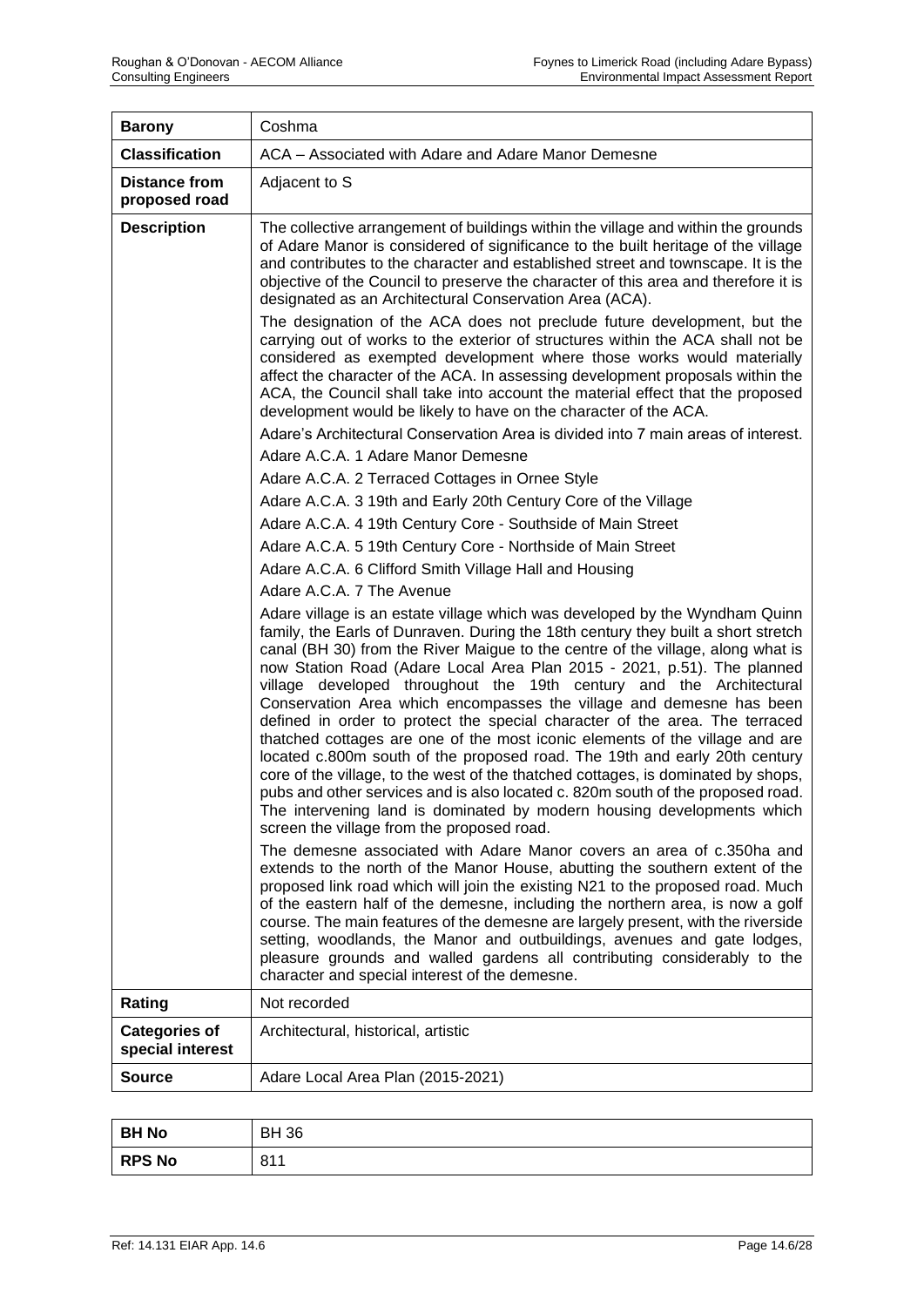| <b>Barony</b>                            | Coshma                                                                                                                                                                                                                                                                                                                                                                                                                                                                                                                                                                                                                                                                                                                                                                                                                                                                                                                                                                                                                                                                                                                                                                                                                                                                                                                                                                                                                                                                                                                                                                                                                                                                                                                                                                                                                                                                                                                                                                                                                                                                                                                                                                                                                                                                                                                                                                                                                                                                   |
|------------------------------------------|--------------------------------------------------------------------------------------------------------------------------------------------------------------------------------------------------------------------------------------------------------------------------------------------------------------------------------------------------------------------------------------------------------------------------------------------------------------------------------------------------------------------------------------------------------------------------------------------------------------------------------------------------------------------------------------------------------------------------------------------------------------------------------------------------------------------------------------------------------------------------------------------------------------------------------------------------------------------------------------------------------------------------------------------------------------------------------------------------------------------------------------------------------------------------------------------------------------------------------------------------------------------------------------------------------------------------------------------------------------------------------------------------------------------------------------------------------------------------------------------------------------------------------------------------------------------------------------------------------------------------------------------------------------------------------------------------------------------------------------------------------------------------------------------------------------------------------------------------------------------------------------------------------------------------------------------------------------------------------------------------------------------------------------------------------------------------------------------------------------------------------------------------------------------------------------------------------------------------------------------------------------------------------------------------------------------------------------------------------------------------------------------------------------------------------------------------------------------------|
| <b>Classification</b>                    | ACA - Associated with Adare and Adare Manor Demesne                                                                                                                                                                                                                                                                                                                                                                                                                                                                                                                                                                                                                                                                                                                                                                                                                                                                                                                                                                                                                                                                                                                                                                                                                                                                                                                                                                                                                                                                                                                                                                                                                                                                                                                                                                                                                                                                                                                                                                                                                                                                                                                                                                                                                                                                                                                                                                                                                      |
| <b>Distance from</b><br>proposed road    | Adjacent to S                                                                                                                                                                                                                                                                                                                                                                                                                                                                                                                                                                                                                                                                                                                                                                                                                                                                                                                                                                                                                                                                                                                                                                                                                                                                                                                                                                                                                                                                                                                                                                                                                                                                                                                                                                                                                                                                                                                                                                                                                                                                                                                                                                                                                                                                                                                                                                                                                                                            |
| <b>Description</b>                       | The collective arrangement of buildings within the village and within the grounds<br>of Adare Manor is considered of significance to the built heritage of the village<br>and contributes to the character and established street and townscape. It is the<br>objective of the Council to preserve the character of this area and therefore it is<br>designated as an Architectural Conservation Area (ACA).<br>The designation of the ACA does not preclude future development, but the<br>carrying out of works to the exterior of structures within the ACA shall not be<br>considered as exempted development where those works would materially<br>affect the character of the ACA. In assessing development proposals within the<br>ACA, the Council shall take into account the material effect that the proposed<br>development would be likely to have on the character of the ACA.<br>Adare's Architectural Conservation Area is divided into 7 main areas of interest.<br>Adare A.C.A. 1 Adare Manor Demesne<br>Adare A.C.A. 2 Terraced Cottages in Ornee Style<br>Adare A.C.A. 3 19th and Early 20th Century Core of the Village<br>Adare A.C.A. 4 19th Century Core - Southside of Main Street<br>Adare A.C.A. 5 19th Century Core - Northside of Main Street<br>Adare A.C.A. 6 Clifford Smith Village Hall and Housing<br>Adare A.C.A. 7 The Avenue<br>Adare village is an estate village which was developed by the Wyndham Quinn<br>family, the Earls of Dunraven. During the 18th century they built a short stretch<br>canal (BH 30) from the River Maigue to the centre of the village, along what is<br>now Station Road (Adare Local Area Plan 2015 - 2021, p.51). The planned<br>village developed throughout the 19th century and the Architectural<br>Conservation Area which encompasses the village and demesne has been<br>defined in order to protect the special character of the area. The terraced<br>thatched cottages are one of the most iconic elements of the village and are<br>located c.800m south of the proposed road. The 19th and early 20th century<br>core of the village, to the west of the thatched cottages, is dominated by shops,<br>pubs and other services and is also located c. 820m south of the proposed road.<br>The intervening land is dominated by modern housing developments which<br>screen the village from the proposed road.<br>The demesne associated with Adare Manor covers an area of c.350ha and |
|                                          | extends to the north of the Manor House, abutting the southern extent of the<br>proposed link road which will join the existing N21 to the proposed road. Much<br>of the eastern half of the demesne, including the northern area, is now a golf<br>course. The main features of the demesne are largely present, with the riverside<br>setting, woodlands, the Manor and outbuildings, avenues and gate lodges,<br>pleasure grounds and walled gardens all contributing considerably to the<br>character and special interest of the demesne.                                                                                                                                                                                                                                                                                                                                                                                                                                                                                                                                                                                                                                                                                                                                                                                                                                                                                                                                                                                                                                                                                                                                                                                                                                                                                                                                                                                                                                                                                                                                                                                                                                                                                                                                                                                                                                                                                                                           |
| Rating                                   | Not recorded                                                                                                                                                                                                                                                                                                                                                                                                                                                                                                                                                                                                                                                                                                                                                                                                                                                                                                                                                                                                                                                                                                                                                                                                                                                                                                                                                                                                                                                                                                                                                                                                                                                                                                                                                                                                                                                                                                                                                                                                                                                                                                                                                                                                                                                                                                                                                                                                                                                             |
| <b>Categories of</b><br>special interest | Architectural, historical, artistic                                                                                                                                                                                                                                                                                                                                                                                                                                                                                                                                                                                                                                                                                                                                                                                                                                                                                                                                                                                                                                                                                                                                                                                                                                                                                                                                                                                                                                                                                                                                                                                                                                                                                                                                                                                                                                                                                                                                                                                                                                                                                                                                                                                                                                                                                                                                                                                                                                      |
| Source                                   | Adare Local Area Plan (2015-2021)                                                                                                                                                                                                                                                                                                                                                                                                                                                                                                                                                                                                                                                                                                                                                                                                                                                                                                                                                                                                                                                                                                                                                                                                                                                                                                                                                                                                                                                                                                                                                                                                                                                                                                                                                                                                                                                                                                                                                                                                                                                                                                                                                                                                                                                                                                                                                                                                                                        |
|                                          |                                                                                                                                                                                                                                                                                                                                                                                                                                                                                                                                                                                                                                                                                                                                                                                                                                                                                                                                                                                                                                                                                                                                                                                                                                                                                                                                                                                                                                                                                                                                                                                                                                                                                                                                                                                                                                                                                                                                                                                                                                                                                                                                                                                                                                                                                                                                                                                                                                                                          |

| <b>BH No</b> | <b>BH 36</b> |
|--------------|--------------|
| RPS No       | 811          |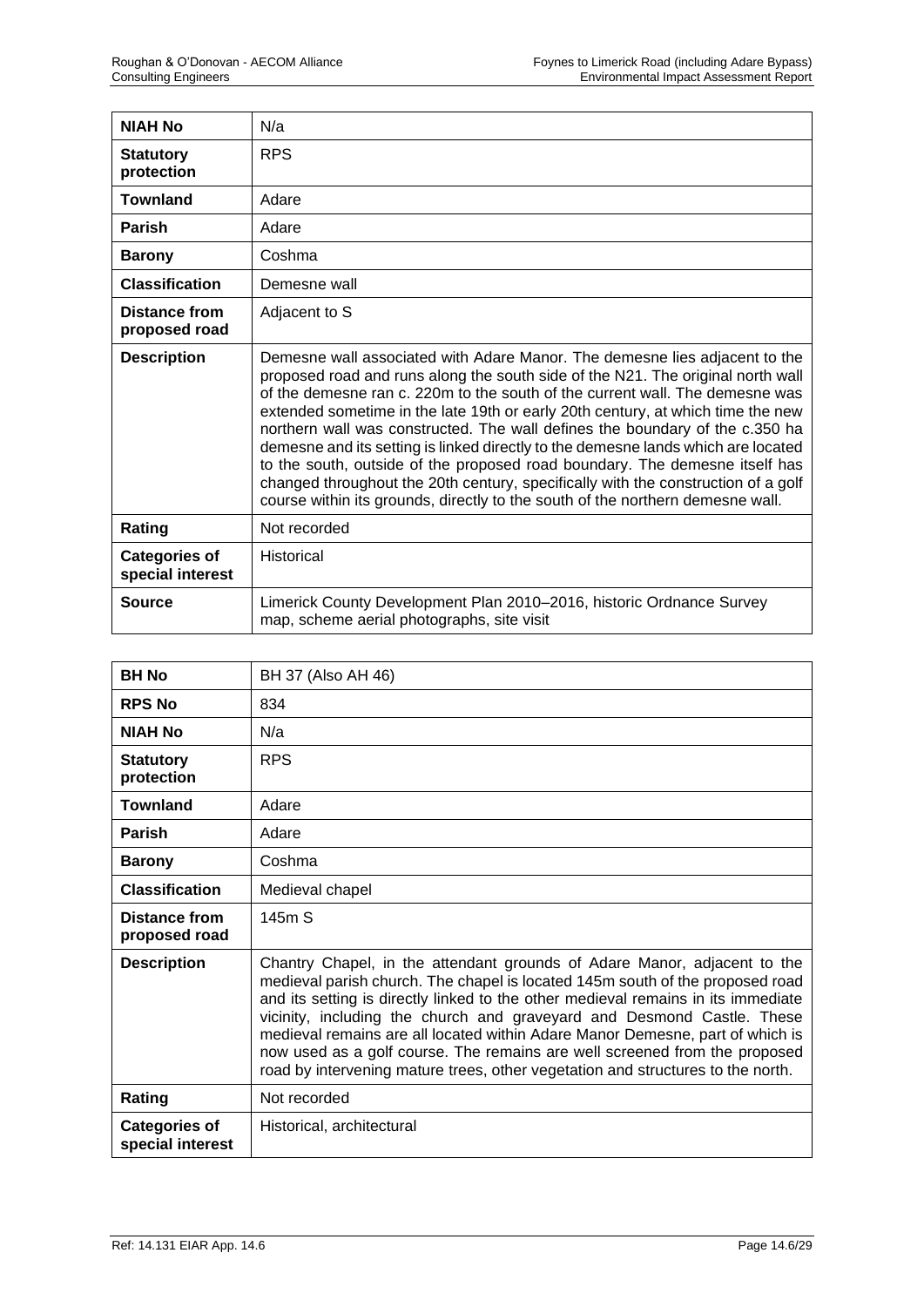| <b>NIAH No</b>                           | N/a                                                                                                                                                                                                                                                                                                                                                                                                                                                                                                                                                                                                                                                                                                                                                         |
|------------------------------------------|-------------------------------------------------------------------------------------------------------------------------------------------------------------------------------------------------------------------------------------------------------------------------------------------------------------------------------------------------------------------------------------------------------------------------------------------------------------------------------------------------------------------------------------------------------------------------------------------------------------------------------------------------------------------------------------------------------------------------------------------------------------|
| <b>Statutory</b><br>protection           | <b>RPS</b>                                                                                                                                                                                                                                                                                                                                                                                                                                                                                                                                                                                                                                                                                                                                                  |
| <b>Townland</b>                          | Adare                                                                                                                                                                                                                                                                                                                                                                                                                                                                                                                                                                                                                                                                                                                                                       |
| <b>Parish</b>                            | Adare                                                                                                                                                                                                                                                                                                                                                                                                                                                                                                                                                                                                                                                                                                                                                       |
| <b>Barony</b>                            | Coshma                                                                                                                                                                                                                                                                                                                                                                                                                                                                                                                                                                                                                                                                                                                                                      |
| <b>Classification</b>                    | Demesne wall                                                                                                                                                                                                                                                                                                                                                                                                                                                                                                                                                                                                                                                                                                                                                |
| Distance from<br>proposed road           | Adjacent to S                                                                                                                                                                                                                                                                                                                                                                                                                                                                                                                                                                                                                                                                                                                                               |
| <b>Description</b>                       | Demesne wall associated with Adare Manor. The demesne lies adjacent to the<br>proposed road and runs along the south side of the N21. The original north wall<br>of the demesne ran c. 220m to the south of the current wall. The demesne was<br>extended sometime in the late 19th or early 20th century, at which time the new<br>northern wall was constructed. The wall defines the boundary of the c.350 ha<br>demesne and its setting is linked directly to the demesne lands which are located<br>to the south, outside of the proposed road boundary. The demesne itself has<br>changed throughout the 20th century, specifically with the construction of a golf<br>course within its grounds, directly to the south of the northern demesne wall. |
| Rating                                   | Not recorded                                                                                                                                                                                                                                                                                                                                                                                                                                                                                                                                                                                                                                                                                                                                                |
| <b>Categories of</b><br>special interest | <b>Historical</b>                                                                                                                                                                                                                                                                                                                                                                                                                                                                                                                                                                                                                                                                                                                                           |
| <b>Source</b>                            | Limerick County Development Plan 2010-2016, historic Ordnance Survey<br>map, scheme aerial photographs, site visit                                                                                                                                                                                                                                                                                                                                                                                                                                                                                                                                                                                                                                          |

| <b>BH No</b>                             | BH 37 (Also AH 46)                                                                                                                                                                                                                                                                                                                                                                                                                                                                                                                                                         |
|------------------------------------------|----------------------------------------------------------------------------------------------------------------------------------------------------------------------------------------------------------------------------------------------------------------------------------------------------------------------------------------------------------------------------------------------------------------------------------------------------------------------------------------------------------------------------------------------------------------------------|
| <b>RPS No</b>                            | 834                                                                                                                                                                                                                                                                                                                                                                                                                                                                                                                                                                        |
| <b>NIAH No</b>                           | N/a                                                                                                                                                                                                                                                                                                                                                                                                                                                                                                                                                                        |
| <b>Statutory</b><br>protection           | <b>RPS</b>                                                                                                                                                                                                                                                                                                                                                                                                                                                                                                                                                                 |
| <b>Townland</b>                          | Adare                                                                                                                                                                                                                                                                                                                                                                                                                                                                                                                                                                      |
| <b>Parish</b>                            | Adare                                                                                                                                                                                                                                                                                                                                                                                                                                                                                                                                                                      |
| <b>Barony</b>                            | Coshma                                                                                                                                                                                                                                                                                                                                                                                                                                                                                                                                                                     |
| <b>Classification</b>                    | Medieval chapel                                                                                                                                                                                                                                                                                                                                                                                                                                                                                                                                                            |
| <b>Distance from</b><br>proposed road    | 145m S                                                                                                                                                                                                                                                                                                                                                                                                                                                                                                                                                                     |
| <b>Description</b>                       | Chantry Chapel, in the attendant grounds of Adare Manor, adjacent to the<br>medieval parish church. The chapel is located 145m south of the proposed road<br>and its setting is directly linked to the other medieval remains in its immediate<br>vicinity, including the church and graveyard and Desmond Castle. These<br>medieval remains are all located within Adare Manor Demesne, part of which is<br>now used as a golf course. The remains are well screened from the proposed<br>road by intervening mature trees, other vegetation and structures to the north. |
| Rating                                   | Not recorded                                                                                                                                                                                                                                                                                                                                                                                                                                                                                                                                                               |
| <b>Categories of</b><br>special interest | Historical, architectural                                                                                                                                                                                                                                                                                                                                                                                                                                                                                                                                                  |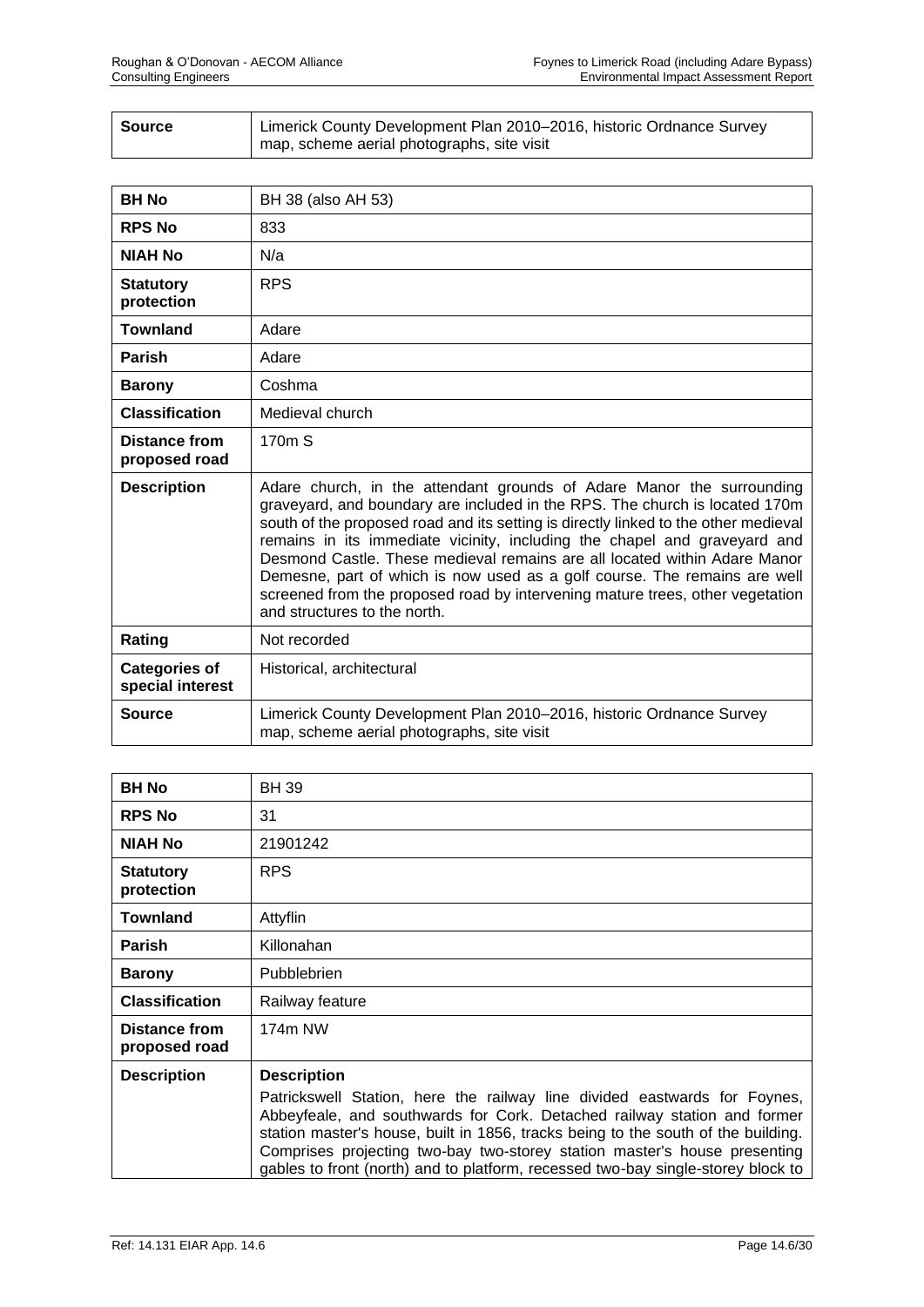| Source | Limerick County Development Plan 2010–2016, historic Ordnance Survey |
|--------|----------------------------------------------------------------------|
|        | map, scheme aerial photographs, site visit                           |

| <b>BH No</b>                             | BH 38 (also AH 53)                                                                                                                                                                                                                                                                                                                                                                                                                                                                                                                                                                                  |
|------------------------------------------|-----------------------------------------------------------------------------------------------------------------------------------------------------------------------------------------------------------------------------------------------------------------------------------------------------------------------------------------------------------------------------------------------------------------------------------------------------------------------------------------------------------------------------------------------------------------------------------------------------|
| <b>RPS No</b>                            | 833                                                                                                                                                                                                                                                                                                                                                                                                                                                                                                                                                                                                 |
| <b>NIAH No</b>                           | N/a                                                                                                                                                                                                                                                                                                                                                                                                                                                                                                                                                                                                 |
| <b>Statutory</b><br>protection           | <b>RPS</b>                                                                                                                                                                                                                                                                                                                                                                                                                                                                                                                                                                                          |
| <b>Townland</b>                          | Adare                                                                                                                                                                                                                                                                                                                                                                                                                                                                                                                                                                                               |
| <b>Parish</b>                            | Adare                                                                                                                                                                                                                                                                                                                                                                                                                                                                                                                                                                                               |
| <b>Barony</b>                            | Coshma                                                                                                                                                                                                                                                                                                                                                                                                                                                                                                                                                                                              |
| <b>Classification</b>                    | Medieval church                                                                                                                                                                                                                                                                                                                                                                                                                                                                                                                                                                                     |
| <b>Distance from</b><br>proposed road    | 170 <sub>m</sub> S                                                                                                                                                                                                                                                                                                                                                                                                                                                                                                                                                                                  |
| <b>Description</b>                       | Adare church, in the attendant grounds of Adare Manor the surrounding<br>graveyard, and boundary are included in the RPS. The church is located 170m<br>south of the proposed road and its setting is directly linked to the other medieval<br>remains in its immediate vicinity, including the chapel and graveyard and<br>Desmond Castle. These medieval remains are all located within Adare Manor<br>Demesne, part of which is now used as a golf course. The remains are well<br>screened from the proposed road by intervening mature trees, other vegetation<br>and structures to the north. |
| Rating                                   | Not recorded                                                                                                                                                                                                                                                                                                                                                                                                                                                                                                                                                                                        |
| <b>Categories of</b><br>special interest | Historical, architectural                                                                                                                                                                                                                                                                                                                                                                                                                                                                                                                                                                           |
| Source                                   | Limerick County Development Plan 2010-2016, historic Ordnance Survey<br>map, scheme aerial photographs, site visit                                                                                                                                                                                                                                                                                                                                                                                                                                                                                  |

| <b>BH No</b>                          | <b>BH 39</b>                                                                                                                                                                                                                                                                                                                                                                                                |
|---------------------------------------|-------------------------------------------------------------------------------------------------------------------------------------------------------------------------------------------------------------------------------------------------------------------------------------------------------------------------------------------------------------------------------------------------------------|
| <b>RPS No</b>                         | 31                                                                                                                                                                                                                                                                                                                                                                                                          |
| <b>NIAH No</b>                        | 21901242                                                                                                                                                                                                                                                                                                                                                                                                    |
| <b>Statutory</b><br>protection        | <b>RPS</b>                                                                                                                                                                                                                                                                                                                                                                                                  |
| <b>Townland</b>                       | Attyflin                                                                                                                                                                                                                                                                                                                                                                                                    |
| <b>Parish</b>                         | Killonahan                                                                                                                                                                                                                                                                                                                                                                                                  |
| <b>Barony</b>                         | <b>Pubblebrien</b>                                                                                                                                                                                                                                                                                                                                                                                          |
| <b>Classification</b>                 | Railway feature                                                                                                                                                                                                                                                                                                                                                                                             |
| <b>Distance from</b><br>proposed road | 174m NW                                                                                                                                                                                                                                                                                                                                                                                                     |
| <b>Description</b>                    | <b>Description</b>                                                                                                                                                                                                                                                                                                                                                                                          |
|                                       | Patrickswell Station, here the railway line divided eastwards for Foynes,<br>Abbeyfeale, and southwards for Cork. Detached railway station and former<br>station master's house, built in 1856, tracks being to the south of the building.<br>Comprises projecting two-bay two-storey station master's house presenting<br>gables to front (north) and to platform, recessed two-bay single-storey block to |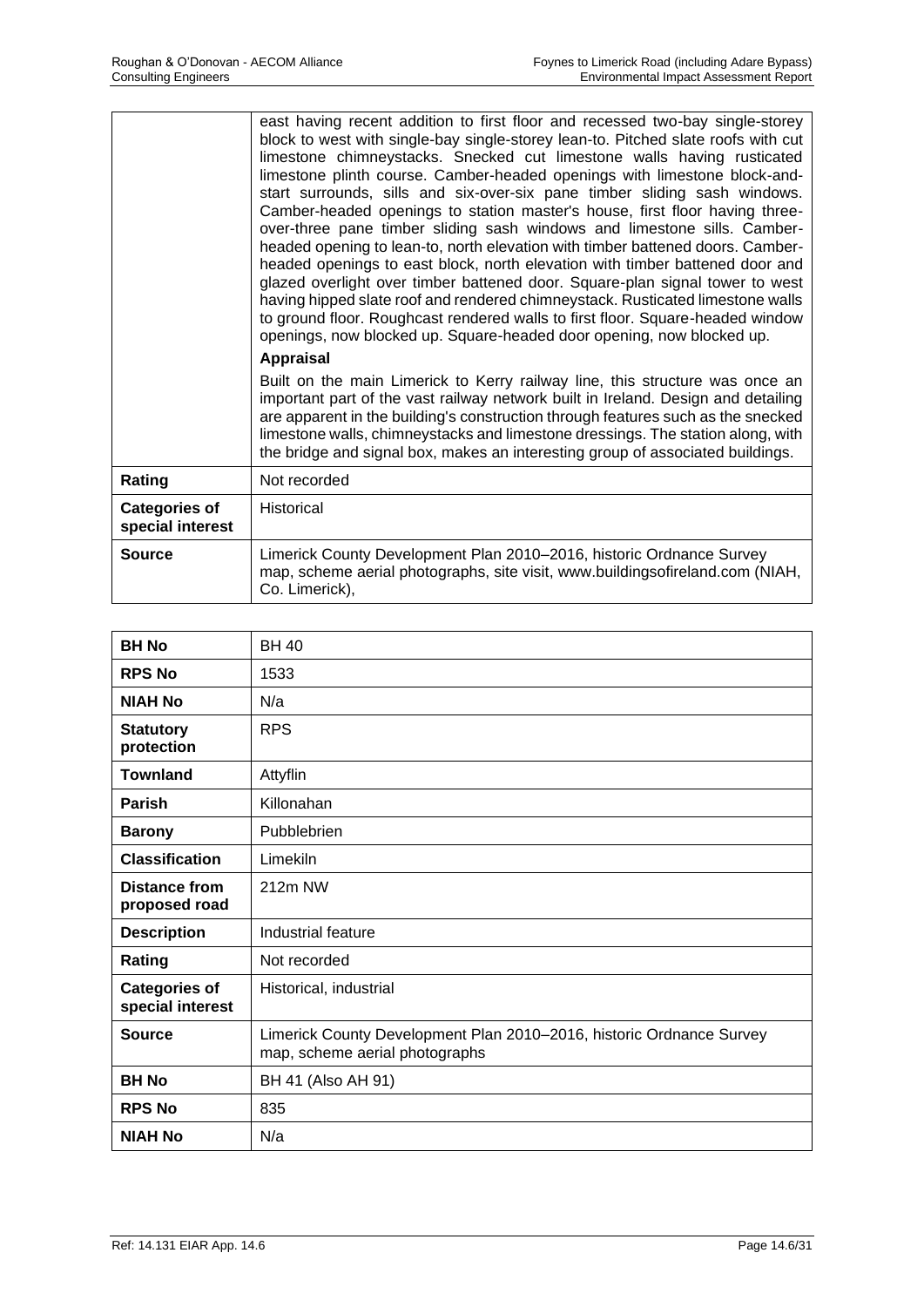|                                          | east having recent addition to first floor and recessed two-bay single-storey<br>block to west with single-bay single-storey lean-to. Pitched slate roofs with cut<br>limestone chimneystacks. Snecked cut limestone walls having rusticated<br>limestone plinth course. Camber-headed openings with limestone block-and-<br>start surrounds, sills and six-over-six pane timber sliding sash windows.<br>Camber-headed openings to station master's house, first floor having three-<br>over-three pane timber sliding sash windows and limestone sills. Camber-<br>headed opening to lean-to, north elevation with timber battened doors. Camber-<br>headed openings to east block, north elevation with timber battened door and<br>glazed overlight over timber battened door. Square-plan signal tower to west<br>having hipped slate roof and rendered chimneystack. Rusticated limestone walls<br>to ground floor. Roughcast rendered walls to first floor. Square-headed window<br>openings, now blocked up. Square-headed door opening, now blocked up.<br><b>Appraisal</b> |
|------------------------------------------|--------------------------------------------------------------------------------------------------------------------------------------------------------------------------------------------------------------------------------------------------------------------------------------------------------------------------------------------------------------------------------------------------------------------------------------------------------------------------------------------------------------------------------------------------------------------------------------------------------------------------------------------------------------------------------------------------------------------------------------------------------------------------------------------------------------------------------------------------------------------------------------------------------------------------------------------------------------------------------------------------------------------------------------------------------------------------------------|
|                                          | Built on the main Limerick to Kerry railway line, this structure was once an<br>important part of the vast railway network built in Ireland. Design and detailing<br>are apparent in the building's construction through features such as the snecked<br>limestone walls, chimneystacks and limestone dressings. The station along, with<br>the bridge and signal box, makes an interesting group of associated buildings.                                                                                                                                                                                                                                                                                                                                                                                                                                                                                                                                                                                                                                                           |
| Rating                                   | Not recorded                                                                                                                                                                                                                                                                                                                                                                                                                                                                                                                                                                                                                                                                                                                                                                                                                                                                                                                                                                                                                                                                         |
| <b>Categories of</b><br>special interest | Historical                                                                                                                                                                                                                                                                                                                                                                                                                                                                                                                                                                                                                                                                                                                                                                                                                                                                                                                                                                                                                                                                           |
| <b>Source</b>                            | Limerick County Development Plan 2010-2016, historic Ordnance Survey<br>map, scheme aerial photographs, site visit, www.buildingsofireland.com (NIAH,<br>Co. Limerick),                                                                                                                                                                                                                                                                                                                                                                                                                                                                                                                                                                                                                                                                                                                                                                                                                                                                                                              |

| <b>BH No</b>                             | <b>BH 40</b>                                                                                           |
|------------------------------------------|--------------------------------------------------------------------------------------------------------|
| <b>RPS No</b>                            | 1533                                                                                                   |
| <b>NIAH No</b>                           | N/a                                                                                                    |
| <b>Statutory</b><br>protection           | <b>RPS</b>                                                                                             |
| <b>Townland</b>                          | Attyflin                                                                                               |
| Parish                                   | Killonahan                                                                                             |
| <b>Barony</b>                            | Pubblebrien                                                                                            |
| <b>Classification</b>                    | Limekiln                                                                                               |
| <b>Distance from</b><br>proposed road    | 212m NW                                                                                                |
| <b>Description</b>                       | Industrial feature                                                                                     |
| Rating                                   | Not recorded                                                                                           |
| <b>Categories of</b><br>special interest | Historical, industrial                                                                                 |
| <b>Source</b>                            | Limerick County Development Plan 2010-2016, historic Ordnance Survey<br>map, scheme aerial photographs |
| <b>BH No</b>                             | BH 41 (Also AH 91)                                                                                     |
| <b>RPS No</b>                            | 835                                                                                                    |
| <b>NIAH No</b>                           | N/a                                                                                                    |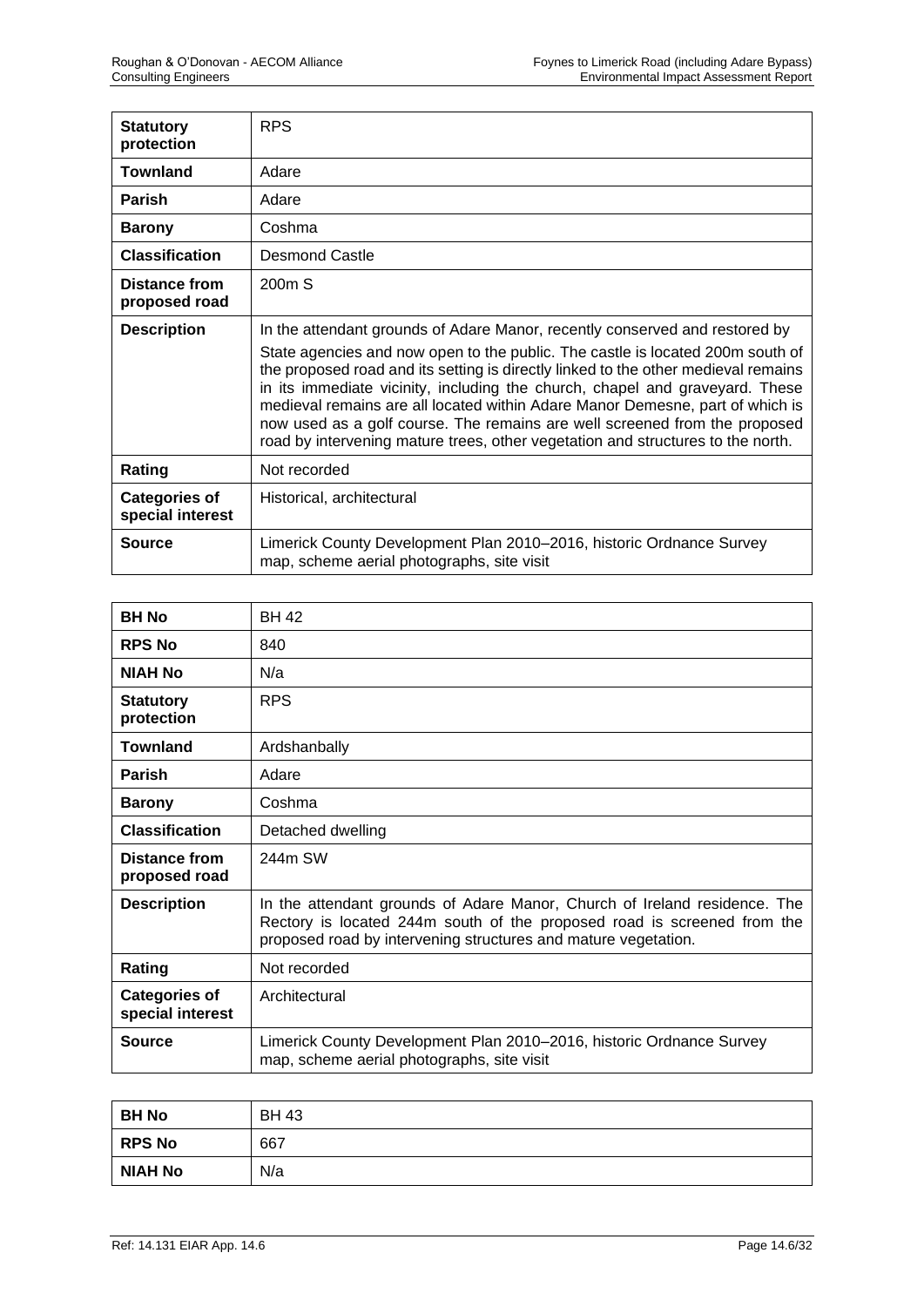| <b>Statutory</b><br>protection           | <b>RPS</b>                                                                                                                                                                                                                                                                                                                                                                                                                                                                                                                                                                            |
|------------------------------------------|---------------------------------------------------------------------------------------------------------------------------------------------------------------------------------------------------------------------------------------------------------------------------------------------------------------------------------------------------------------------------------------------------------------------------------------------------------------------------------------------------------------------------------------------------------------------------------------|
| <b>Townland</b>                          | Adare                                                                                                                                                                                                                                                                                                                                                                                                                                                                                                                                                                                 |
| <b>Parish</b>                            | Adare                                                                                                                                                                                                                                                                                                                                                                                                                                                                                                                                                                                 |
| <b>Barony</b>                            | Coshma                                                                                                                                                                                                                                                                                                                                                                                                                                                                                                                                                                                |
| <b>Classification</b>                    | <b>Desmond Castle</b>                                                                                                                                                                                                                                                                                                                                                                                                                                                                                                                                                                 |
| <b>Distance from</b><br>proposed road    | 200 <sub>m</sub> S                                                                                                                                                                                                                                                                                                                                                                                                                                                                                                                                                                    |
| <b>Description</b>                       | In the attendant grounds of Adare Manor, recently conserved and restored by<br>State agencies and now open to the public. The castle is located 200m south of<br>the proposed road and its setting is directly linked to the other medieval remains<br>in its immediate vicinity, including the church, chapel and graveyard. These<br>medieval remains are all located within Adare Manor Demesne, part of which is<br>now used as a golf course. The remains are well screened from the proposed<br>road by intervening mature trees, other vegetation and structures to the north. |
| Rating                                   | Not recorded                                                                                                                                                                                                                                                                                                                                                                                                                                                                                                                                                                          |
| <b>Categories of</b><br>special interest | Historical, architectural                                                                                                                                                                                                                                                                                                                                                                                                                                                                                                                                                             |
| <b>Source</b>                            | Limerick County Development Plan 2010-2016, historic Ordnance Survey<br>map, scheme aerial photographs, site visit                                                                                                                                                                                                                                                                                                                                                                                                                                                                    |

| <b>BH No</b>                             | <b>BH 42</b>                                                                                                                                                                                                           |
|------------------------------------------|------------------------------------------------------------------------------------------------------------------------------------------------------------------------------------------------------------------------|
| <b>RPS No</b>                            | 840                                                                                                                                                                                                                    |
| <b>NIAH No</b>                           | N/a                                                                                                                                                                                                                    |
| <b>Statutory</b><br>protection           | <b>RPS</b>                                                                                                                                                                                                             |
| <b>Townland</b>                          | Ardshanbally                                                                                                                                                                                                           |
| <b>Parish</b>                            | Adare                                                                                                                                                                                                                  |
| <b>Barony</b>                            | Coshma                                                                                                                                                                                                                 |
| <b>Classification</b>                    | Detached dwelling                                                                                                                                                                                                      |
| <b>Distance from</b><br>proposed road    | 244m SW                                                                                                                                                                                                                |
| <b>Description</b>                       | In the attendant grounds of Adare Manor, Church of Ireland residence. The<br>Rectory is located 244m south of the proposed road is screened from the<br>proposed road by intervening structures and mature vegetation. |
| Rating                                   | Not recorded                                                                                                                                                                                                           |
| <b>Categories of</b><br>special interest | Architectural                                                                                                                                                                                                          |
| <b>Source</b>                            | Limerick County Development Plan 2010–2016, historic Ordnance Survey<br>map, scheme aerial photographs, site visit                                                                                                     |

| <b>BH No</b>   | <b>BH 43</b> |
|----------------|--------------|
| <b>RPS No</b>  | 667          |
| <b>NIAH No</b> | N/a          |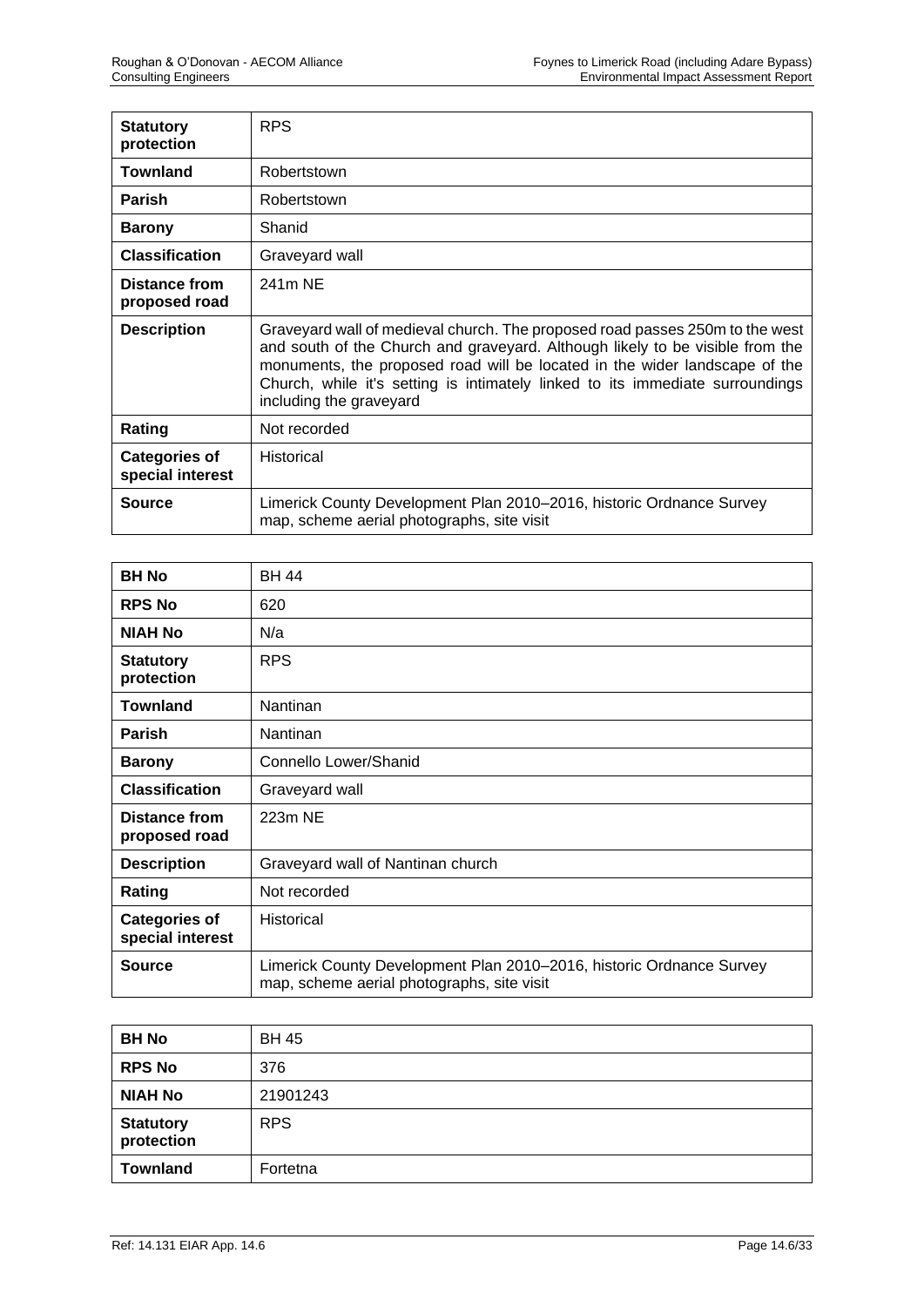| <b>Statutory</b><br>protection           | <b>RPS</b>                                                                                                                                                                                                                                                                                                                                              |
|------------------------------------------|---------------------------------------------------------------------------------------------------------------------------------------------------------------------------------------------------------------------------------------------------------------------------------------------------------------------------------------------------------|
| <b>Townland</b>                          | Robertstown                                                                                                                                                                                                                                                                                                                                             |
| <b>Parish</b>                            | Robertstown                                                                                                                                                                                                                                                                                                                                             |
| <b>Barony</b>                            | Shanid                                                                                                                                                                                                                                                                                                                                                  |
| <b>Classification</b>                    | Graveyard wall                                                                                                                                                                                                                                                                                                                                          |
| Distance from<br>proposed road           | 241m NE                                                                                                                                                                                                                                                                                                                                                 |
| <b>Description</b>                       | Graveyard wall of medieval church. The proposed road passes 250m to the west<br>and south of the Church and graveyard. Although likely to be visible from the<br>monuments, the proposed road will be located in the wider landscape of the<br>Church, while it's setting is intimately linked to its immediate surroundings<br>including the graveyard |
| Rating                                   | Not recorded                                                                                                                                                                                                                                                                                                                                            |
| <b>Categories of</b><br>special interest | Historical                                                                                                                                                                                                                                                                                                                                              |
| Source                                   | Limerick County Development Plan 2010–2016, historic Ordnance Survey<br>map, scheme aerial photographs, site visit                                                                                                                                                                                                                                      |

| <b>BH No</b>                             | <b>BH 44</b>                                                                                                       |
|------------------------------------------|--------------------------------------------------------------------------------------------------------------------|
| <b>RPS No</b>                            | 620                                                                                                                |
| <b>NIAH No</b>                           | N/a                                                                                                                |
| <b>Statutory</b><br>protection           | <b>RPS</b>                                                                                                         |
| <b>Townland</b>                          | Nantinan                                                                                                           |
| <b>Parish</b>                            | Nantinan                                                                                                           |
| <b>Barony</b>                            | Connello Lower/Shanid                                                                                              |
| <b>Classification</b>                    | Graveyard wall                                                                                                     |
| Distance from<br>proposed road           | 223m NE                                                                                                            |
| <b>Description</b>                       | Graveyard wall of Nantinan church                                                                                  |
| Rating                                   | Not recorded                                                                                                       |
| <b>Categories of</b><br>special interest | <b>Historical</b>                                                                                                  |
| <b>Source</b>                            | Limerick County Development Plan 2010–2016, historic Ordnance Survey<br>map, scheme aerial photographs, site visit |

| <b>BH No</b>                   | <b>BH 45</b> |
|--------------------------------|--------------|
| <b>RPS No</b>                  | 376          |
| <b>NIAH No</b>                 | 21901243     |
| <b>Statutory</b><br>protection | <b>RPS</b>   |
| <b>Townland</b>                | Fortetna     |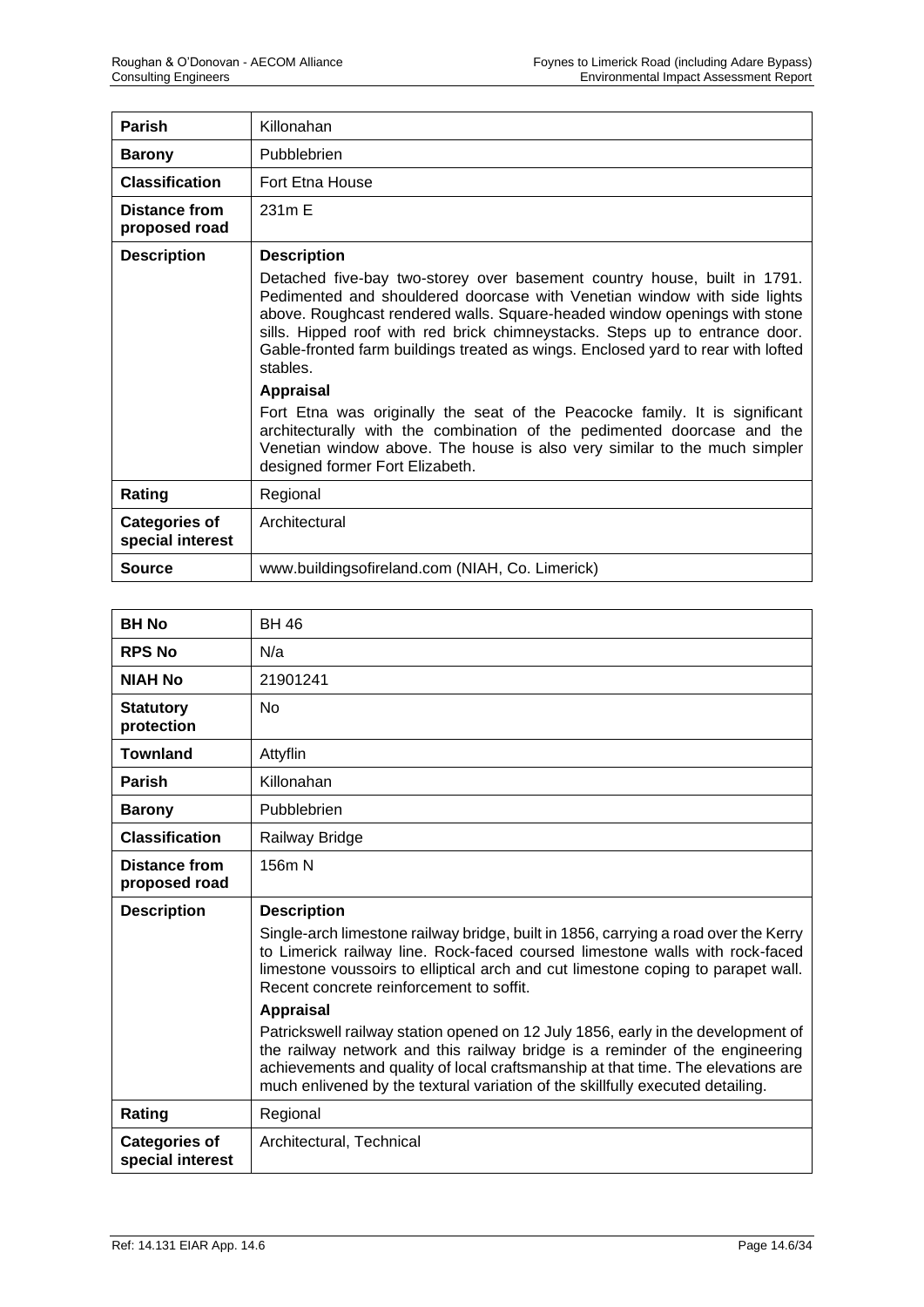| Parish                                   | Killonahan                                                                                                                                                                                                                                                                                                                                                                                                       |
|------------------------------------------|------------------------------------------------------------------------------------------------------------------------------------------------------------------------------------------------------------------------------------------------------------------------------------------------------------------------------------------------------------------------------------------------------------------|
| <b>Barony</b>                            | Pubblebrien                                                                                                                                                                                                                                                                                                                                                                                                      |
| <b>Classification</b>                    | Fort Etna House                                                                                                                                                                                                                                                                                                                                                                                                  |
| Distance from<br>proposed road           | 231m E                                                                                                                                                                                                                                                                                                                                                                                                           |
| <b>Description</b>                       | <b>Description</b>                                                                                                                                                                                                                                                                                                                                                                                               |
|                                          | Detached five-bay two-storey over basement country house, built in 1791.<br>Pedimented and shouldered doorcase with Venetian window with side lights<br>above. Roughcast rendered walls. Square-headed window openings with stone<br>sills. Hipped roof with red brick chimneystacks. Steps up to entrance door.<br>Gable-fronted farm buildings treated as wings. Enclosed yard to rear with lofted<br>stables. |
|                                          | <b>Appraisal</b>                                                                                                                                                                                                                                                                                                                                                                                                 |
|                                          | Fort Etna was originally the seat of the Peacocke family. It is significant<br>architecturally with the combination of the pedimented doorcase and the<br>Venetian window above. The house is also very similar to the much simpler<br>designed former Fort Elizabeth.                                                                                                                                           |
| Rating                                   | Regional                                                                                                                                                                                                                                                                                                                                                                                                         |
| <b>Categories of</b><br>special interest | Architectural                                                                                                                                                                                                                                                                                                                                                                                                    |
| <b>Source</b>                            | www.buildingsofireland.com (NIAH, Co. Limerick)                                                                                                                                                                                                                                                                                                                                                                  |

| <b>BH No</b>                          | <b>BH 46</b>                                                                                                                                                                                                                                                                                                                                  |
|---------------------------------------|-----------------------------------------------------------------------------------------------------------------------------------------------------------------------------------------------------------------------------------------------------------------------------------------------------------------------------------------------|
| <b>RPS No</b>                         | N/a                                                                                                                                                                                                                                                                                                                                           |
| <b>NIAH No</b>                        | 21901241                                                                                                                                                                                                                                                                                                                                      |
| <b>Statutory</b><br>protection        | <b>No</b>                                                                                                                                                                                                                                                                                                                                     |
| <b>Townland</b>                       | Attyflin                                                                                                                                                                                                                                                                                                                                      |
| <b>Parish</b>                         | Killonahan                                                                                                                                                                                                                                                                                                                                    |
| <b>Barony</b>                         | Pubblebrien                                                                                                                                                                                                                                                                                                                                   |
| <b>Classification</b>                 | Railway Bridge                                                                                                                                                                                                                                                                                                                                |
| <b>Distance from</b><br>proposed road | 156m N                                                                                                                                                                                                                                                                                                                                        |
| <b>Description</b>                    | <b>Description</b><br>Single-arch limestone railway bridge, built in 1856, carrying a road over the Kerry<br>to Limerick railway line. Rock-faced coursed limestone walls with rock-faced<br>limestone voussoirs to elliptical arch and cut limestone coping to parapet wall.<br>Recent concrete reinforcement to soffit.<br><b>Appraisal</b> |
|                                       | Patrickswell railway station opened on 12 July 1856, early in the development of<br>the railway network and this railway bridge is a reminder of the engineering<br>achievements and quality of local craftsmanship at that time. The elevations are<br>much enlivened by the textural variation of the skillfully executed detailing.        |
| Rating                                | Regional                                                                                                                                                                                                                                                                                                                                      |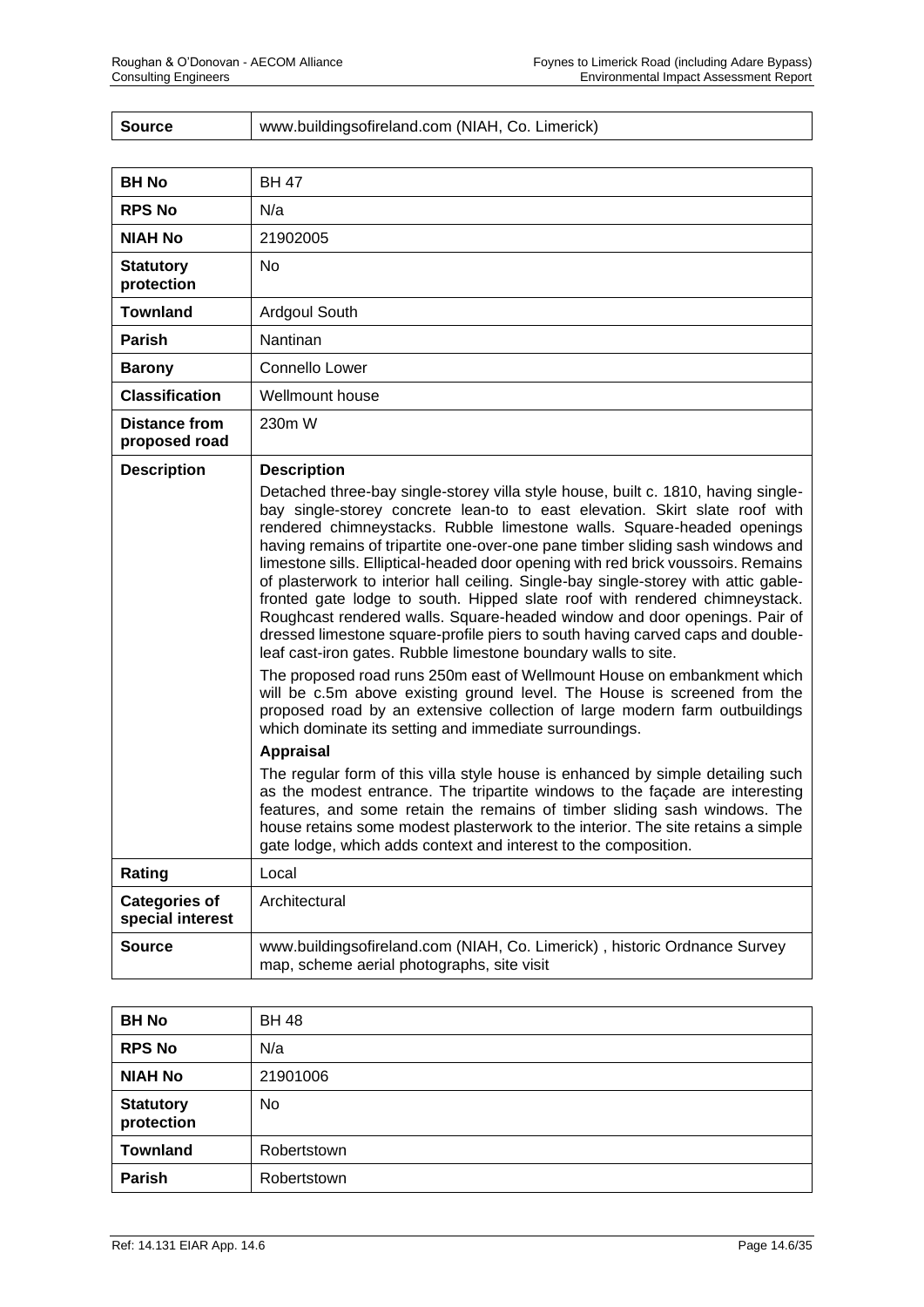| <b>Source</b> | www.buildingsofireland.com (NIAH, Co. Limerick) |
|---------------|-------------------------------------------------|
|---------------|-------------------------------------------------|

| <b>BH No</b>                             | <b>BH 47</b>                                                                                                                                                                                                                                                                                                                                                                                                                                                                                                                                                                                                                                                                                                                                                                                                                                                                                                                                                                                                                                                                                                                                                     |
|------------------------------------------|------------------------------------------------------------------------------------------------------------------------------------------------------------------------------------------------------------------------------------------------------------------------------------------------------------------------------------------------------------------------------------------------------------------------------------------------------------------------------------------------------------------------------------------------------------------------------------------------------------------------------------------------------------------------------------------------------------------------------------------------------------------------------------------------------------------------------------------------------------------------------------------------------------------------------------------------------------------------------------------------------------------------------------------------------------------------------------------------------------------------------------------------------------------|
| <b>RPS No</b>                            | N/a                                                                                                                                                                                                                                                                                                                                                                                                                                                                                                                                                                                                                                                                                                                                                                                                                                                                                                                                                                                                                                                                                                                                                              |
| <b>NIAH No</b>                           | 21902005                                                                                                                                                                                                                                                                                                                                                                                                                                                                                                                                                                                                                                                                                                                                                                                                                                                                                                                                                                                                                                                                                                                                                         |
| <b>Statutory</b><br>protection           | No                                                                                                                                                                                                                                                                                                                                                                                                                                                                                                                                                                                                                                                                                                                                                                                                                                                                                                                                                                                                                                                                                                                                                               |
| Townland                                 | Ardgoul South                                                                                                                                                                                                                                                                                                                                                                                                                                                                                                                                                                                                                                                                                                                                                                                                                                                                                                                                                                                                                                                                                                                                                    |
| <b>Parish</b>                            | <b>Nantinan</b>                                                                                                                                                                                                                                                                                                                                                                                                                                                                                                                                                                                                                                                                                                                                                                                                                                                                                                                                                                                                                                                                                                                                                  |
| <b>Barony</b>                            | Connello Lower                                                                                                                                                                                                                                                                                                                                                                                                                                                                                                                                                                                                                                                                                                                                                                                                                                                                                                                                                                                                                                                                                                                                                   |
| <b>Classification</b>                    | Wellmount house                                                                                                                                                                                                                                                                                                                                                                                                                                                                                                                                                                                                                                                                                                                                                                                                                                                                                                                                                                                                                                                                                                                                                  |
| Distance from<br>proposed road           | 230m W                                                                                                                                                                                                                                                                                                                                                                                                                                                                                                                                                                                                                                                                                                                                                                                                                                                                                                                                                                                                                                                                                                                                                           |
| <b>Description</b>                       | <b>Description</b><br>Detached three-bay single-storey villa style house, built c. 1810, having single-<br>bay single-storey concrete lean-to to east elevation. Skirt slate roof with<br>rendered chimneystacks. Rubble limestone walls. Square-headed openings<br>having remains of tripartite one-over-one pane timber sliding sash windows and<br>limestone sills. Elliptical-headed door opening with red brick voussoirs. Remains<br>of plasterwork to interior hall ceiling. Single-bay single-storey with attic gable-<br>fronted gate lodge to south. Hipped slate roof with rendered chimneystack.<br>Roughcast rendered walls. Square-headed window and door openings. Pair of<br>dressed limestone square-profile piers to south having carved caps and double-<br>leaf cast-iron gates. Rubble limestone boundary walls to site.<br>The proposed road runs 250m east of Wellmount House on embankment which<br>will be c.5m above existing ground level. The House is screened from the<br>proposed road by an extensive collection of large modern farm outbuildings<br>which dominate its setting and immediate surroundings.<br><b>Appraisal</b> |
|                                          | The regular form of this villa style house is enhanced by simple detailing such<br>as the modest entrance. The tripartite windows to the façade are interesting<br>features, and some retain the remains of timber sliding sash windows. The<br>house retains some modest plasterwork to the interior. The site retains a simple<br>gate lodge, which adds context and interest to the composition.                                                                                                                                                                                                                                                                                                                                                                                                                                                                                                                                                                                                                                                                                                                                                              |
| Rating                                   | Local                                                                                                                                                                                                                                                                                                                                                                                                                                                                                                                                                                                                                                                                                                                                                                                                                                                                                                                                                                                                                                                                                                                                                            |
| <b>Categories of</b><br>special interest | Architectural                                                                                                                                                                                                                                                                                                                                                                                                                                                                                                                                                                                                                                                                                                                                                                                                                                                                                                                                                                                                                                                                                                                                                    |
| Source                                   | www.buildingsofireland.com (NIAH, Co. Limerick), historic Ordnance Survey<br>map, scheme aerial photographs, site visit                                                                                                                                                                                                                                                                                                                                                                                                                                                                                                                                                                                                                                                                                                                                                                                                                                                                                                                                                                                                                                          |

| <b>BH No</b>                   | <b>BH 48</b> |
|--------------------------------|--------------|
| <b>RPS No</b>                  | N/a          |
| <b>NIAH No</b>                 | 21901006     |
| <b>Statutory</b><br>protection | No           |
| <b>Townland</b>                | Robertstown  |
| Parish                         | Robertstown  |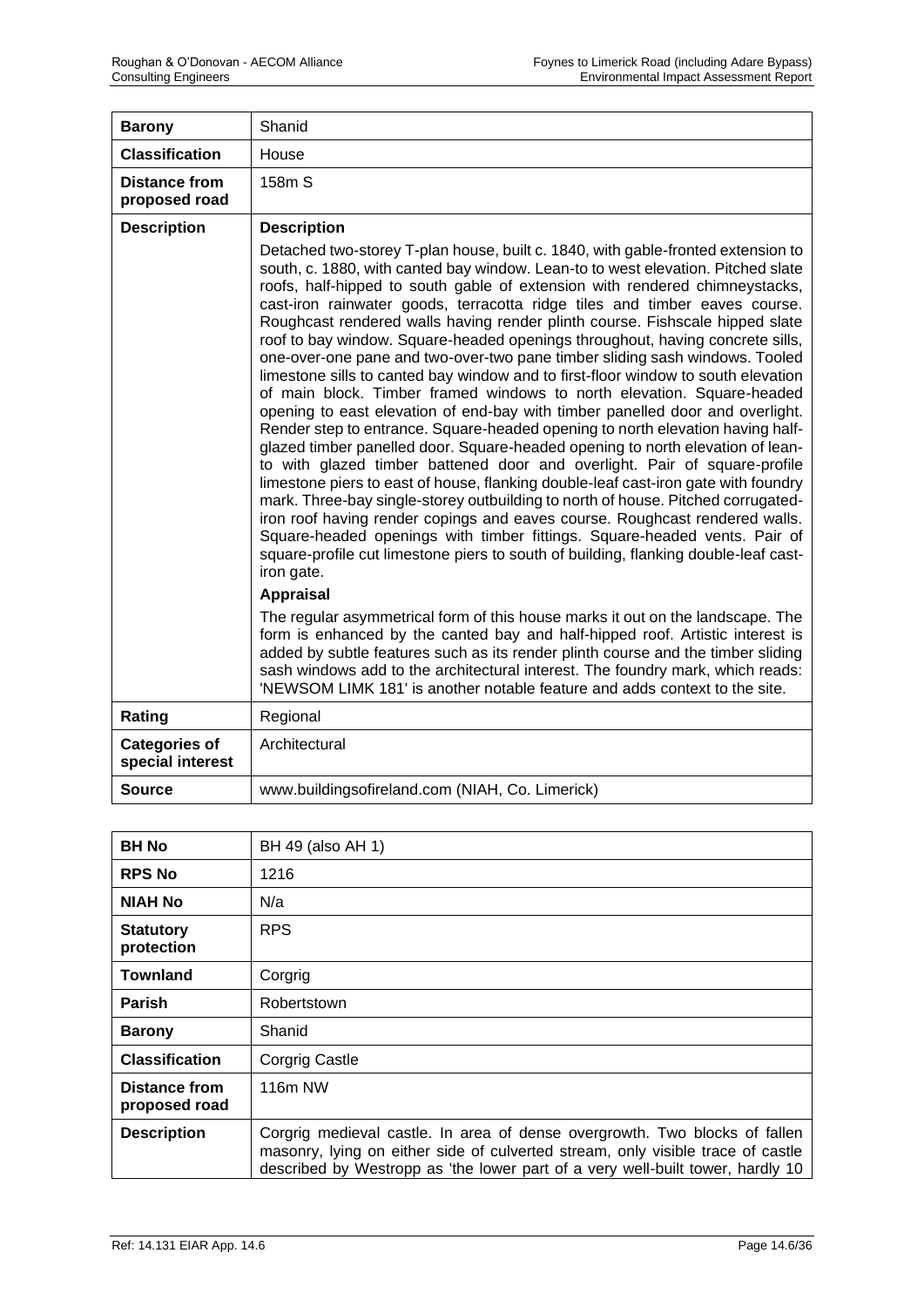| <b>Barony</b>                            | Shanid                                                                                                                                                                                                                                                                                                                                                                                                                                                                                                                                                                                                                                                                                                                                                                                                                                                                                                                                                                                                                                                                                                                                                                                                                                                                                                                                                                                                                                                                                                                                                                                                                              |
|------------------------------------------|-------------------------------------------------------------------------------------------------------------------------------------------------------------------------------------------------------------------------------------------------------------------------------------------------------------------------------------------------------------------------------------------------------------------------------------------------------------------------------------------------------------------------------------------------------------------------------------------------------------------------------------------------------------------------------------------------------------------------------------------------------------------------------------------------------------------------------------------------------------------------------------------------------------------------------------------------------------------------------------------------------------------------------------------------------------------------------------------------------------------------------------------------------------------------------------------------------------------------------------------------------------------------------------------------------------------------------------------------------------------------------------------------------------------------------------------------------------------------------------------------------------------------------------------------------------------------------------------------------------------------------------|
| <b>Classification</b>                    | House                                                                                                                                                                                                                                                                                                                                                                                                                                                                                                                                                                                                                                                                                                                                                                                                                                                                                                                                                                                                                                                                                                                                                                                                                                                                                                                                                                                                                                                                                                                                                                                                                               |
| <b>Distance from</b><br>proposed road    | 158m S                                                                                                                                                                                                                                                                                                                                                                                                                                                                                                                                                                                                                                                                                                                                                                                                                                                                                                                                                                                                                                                                                                                                                                                                                                                                                                                                                                                                                                                                                                                                                                                                                              |
| <b>Description</b>                       | <b>Description</b>                                                                                                                                                                                                                                                                                                                                                                                                                                                                                                                                                                                                                                                                                                                                                                                                                                                                                                                                                                                                                                                                                                                                                                                                                                                                                                                                                                                                                                                                                                                                                                                                                  |
|                                          | Detached two-storey T-plan house, built c. 1840, with gable-fronted extension to<br>south, c. 1880, with canted bay window. Lean-to to west elevation. Pitched slate<br>roofs, half-hipped to south gable of extension with rendered chimneystacks,<br>cast-iron rainwater goods, terracotta ridge tiles and timber eaves course.<br>Roughcast rendered walls having render plinth course. Fishscale hipped slate<br>roof to bay window. Square-headed openings throughout, having concrete sills,<br>one-over-one pane and two-over-two pane timber sliding sash windows. Tooled<br>limestone sills to canted bay window and to first-floor window to south elevation<br>of main block. Timber framed windows to north elevation. Square-headed<br>opening to east elevation of end-bay with timber panelled door and overlight.<br>Render step to entrance. Square-headed opening to north elevation having half-<br>glazed timber panelled door. Square-headed opening to north elevation of lean-<br>to with glazed timber battened door and overlight. Pair of square-profile<br>limestone piers to east of house, flanking double-leaf cast-iron gate with foundry<br>mark. Three-bay single-storey outbuilding to north of house. Pitched corrugated-<br>iron roof having render copings and eaves course. Roughcast rendered walls.<br>Square-headed openings with timber fittings. Square-headed vents. Pair of<br>square-profile cut limestone piers to south of building, flanking double-leaf cast-<br>iron gate.<br><b>Appraisal</b><br>The regular asymmetrical form of this house marks it out on the landscape. The |
|                                          | form is enhanced by the canted bay and half-hipped roof. Artistic interest is<br>added by subtle features such as its render plinth course and the timber sliding<br>sash windows add to the architectural interest. The foundry mark, which reads:<br>'NEWSOM LIMK 181' is another notable feature and adds context to the site.                                                                                                                                                                                                                                                                                                                                                                                                                                                                                                                                                                                                                                                                                                                                                                                                                                                                                                                                                                                                                                                                                                                                                                                                                                                                                                   |
| Rating                                   | Regional                                                                                                                                                                                                                                                                                                                                                                                                                                                                                                                                                                                                                                                                                                                                                                                                                                                                                                                                                                                                                                                                                                                                                                                                                                                                                                                                                                                                                                                                                                                                                                                                                            |
| <b>Categories of</b><br>special interest | Architectural                                                                                                                                                                                                                                                                                                                                                                                                                                                                                                                                                                                                                                                                                                                                                                                                                                                                                                                                                                                                                                                                                                                                                                                                                                                                                                                                                                                                                                                                                                                                                                                                                       |
| <b>Source</b>                            | www.buildingsofireland.com (NIAH, Co. Limerick)                                                                                                                                                                                                                                                                                                                                                                                                                                                                                                                                                                                                                                                                                                                                                                                                                                                                                                                                                                                                                                                                                                                                                                                                                                                                                                                                                                                                                                                                                                                                                                                     |

| <b>BH No</b>                   | BH 49 (also AH 1)                                                                                                                                                                                                                               |
|--------------------------------|-------------------------------------------------------------------------------------------------------------------------------------------------------------------------------------------------------------------------------------------------|
| <b>RPS No</b>                  | 1216                                                                                                                                                                                                                                            |
| <b>NIAH No</b>                 | N/a                                                                                                                                                                                                                                             |
| <b>Statutory</b><br>protection | <b>RPS</b>                                                                                                                                                                                                                                      |
| <b>Townland</b>                | Corgrig                                                                                                                                                                                                                                         |
| <b>Parish</b>                  | Robertstown                                                                                                                                                                                                                                     |
| <b>Barony</b>                  | Shanid                                                                                                                                                                                                                                          |
| <b>Classification</b>          | <b>Corgrig Castle</b>                                                                                                                                                                                                                           |
| Distance from<br>proposed road | 116 <sub>m</sub> NW                                                                                                                                                                                                                             |
| <b>Description</b>             | Corgrig medieval castle. In area of dense overgrowth. Two blocks of fallen<br>masonry, lying on either side of culverted stream, only visible trace of castle<br>described by Westropp as 'the lower part of a very well-built tower, hardly 10 |